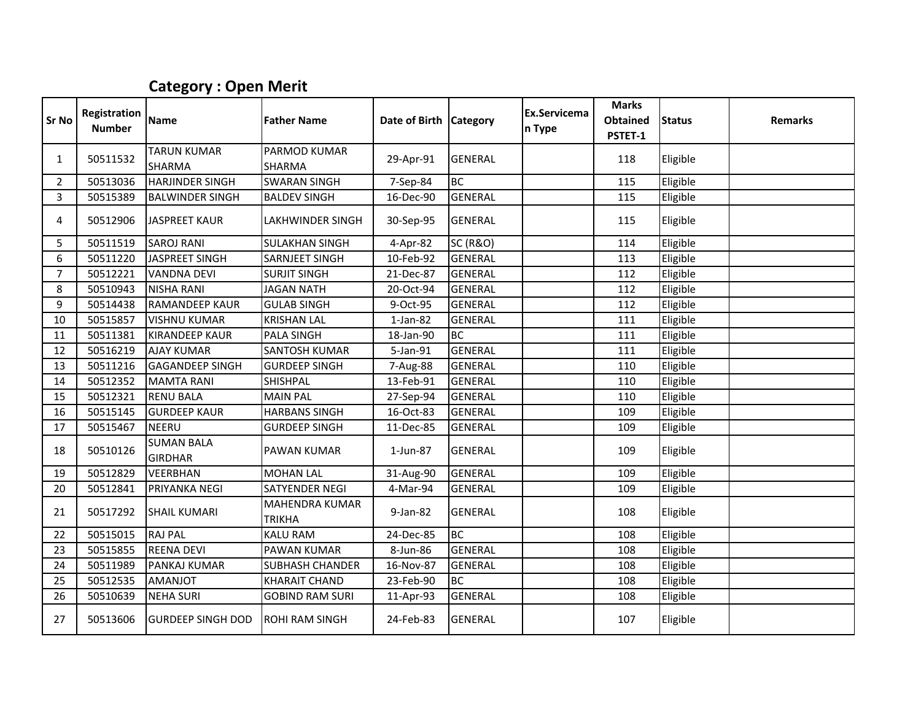## Category : Open Merit

| Sr No          | Registration<br><b>Number</b> | Name                                | <b>Father Name</b>                     | Date of Birth Category |                     | Ex.Servicema<br>n Type | <b>Marks</b><br><b>Obtained</b><br>PSTET-1 | <b>Status</b> | <b>Remarks</b> |
|----------------|-------------------------------|-------------------------------------|----------------------------------------|------------------------|---------------------|------------------------|--------------------------------------------|---------------|----------------|
| 1              | 50511532                      | <b>TARUN KUMAR</b><br><b>SHARMA</b> | PARMOD KUMAR<br><b>SHARMA</b>          | 29-Apr-91              | <b>GENERAL</b>      |                        | 118                                        | Eligible      |                |
| $\overline{2}$ | 50513036                      | <b>HARJINDER SINGH</b>              | <b>SWARAN SINGH</b>                    | 7-Sep-84               | <b>BC</b>           |                        | 115                                        | Eligible      |                |
| $\overline{3}$ | 50515389                      | <b>BALWINDER SINGH</b>              | <b>BALDEV SINGH</b>                    | 16-Dec-90              | <b>GENERAL</b>      |                        | 115                                        | Eligible      |                |
| 4              | 50512906                      | <b>JASPREET KAUR</b>                | <b>LAKHWINDER SINGH</b>                | 30-Sep-95              | <b>GENERAL</b>      |                        | 115                                        | Eligible      |                |
| 5              | 50511519                      | <b>SAROJ RANI</b>                   | <b>SULAKHAN SINGH</b>                  | 4-Apr-82               | <b>SC (R&amp;O)</b> |                        | 114                                        | Eligible      |                |
| 6              | 50511220                      | <b>JASPREET SINGH</b>               | <b>SARNJEET SINGH</b>                  | 10-Feb-92              | <b>GENERAL</b>      |                        | 113                                        | Eligible      |                |
| $\overline{7}$ | 50512221                      | <b>VANDNA DEVI</b>                  | <b>SURJIT SINGH</b>                    | 21-Dec-87              | <b>GENERAL</b>      |                        | 112                                        | Eligible      |                |
| 8              | 50510943                      | <b>NISHA RANI</b>                   | <b>JAGAN NATH</b>                      | 20-Oct-94              | <b>GENERAL</b>      |                        | 112                                        | Eligible      |                |
| 9              | 50514438                      | <b>RAMANDEEP KAUR</b>               | <b>GULAB SINGH</b>                     | 9-Oct-95               | <b>GENERAL</b>      |                        | 112                                        | Eligible      |                |
| 10             | 50515857                      | <b>VISHNU KUMAR</b>                 | <b>KRISHAN LAL</b>                     | $1-Jan-82$             | <b>GENERAL</b>      |                        | 111                                        | Eligible      |                |
| 11             | 50511381                      | <b>KIRANDEEP KAUR</b>               | <b>PALA SINGH</b>                      | 18-Jan-90              | <b>BC</b>           |                        | 111                                        | Eligible      |                |
| 12             | 50516219                      | <b>AJAY KUMAR</b>                   | <b>SANTOSH KUMAR</b>                   | 5-Jan-91               | <b>GENERAL</b>      |                        | 111                                        | Eligible      |                |
| 13             | 50511216                      | <b>GAGANDEEP SINGH</b>              | <b>GURDEEP SINGH</b>                   | 7-Aug-88               | <b>GENERAL</b>      |                        | 110                                        | Eligible      |                |
| 14             | 50512352                      | <b>MAMTA RANI</b>                   | <b>SHISHPAL</b>                        | 13-Feb-91              | <b>GENERAL</b>      |                        | 110                                        | Eligible      |                |
| 15             | 50512321                      | <b>RENU BALA</b>                    | <b>MAIN PAL</b>                        | 27-Sep-94              | <b>GENERAL</b>      |                        | 110                                        | Eligible      |                |
| 16             | 50515145                      | <b>GURDEEP KAUR</b>                 | <b>HARBANS SINGH</b>                   | 16-Oct-83              | <b>GENERAL</b>      |                        | 109                                        | Eligible      |                |
| 17             | 50515467                      | <b>NEERU</b>                        | <b>GURDEEP SINGH</b>                   | 11-Dec-85              | <b>GENERAL</b>      |                        | 109                                        | Eligible      |                |
| 18             | 50510126                      | <b>SUMAN BALA</b><br><b>GIRDHAR</b> | <b>PAWAN KUMAR</b>                     | $1$ -Jun-87            | <b>GENERAL</b>      |                        | 109                                        | Eligible      |                |
| 19             | 50512829                      | <b>VEERBHAN</b>                     | <b>MOHAN LAL</b>                       | 31-Aug-90              | <b>GENERAL</b>      |                        | 109                                        | Eligible      |                |
| 20             | 50512841                      | PRIYANKA NEGI                       | <b>SATYENDER NEGI</b>                  | 4-Mar-94               | <b>GENERAL</b>      |                        | 109                                        | Eligible      |                |
| 21             | 50517292                      | <b>SHAIL KUMARI</b>                 | <b>MAHENDRA KUMAR</b><br><b>TRIKHA</b> | $9$ -Jan-82            | <b>GENERAL</b>      |                        | 108                                        | Eligible      |                |
| 22             | 50515015                      | <b>RAJ PAL</b>                      | <b>KALU RAM</b>                        | 24-Dec-85              | BC                  |                        | 108                                        | Eligible      |                |
| 23             | 50515855                      | <b>REENA DEVI</b>                   | <b>PAWAN KUMAR</b>                     | 8-Jun-86               | <b>GENERAL</b>      |                        | 108                                        | Eligible      |                |
| 24             | 50511989                      | <b>PANKAJ KUMAR</b>                 | <b>SUBHASH CHANDER</b>                 | 16-Nov-87              | <b>GENERAL</b>      |                        | 108                                        | Eligible      |                |
| 25             | 50512535                      | <b>AMANJOT</b>                      | <b>KHARAIT CHAND</b>                   | 23-Feb-90              | <b>BC</b>           |                        | 108                                        | Eligible      |                |
| 26             | 50510639                      | <b>NEHA SURI</b>                    | <b>GOBIND RAM SURI</b>                 | 11-Apr-93              | <b>GENERAL</b>      |                        | 108                                        | Eligible      |                |
| 27             | 50513606                      | <b>GURDEEP SINGH DOD</b>            | <b>ROHI RAM SINGH</b>                  | 24-Feb-83              | <b>GENERAL</b>      |                        | 107                                        | Eligible      |                |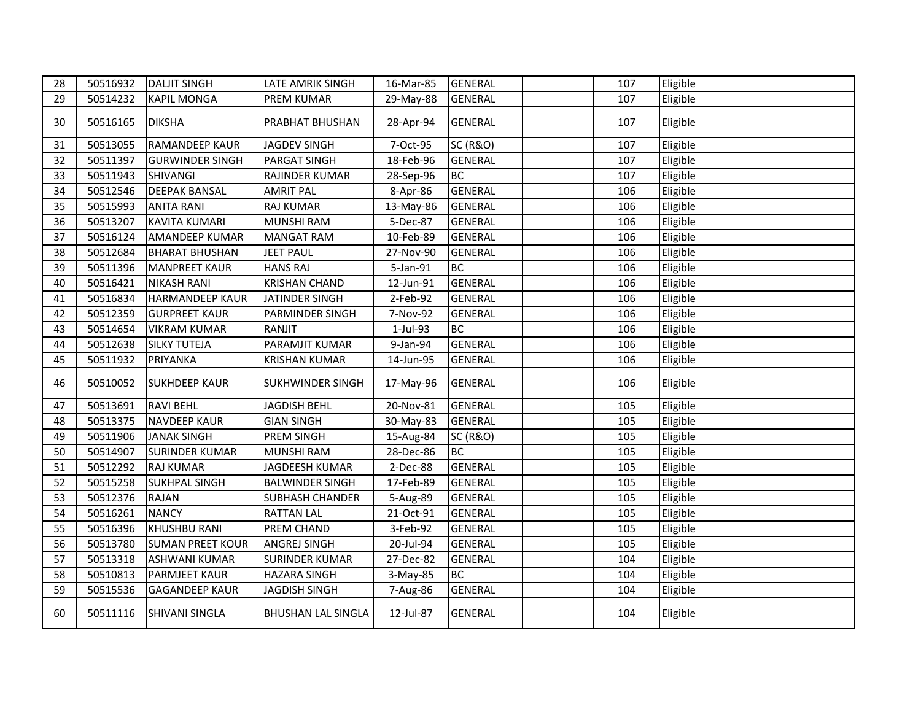| 28 | 50516932 | <b>DALJIT SINGH</b>     | LATE AMRIK SINGH          | 16-Mar-85 | <b>GENERAL</b>      | 107 | Eligible |  |
|----|----------|-------------------------|---------------------------|-----------|---------------------|-----|----------|--|
| 29 | 50514232 | <b>KAPIL MONGA</b>      | PREM KUMAR                | 29-May-88 | <b>GENERAL</b>      | 107 | Eligible |  |
| 30 | 50516165 | <b>DIKSHA</b>           | PRABHAT BHUSHAN           | 28-Apr-94 | <b>GENERAL</b>      | 107 | Eligible |  |
| 31 | 50513055 | <b>RAMANDEEP KAUR</b>   | <b>JAGDEV SINGH</b>       | 7-Oct-95  | <b>SC (R&amp;O)</b> | 107 | Eligible |  |
| 32 | 50511397 | <b>GURWINDER SINGH</b>  | PARGAT SINGH              | 18-Feb-96 | <b>GENERAL</b>      | 107 | Eligible |  |
| 33 | 50511943 | <b>SHIVANGI</b>         | RAJINDER KUMAR            | 28-Sep-96 | <b>BC</b>           | 107 | Eligible |  |
| 34 | 50512546 | <b>DEEPAK BANSAL</b>    | <b>AMRIT PAL</b>          | 8-Apr-86  | <b>GENERAL</b>      | 106 | Eligible |  |
| 35 | 50515993 | <b>ANITA RANI</b>       | <b>RAJ KUMAR</b>          | 13-May-86 | <b>GENERAL</b>      | 106 | Eligible |  |
| 36 | 50513207 | <b>KAVITA KUMARI</b>    | <b>MUNSHI RAM</b>         | 5-Dec-87  | <b>GENERAL</b>      | 106 | Eligible |  |
| 37 | 50516124 | <b>AMANDEEP KUMAR</b>   | <b>MANGAT RAM</b>         | 10-Feb-89 | <b>GENERAL</b>      | 106 | Eligible |  |
| 38 | 50512684 | <b>BHARAT BHUSHAN</b>   | <b>JEET PAUL</b>          | 27-Nov-90 | <b>GENERAL</b>      | 106 | Eligible |  |
| 39 | 50511396 | <b>MANPREET KAUR</b>    | <b>HANS RAJ</b>           | 5-Jan-91  | <b>BC</b>           | 106 | Eligible |  |
| 40 | 50516421 | <b>NIKASH RANI</b>      | <b>KRISHAN CHAND</b>      | 12-Jun-91 | <b>GENERAL</b>      | 106 | Eligible |  |
| 41 | 50516834 | <b>HARMANDEEP KAUR</b>  | JATINDER SINGH            | 2-Feb-92  | <b>GENERAL</b>      | 106 | Eligible |  |
| 42 | 50512359 | <b>GURPREET KAUR</b>    | PARMINDER SINGH           | 7-Nov-92  | <b>GENERAL</b>      | 106 | Eligible |  |
| 43 | 50514654 | <b>VIKRAM KUMAR</b>     | RANJIT                    | 1-Jul-93  | <b>BC</b>           | 106 | Eligible |  |
| 44 | 50512638 | <b>SILKY TUTEJA</b>     | PARAMJIT KUMAR            | 9-Jan-94  | <b>GENERAL</b>      | 106 | Eligible |  |
| 45 | 50511932 | <b>PRIYANKA</b>         | <b>KRISHAN KUMAR</b>      | 14-Jun-95 | <b>GENERAL</b>      | 106 | Eligible |  |
| 46 | 50510052 | <b>SUKHDEEP KAUR</b>    | <b>SUKHWINDER SINGH</b>   | 17-May-96 | <b>GENERAL</b>      | 106 | Eligible |  |
| 47 | 50513691 | <b>RAVI BEHL</b>        | <b>JAGDISH BEHL</b>       | 20-Nov-81 | <b>GENERAL</b>      | 105 | Eligible |  |
| 48 | 50513375 | <b>NAVDEEP KAUR</b>     | <b>GIAN SINGH</b>         | 30-May-83 | <b>GENERAL</b>      | 105 | Eligible |  |
| 49 | 50511906 | <b>JANAK SINGH</b>      | PREM SINGH                | 15-Aug-84 | <b>SC (R&amp;O)</b> | 105 | Eligible |  |
| 50 | 50514907 | <b>SURINDER KUMAR</b>   | MUNSHI RAM                | 28-Dec-86 | <b>BC</b>           | 105 | Eligible |  |
| 51 | 50512292 | <b>RAJ KUMAR</b>        | JAGDEESH KUMAR            | 2-Dec-88  | <b>GENERAL</b>      | 105 | Eligible |  |
| 52 | 50515258 | <b>SUKHPAL SINGH</b>    | <b>BALWINDER SINGH</b>    | 17-Feb-89 | <b>GENERAL</b>      | 105 | Eligible |  |
| 53 | 50512376 | <b>RAJAN</b>            | SUBHASH CHANDER           | 5-Aug-89  | <b>GENERAL</b>      | 105 | Eligible |  |
| 54 | 50516261 | <b>NANCY</b>            | <b>RATTAN LAL</b>         | 21-Oct-91 | <b>GENERAL</b>      | 105 | Eligible |  |
| 55 | 50516396 | <b>KHUSHBU RANI</b>     | PREM CHAND                | 3-Feb-92  | <b>GENERAL</b>      | 105 | Eligible |  |
| 56 | 50513780 | <b>SUMAN PREET KOUR</b> | ANGREJ SINGH              | 20-Jul-94 | <b>GENERAL</b>      | 105 | Eligible |  |
| 57 | 50513318 | <b>ASHWANI KUMAR</b>    | <b>SURINDER KUMAR</b>     | 27-Dec-82 | <b>GENERAL</b>      | 104 | Eligible |  |
| 58 | 50510813 | PARMJEET KAUR           | <b>HAZARA SINGH</b>       | 3-May-85  | <b>BC</b>           | 104 | Eligible |  |
| 59 | 50515536 | <b>GAGANDEEP KAUR</b>   | <b>JAGDISH SINGH</b>      | 7-Aug-86  | <b>GENERAL</b>      | 104 | Eligible |  |
| 60 | 50511116 | <b>SHIVANI SINGLA</b>   | <b>BHUSHAN LAL SINGLA</b> | 12-Jul-87 | <b>GENERAL</b>      | 104 | Eligible |  |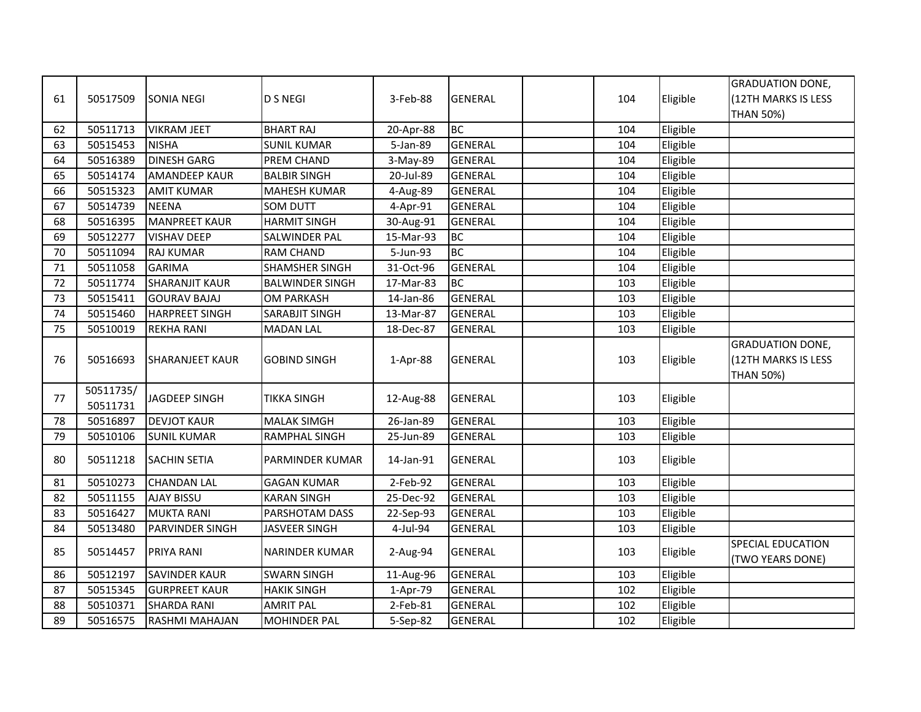|    |           |                        |                        |           |                |     |          | <b>GRADUATION DONE,</b> |
|----|-----------|------------------------|------------------------|-----------|----------------|-----|----------|-------------------------|
| 61 | 50517509  | <b>SONIA NEGI</b>      | <b>D S NEGI</b>        | 3-Feb-88  | GENERAL        | 104 | Eligible | (12TH MARKS IS LESS     |
|    |           |                        |                        |           |                |     |          | <b>THAN 50%)</b>        |
| 62 | 50511713  | <b>VIKRAM JEET</b>     | <b>BHART RAJ</b>       | 20-Apr-88 | <b>BC</b>      | 104 | Eligible |                         |
| 63 | 50515453  | <b>NISHA</b>           | <b>SUNIL KUMAR</b>     | 5-Jan-89  | <b>GENERAL</b> | 104 | Eligible |                         |
| 64 | 50516389  | <b>DINESH GARG</b>     | PREM CHAND             | 3-May-89  | <b>GENERAL</b> | 104 | Eligible |                         |
| 65 | 50514174  | <b>AMANDEEP KAUR</b>   | <b>BALBIR SINGH</b>    | 20-Jul-89 | <b>GENERAL</b> | 104 | Eligible |                         |
| 66 | 50515323  | <b>AMIT KUMAR</b>      | <b>MAHESH KUMAR</b>    | 4-Aug-89  | <b>GENERAL</b> | 104 | Eligible |                         |
| 67 | 50514739  | <b>NEENA</b>           | SOM DUTT               | 4-Apr-91  | <b>GENERAL</b> | 104 | Eligible |                         |
| 68 | 50516395  | <b>MANPREET KAUR</b>   | <b>HARMIT SINGH</b>    | 30-Aug-91 | <b>GENERAL</b> | 104 | Eligible |                         |
| 69 | 50512277  | <b>VISHAV DEEP</b>     | SALWINDER PAL          | 15-Mar-93 | <b>BC</b>      | 104 | Eligible |                         |
| 70 | 50511094  | <b>RAJ KUMAR</b>       | <b>RAM CHAND</b>       | 5-Jun-93  | <b>BC</b>      | 104 | Eligible |                         |
| 71 | 50511058  | <b>GARIMA</b>          | <b>SHAMSHER SINGH</b>  | 31-Oct-96 | <b>GENERAL</b> | 104 | Eligible |                         |
| 72 | 50511774  | <b>SHARANJIT KAUR</b>  | <b>BALWINDER SINGH</b> | 17-Mar-83 | <b>BC</b>      | 103 | Eligible |                         |
| 73 | 50515411  | <b>GOURAV BAJAJ</b>    | <b>OM PARKASH</b>      | 14-Jan-86 | <b>GENERAL</b> | 103 | Eligible |                         |
| 74 | 50515460  | <b>HARPREET SINGH</b>  | SARABJIT SINGH         | 13-Mar-87 | <b>GENERAL</b> | 103 | Eligible |                         |
| 75 | 50510019  | <b>REKHA RANI</b>      | <b>MADAN LAL</b>       | 18-Dec-87 | <b>GENERAL</b> | 103 | Eligible |                         |
|    |           |                        |                        |           |                |     |          | <b>GRADUATION DONE,</b> |
| 76 | 50516693  | <b>SHARANJEET KAUR</b> | <b>GOBIND SINGH</b>    | 1-Apr-88  | <b>GENERAL</b> | 103 | Eligible | (12TH MARKS IS LESS     |
|    |           |                        |                        |           |                |     |          | <b>THAN 50%)</b>        |
| 77 | 50511735/ | <b>JAGDEEP SINGH</b>   | <b>TIKKA SINGH</b>     |           | <b>GENERAL</b> | 103 |          |                         |
|    | 50511731  |                        |                        | 12-Aug-88 |                |     | Eligible |                         |
| 78 | 50516897  | <b>DEVJOT KAUR</b>     | <b>MALAK SIMGH</b>     | 26-Jan-89 | <b>GENERAL</b> | 103 | Eligible |                         |
| 79 | 50510106  | <b>SUNIL KUMAR</b>     | RAMPHAL SINGH          | 25-Jun-89 | <b>GENERAL</b> | 103 | Eligible |                         |
| 80 | 50511218  | <b>SACHIN SETIA</b>    | PARMINDER KUMAR        | 14-Jan-91 | <b>GENERAL</b> | 103 | Eligible |                         |
|    |           |                        |                        |           |                |     |          |                         |
| 81 | 50510273  | <b>CHANDAN LAL</b>     | <b>GAGAN KUMAR</b>     | 2-Feb-92  | <b>GENERAL</b> | 103 | Eligible |                         |
| 82 | 50511155  | <b>AJAY BISSU</b>      | <b>KARAN SINGH</b>     | 25-Dec-92 | <b>GENERAL</b> | 103 | Eligible |                         |
| 83 | 50516427  | <b>MUKTA RANI</b>      | PARSHOTAM DASS         | 22-Sep-93 | <b>GENERAL</b> | 103 | Eligible |                         |
| 84 | 50513480  | PARVINDER SINGH        | JASVEER SINGH          | 4-Jul-94  | <b>GENERAL</b> | 103 | Eligible |                         |
| 85 | 50514457  | PRIYA RANI             | <b>NARINDER KUMAR</b>  | 2-Aug-94  | <b>GENERAL</b> | 103 | Eligible | SPECIAL EDUCATION       |
|    |           |                        |                        |           |                |     |          | (TWO YEARS DONE)        |
| 86 | 50512197  | <b>SAVINDER KAUR</b>   | <b>SWARN SINGH</b>     | 11-Aug-96 | <b>GENERAL</b> | 103 | Eligible |                         |
| 87 | 50515345  | <b>GURPREET KAUR</b>   | <b>HAKIK SINGH</b>     | 1-Apr-79  | <b>GENERAL</b> | 102 | Eligible |                         |
| 88 | 50510371  | <b>SHARDA RANI</b>     | <b>AMRIT PAL</b>       | 2-Feb-81  | <b>GENERAL</b> | 102 | Eligible |                         |
| 89 | 50516575  | RASHMI MAHAJAN         | <b>MOHINDER PAL</b>    | 5-Sep-82  | <b>GENERAL</b> | 102 | Eligible |                         |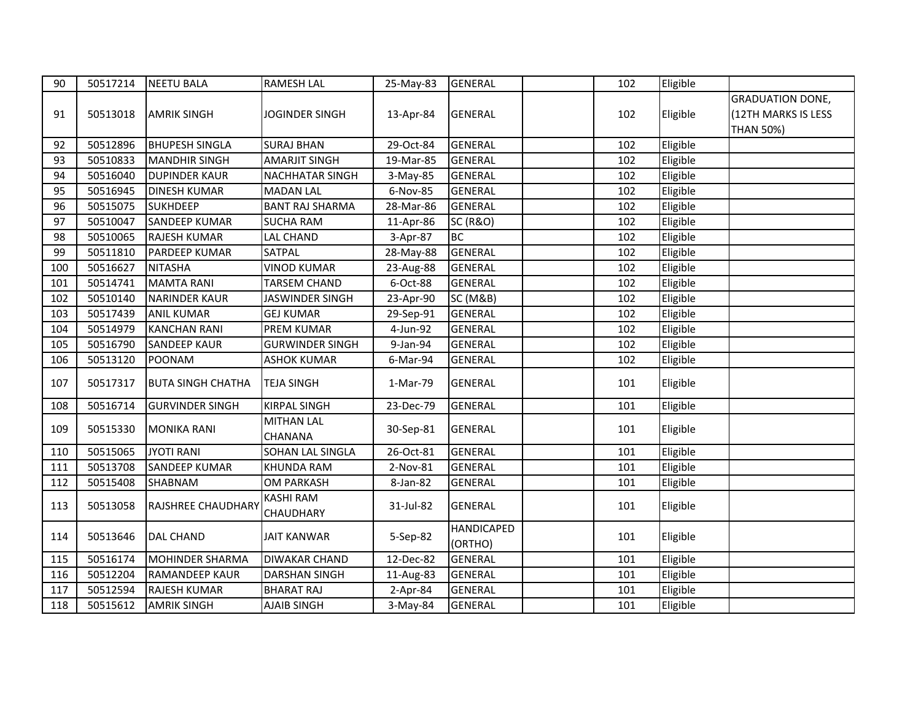| 90  | 50517214 | <b>NEETU BALA</b>         | <b>RAMESH LAL</b>             | 25-May-83 | <b>GENERAL</b>               | 102 | Eligible |                                                                    |
|-----|----------|---------------------------|-------------------------------|-----------|------------------------------|-----|----------|--------------------------------------------------------------------|
| 91  | 50513018 | <b>AMRIK SINGH</b>        | JOGINDER SINGH                | 13-Apr-84 | <b>GENERAL</b>               | 102 | Eligible | <b>GRADUATION DONE,</b><br>(12TH MARKS IS LESS<br><b>THAN 50%)</b> |
| 92  | 50512896 | <b>BHUPESH SINGLA</b>     | <b>SURAJ BHAN</b>             | 29-Oct-84 | <b>GENERAL</b>               | 102 | Eligible |                                                                    |
| 93  | 50510833 | <b>MANDHIR SINGH</b>      | <b>AMARJIT SINGH</b>          | 19-Mar-85 | <b>GENERAL</b>               | 102 | Eligible |                                                                    |
| 94  | 50516040 | <b>DUPINDER KAUR</b>      | <b>NACHHATAR SINGH</b>        | 3-May-85  | <b>GENERAL</b>               | 102 | Eligible |                                                                    |
| 95  | 50516945 | <b>DINESH KUMAR</b>       | <b>MADAN LAL</b>              | 6-Nov-85  | <b>GENERAL</b>               | 102 | Eligible |                                                                    |
| 96  | 50515075 | <b>SUKHDEEP</b>           | <b>BANT RAJ SHARMA</b>        | 28-Mar-86 | <b>GENERAL</b>               | 102 | Eligible |                                                                    |
| 97  | 50510047 | <b>SANDEEP KUMAR</b>      | <b>SUCHA RAM</b>              | 11-Apr-86 | <b>SC (R&amp;O)</b>          | 102 | Eligible |                                                                    |
| 98  | 50510065 | <b>RAJESH KUMAR</b>       | LAL CHAND                     | 3-Apr-87  | <b>BC</b>                    | 102 | Eligible |                                                                    |
| 99  | 50511810 | PARDEEP KUMAR             | SATPAL                        | 28-May-88 | <b>GENERAL</b>               | 102 | Eligible |                                                                    |
| 100 | 50516627 | <b>NITASHA</b>            | <b>VINOD KUMAR</b>            | 23-Aug-88 | <b>GENERAL</b>               | 102 | Eligible |                                                                    |
| 101 | 50514741 | <b>MAMTA RANI</b>         | <b>TARSEM CHAND</b>           | 6-Oct-88  | <b>GENERAL</b>               | 102 | Eligible |                                                                    |
| 102 | 50510140 | <b>NARINDER KAUR</b>      | JASWINDER SINGH               | 23-Apr-90 | SC (M&B)                     | 102 | Eligible |                                                                    |
| 103 | 50517439 | <b>ANIL KUMAR</b>         | <b>GEJ KUMAR</b>              | 29-Sep-91 | <b>GENERAL</b>               | 102 | Eligible |                                                                    |
| 104 | 50514979 | <b>KANCHAN RANI</b>       | PREM KUMAR                    | 4-Jun-92  | <b>GENERAL</b>               | 102 | Eligible |                                                                    |
| 105 | 50516790 | <b>SANDEEP KAUR</b>       | <b>GURWINDER SINGH</b>        | 9-Jan-94  | <b>GENERAL</b>               | 102 | Eligible |                                                                    |
| 106 | 50513120 | POONAM                    | <b>ASHOK KUMAR</b>            | 6-Mar-94  | <b>GENERAL</b>               | 102 | Eligible |                                                                    |
| 107 | 50517317 | <b>BUTA SINGH CHATHA</b>  | <b>TEJA SINGH</b>             | 1-Mar-79  | <b>GENERAL</b>               | 101 | Eligible |                                                                    |
| 108 | 50516714 | <b>GURVINDER SINGH</b>    | <b>KIRPAL SINGH</b>           | 23-Dec-79 | <b>GENERAL</b>               | 101 | Eligible |                                                                    |
| 109 | 50515330 | <b>MONIKA RANI</b>        | <b>MITHAN LAL</b><br>CHANANA  | 30-Sep-81 | <b>GENERAL</b>               | 101 | Eligible |                                                                    |
| 110 | 50515065 | <b>JYOTI RANI</b>         | SOHAN LAL SINGLA              | 26-Oct-81 | <b>GENERAL</b>               | 101 | Eligible |                                                                    |
| 111 | 50513708 | <b>SANDEEP KUMAR</b>      | <b>KHUNDA RAM</b>             | 2-Nov-81  | <b>GENERAL</b>               | 101 | Eligible |                                                                    |
| 112 | 50515408 | SHABNAM                   | <b>OM PARKASH</b>             | 8-Jan-82  | <b>GENERAL</b>               | 101 | Eligible |                                                                    |
| 113 | 50513058 | <b>RAJSHREE CHAUDHARY</b> | <b>KASHI RAM</b><br>CHAUDHARY | 31-Jul-82 | <b>GENERAL</b>               | 101 | Eligible |                                                                    |
| 114 | 50513646 | <b>DAL CHAND</b>          | <b>JAIT KANWAR</b>            | 5-Sep-82  | <b>HANDICAPED</b><br>(ORTHO) | 101 | Eligible |                                                                    |
| 115 | 50516174 | <b>MOHINDER SHARMA</b>    | DIWAKAR CHAND                 | 12-Dec-82 | <b>GENERAL</b>               | 101 | Eligible |                                                                    |
| 116 | 50512204 | RAMANDEEP KAUR            | DARSHAN SINGH                 | 11-Aug-83 | <b>GENERAL</b>               | 101 | Eligible |                                                                    |
| 117 | 50512594 | <b>RAJESH KUMAR</b>       | <b>BHARAT RAJ</b>             | 2-Apr-84  | <b>GENERAL</b>               | 101 | Eligible |                                                                    |
| 118 | 50515612 | <b>AMRIK SINGH</b>        | <b>AJAIB SINGH</b>            | 3-May-84  | <b>GENERAL</b>               | 101 | Eligible |                                                                    |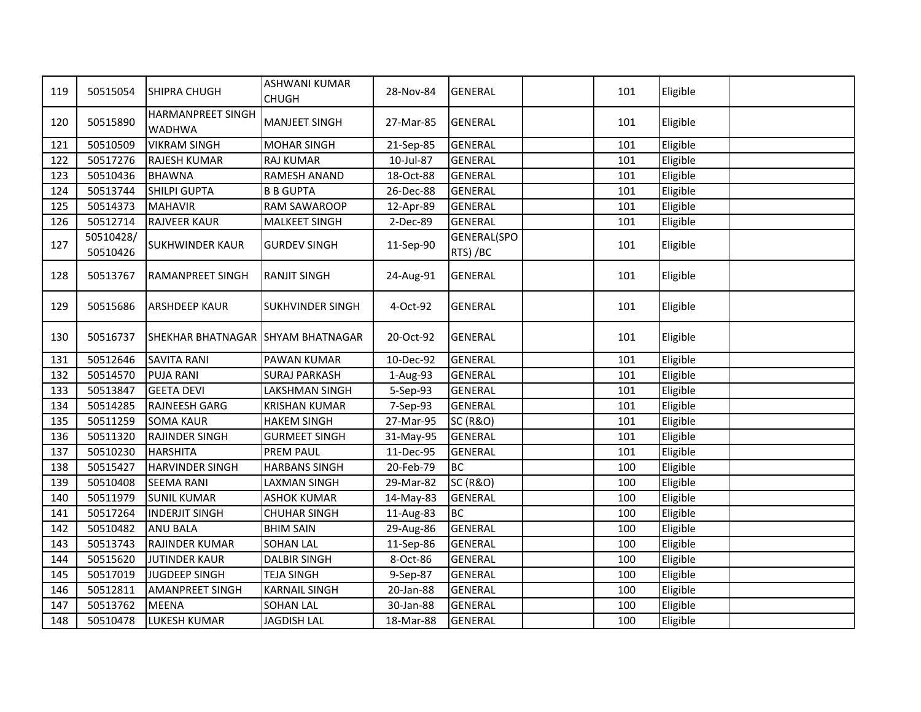| 119 | 50515054              | SHIPRA CHUGH                       | <b>ASHWANI KUMAR</b><br><b>CHUGH</b> | 28-Nov-84 | <b>GENERAL</b>                 | 101 | Eligible |  |
|-----|-----------------------|------------------------------------|--------------------------------------|-----------|--------------------------------|-----|----------|--|
| 120 | 50515890              | HARMANPREET SINGH<br><b>WADHWA</b> | <b>MANJEET SINGH</b>                 | 27-Mar-85 | <b>GENERAL</b>                 | 101 | Eligible |  |
| 121 | 50510509              | <b>VIKRAM SINGH</b>                | <b>MOHAR SINGH</b>                   | 21-Sep-85 | <b>GENERAL</b>                 | 101 | Eligible |  |
| 122 | 50517276              | <b>RAJESH KUMAR</b>                | <b>RAJ KUMAR</b>                     | 10-Jul-87 | <b>GENERAL</b>                 | 101 | Eligible |  |
| 123 | 50510436              | <b>BHAWNA</b>                      | RAMESH ANAND                         | 18-Oct-88 | <b>GENERAL</b>                 | 101 | Eligible |  |
| 124 | 50513744              | SHILPI GUPTA                       | <b>B B GUPTA</b>                     | 26-Dec-88 | <b>GENERAL</b>                 | 101 | Eligible |  |
| 125 | 50514373              | <b>MAHAVIR</b>                     | RAM SAWAROOP                         | 12-Apr-89 | <b>GENERAL</b>                 | 101 | Eligible |  |
| 126 | 50512714              | <b>RAJVEER KAUR</b>                | <b>MALKEET SINGH</b>                 | 2-Dec-89  | <b>GENERAL</b>                 | 101 | Eligible |  |
| 127 | 50510428/<br>50510426 | <b>SUKHWINDER KAUR</b>             | <b>GURDEV SINGH</b>                  | 11-Sep-90 | <b>GENERAL(SPO</b><br>RTS) /BC | 101 | Eligible |  |
| 128 | 50513767              | <b>RAMANPREET SINGH</b>            | <b>RANJIT SINGH</b>                  | 24-Aug-91 | <b>GENERAL</b>                 | 101 | Eligible |  |
| 129 | 50515686              | <b>ARSHDEEP KAUR</b>               | SUKHVINDER SINGH                     | 4-Oct-92  | <b>GENERAL</b>                 | 101 | Eligible |  |
| 130 | 50516737              | SHEKHAR BHATNAGAR SHYAM BHATNAGAR  |                                      | 20-Oct-92 | <b>GENERAL</b>                 | 101 | Eligible |  |
| 131 | 50512646              | <b>SAVITA RANI</b>                 | PAWAN KUMAR                          | 10-Dec-92 | <b>GENERAL</b>                 | 101 | Eligible |  |
| 132 | 50514570              | <b>PUJA RANI</b>                   | <b>SURAJ PARKASH</b>                 | 1-Aug-93  | <b>GENERAL</b>                 | 101 | Eligible |  |
| 133 | 50513847              | <b>GEETA DEVI</b>                  | LAKSHMAN SINGH                       | 5-Sep-93  | <b>GENERAL</b>                 | 101 | Eligible |  |
| 134 | 50514285              | <b>RAJNEESH GARG</b>               | <b>KRISHAN KUMAR</b>                 | 7-Sep-93  | <b>GENERAL</b>                 | 101 | Eligible |  |
| 135 | 50511259              | <b>SOMA KAUR</b>                   | <b>HAKEM SINGH</b>                   | 27-Mar-95 | <b>SC (R&amp;O)</b>            | 101 | Eligible |  |
| 136 | 50511320              | <b>RAJINDER SINGH</b>              | <b>GURMEET SINGH</b>                 | 31-May-95 | <b>GENERAL</b>                 | 101 | Eligible |  |
| 137 | 50510230              | <b>HARSHITA</b>                    | <b>PREM PAUL</b>                     | 11-Dec-95 | <b>GENERAL</b>                 | 101 | Eligible |  |
| 138 | 50515427              | <b>HARVINDER SINGH</b>             | <b>HARBANS SINGH</b>                 | 20-Feb-79 | <b>BC</b>                      | 100 | Eligible |  |
| 139 | 50510408              | <b>SEEMA RANI</b>                  | LAXMAN SINGH                         | 29-Mar-82 | <b>SC (R&amp;O)</b>            | 100 | Eligible |  |
| 140 | 50511979              | <b>SUNIL KUMAR</b>                 | <b>ASHOK KUMAR</b>                   | 14-May-83 | <b>GENERAL</b>                 | 100 | Eligible |  |
| 141 | 50517264              | <b>INDERJIT SINGH</b>              | <b>CHUHAR SINGH</b>                  | 11-Aug-83 | <b>BC</b>                      | 100 | Eligible |  |
| 142 | 50510482              | <b>ANU BALA</b>                    | <b>BHIM SAIN</b>                     | 29-Aug-86 | <b>GENERAL</b>                 | 100 | Eligible |  |
| 143 | 50513743              | <b>RAJINDER KUMAR</b>              | SOHAN LAL                            | 11-Sep-86 | <b>GENERAL</b>                 | 100 | Eligible |  |
| 144 | 50515620              | <b>JUTINDER KAUR</b>               | <b>DALBIR SINGH</b>                  | 8-Oct-86  | <b>GENERAL</b>                 | 100 | Eligible |  |
| 145 | 50517019              | JUGDEEP SINGH                      | <b>TEJA SINGH</b>                    | 9-Sep-87  | <b>GENERAL</b>                 | 100 | Eligible |  |
| 146 | 50512811              | <b>AMANPREET SINGH</b>             | <b>KARNAIL SINGH</b>                 | 20-Jan-88 | <b>GENERAL</b>                 | 100 | Eligible |  |
| 147 | 50513762              | <b>MEENA</b>                       | <b>SOHAN LAL</b>                     | 30-Jan-88 | <b>GENERAL</b>                 | 100 | Eligible |  |
| 148 | 50510478              | <b>LUKESH KUMAR</b>                | <b>JAGDISH LAL</b>                   | 18-Mar-88 | <b>GENERAL</b>                 | 100 | Eligible |  |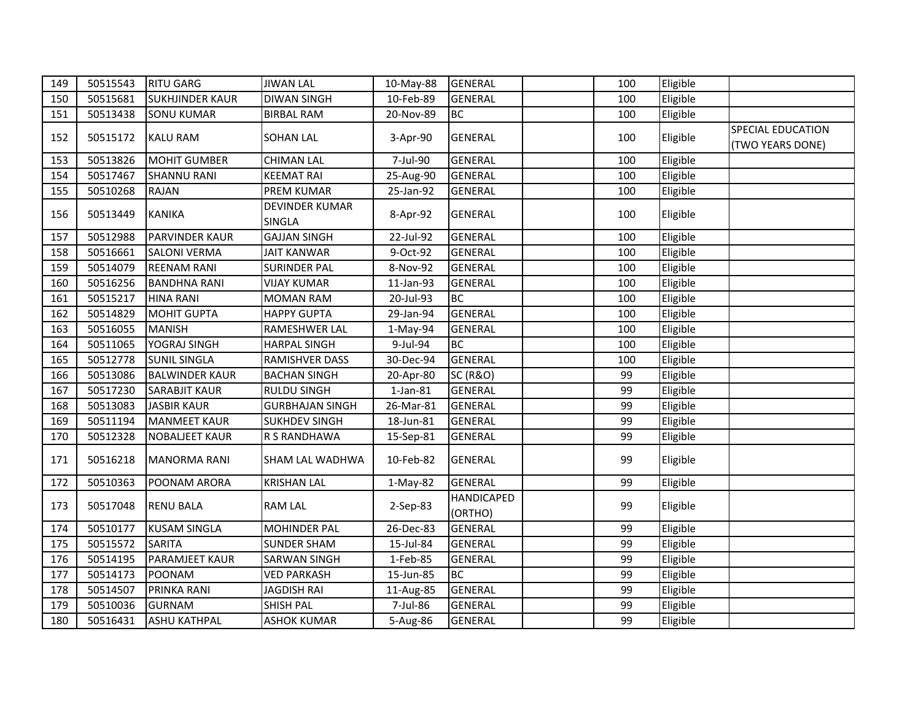| 149 | 50515543 | <b>RITU GARG</b>       | <b>JIWAN LAL</b>                       | 10-May-88      | <b>GENERAL</b>      | 100 | Eligible |                   |
|-----|----------|------------------------|----------------------------------------|----------------|---------------------|-----|----------|-------------------|
| 150 | 50515681 | <b>SUKHJINDER KAUR</b> | <b>DIWAN SINGH</b>                     | 10-Feb-89      | <b>GENERAL</b>      | 100 | Eligible |                   |
| 151 | 50513438 | <b>SONU KUMAR</b>      | <b>BIRBAL RAM</b>                      | 20-Nov-89      | <b>BC</b>           | 100 | Eligible |                   |
| 152 | 50515172 | <b>KALU RAM</b>        | <b>SOHAN LAL</b>                       | 3-Apr-90       | <b>GENERAL</b>      | 100 | Eligible | SPECIAL EDUCATION |
|     |          |                        |                                        |                |                     |     |          | (TWO YEARS DONE)  |
| 153 | 50513826 | <b>MOHIT GUMBER</b>    | <b>CHIMAN LAL</b>                      | 7-Jul-90       | <b>GENERAL</b>      | 100 | Eligible |                   |
| 154 | 50517467 | <b>SHANNU RANI</b>     | <b>KEEMAT RAI</b>                      | 25-Aug-90      | <b>GENERAL</b>      | 100 | Eligible |                   |
| 155 | 50510268 | <b>RAJAN</b>           | PREM KUMAR                             | 25-Jan-92      | <b>GENERAL</b>      | 100 | Eligible |                   |
| 156 | 50513449 | <b>KANIKA</b>          | <b>DEVINDER KUMAR</b><br><b>SINGLA</b> | 8-Apr-92       | <b>GENERAL</b>      | 100 | Eligible |                   |
| 157 | 50512988 | <b>PARVINDER KAUR</b>  | <b>GAJJAN SINGH</b>                    | 22-Jul-92      | <b>GENERAL</b>      | 100 | Eligible |                   |
| 158 | 50516661 | <b>SALONI VERMA</b>    | <b>JAIT KANWAR</b>                     | 9-Oct-92       | <b>GENERAL</b>      | 100 | Eligible |                   |
| 159 | 50514079 | <b>REENAM RANI</b>     | <b>SURINDER PAL</b>                    | 8-Nov-92       | <b>GENERAL</b>      | 100 | Eligible |                   |
| 160 | 50516256 | <b>BANDHNA RANI</b>    | <b>VIJAY KUMAR</b>                     | 11-Jan-93      | <b>GENERAL</b>      | 100 | Eligible |                   |
| 161 | 50515217 | <b>HINA RANI</b>       | <b>MOMAN RAM</b>                       | 20-Jul-93      | <b>BC</b>           | 100 | Eligible |                   |
| 162 | 50514829 | <b>MOHIT GUPTA</b>     | <b>HAPPY GUPTA</b>                     | 29-Jan-94      | <b>GENERAL</b>      | 100 | Eligible |                   |
| 163 | 50516055 | <b>MANISH</b>          | RAMESHWER LAL                          | 1-May-94       | <b>GENERAL</b>      | 100 | Eligible |                   |
| 164 | 50511065 | YOGRAJ SINGH           | <b>HARPAL SINGH</b>                    | 9-Jul-94       | <b>BC</b>           | 100 | Eligible |                   |
| 165 | 50512778 | <b>SUNIL SINGLA</b>    | RAMISHVER DASS                         | 30-Dec-94      | <b>GENERAL</b>      | 100 | Eligible |                   |
| 166 | 50513086 | <b>BALWINDER KAUR</b>  | <b>BACHAN SINGH</b>                    | 20-Apr-80      | <b>SC (R&amp;O)</b> | 99  | Eligible |                   |
| 167 | 50517230 | <b>SARABJIT KAUR</b>   | <b>RULDU SINGH</b>                     | $1$ -Jan- $81$ | <b>GENERAL</b>      | 99  | Eligible |                   |
| 168 | 50513083 | <b>JASBIR KAUR</b>     | <b>GURBHAJAN SINGH</b>                 | 26-Mar-81      | <b>GENERAL</b>      | 99  | Eligible |                   |
| 169 | 50511194 | <b>MANMEET KAUR</b>    | <b>SUKHDEV SINGH</b>                   | 18-Jun-81      | <b>GENERAL</b>      | 99  | Eligible |                   |
| 170 | 50512328 | <b>NOBALJEET KAUR</b>  | R S RANDHAWA                           | 15-Sep-81      | <b>GENERAL</b>      | 99  | Eligible |                   |
| 171 | 50516218 | <b>MANORMA RANI</b>    | SHAM LAL WADHWA                        | 10-Feb-82      | <b>GENERAL</b>      | 99  | Eligible |                   |
| 172 | 50510363 | POONAM ARORA           | <b>KRISHAN LAL</b>                     | $1-May-82$     | <b>GENERAL</b>      | 99  | Eligible |                   |
| 173 | 50517048 | <b>RENU BALA</b>       | <b>RAM LAL</b>                         | 2-Sep-83       | <b>HANDICAPED</b>   | 99  | Eligible |                   |
|     |          |                        |                                        |                | (ORTHO)             |     |          |                   |
| 174 | 50510177 | <b>KUSAM SINGLA</b>    | MOHINDER PAL                           | 26-Dec-83      | <b>GENERAL</b>      | 99  | Eligible |                   |
| 175 | 50515572 | <b>SARITA</b>          | <b>SUNDER SHAM</b>                     | 15-Jul-84      | <b>GENERAL</b>      | 99  | Eligible |                   |
| 176 | 50514195 | <b>PARAMJEET KAUR</b>  | <b>SARWAN SINGH</b>                    | 1-Feb-85       | <b>GENERAL</b>      | 99  | Eligible |                   |
| 177 | 50514173 | POONAM                 | <b>VED PARKASH</b>                     | 15-Jun-85      | <b>BC</b>           | 99  | Eligible |                   |
| 178 | 50514507 | PRINKA RANI            | JAGDISH RAI                            | 11-Aug-85      | <b>GENERAL</b>      | 99  | Eligible |                   |
| 179 | 50510036 | <b>GURNAM</b>          | SHISH PAL                              | 7-Jul-86       | <b>GENERAL</b>      | 99  | Eligible |                   |
| 180 | 50516431 | <b>ASHU KATHPAL</b>    | <b>ASHOK KUMAR</b>                     | 5-Aug-86       | <b>GENERAL</b>      | 99  | Eligible |                   |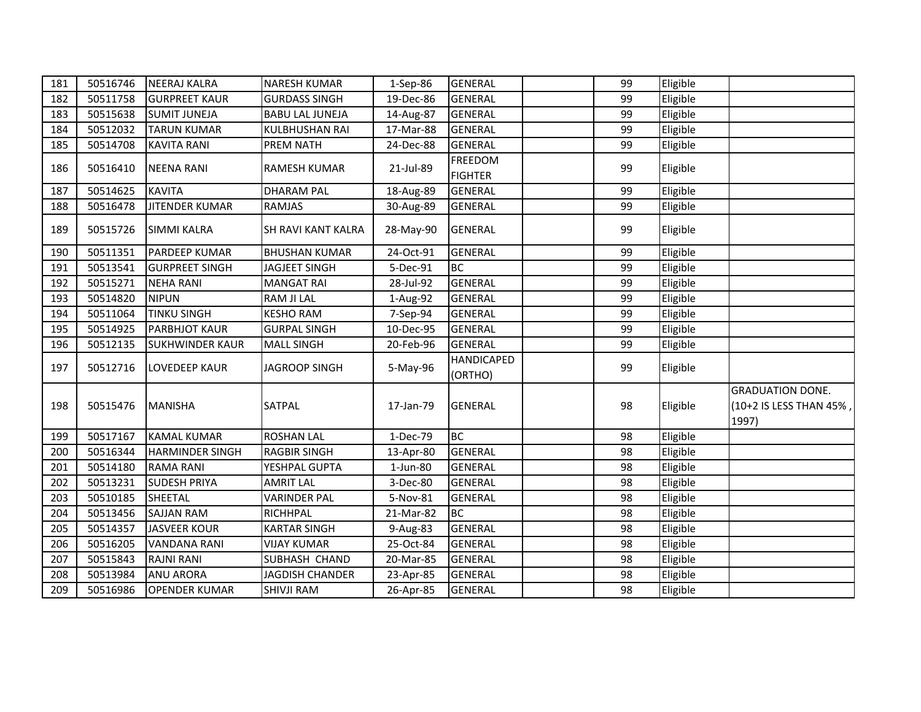| 181 | 50516746 | <b>NEERAJ KALRA</b>    | <b>NARESH KUMAR</b>    | 1-Sep-86  | <b>GENERAL</b>               | 99 | Eligible |                                                             |
|-----|----------|------------------------|------------------------|-----------|------------------------------|----|----------|-------------------------------------------------------------|
| 182 | 50511758 | <b>GURPREET KAUR</b>   | <b>GURDASS SINGH</b>   | 19-Dec-86 | <b>GENERAL</b>               | 99 | Eligible |                                                             |
| 183 | 50515638 | <b>SUMIT JUNEJA</b>    | <b>BABU LAL JUNEJA</b> | 14-Aug-87 | <b>GENERAL</b>               | 99 | Eligible |                                                             |
| 184 | 50512032 | <b>TARUN KUMAR</b>     | <b>KULBHUSHAN RAI</b>  | 17-Mar-88 | <b>GENERAL</b>               | 99 | Eligible |                                                             |
| 185 | 50514708 | <b>KAVITA RANI</b>     | <b>PREM NATH</b>       | 24-Dec-88 | <b>GENERAL</b>               | 99 | Eligible |                                                             |
| 186 | 50516410 | <b>NEENA RANI</b>      | <b>RAMESH KUMAR</b>    | 21-Jul-89 | <b>FREEDOM</b>               | 99 | Eligible |                                                             |
|     |          |                        |                        |           | <b>FIGHTER</b>               |    |          |                                                             |
| 187 | 50514625 | <b>KAVITA</b>          | <b>DHARAM PAL</b>      | 18-Aug-89 | <b>GENERAL</b>               | 99 | Eligible |                                                             |
| 188 | 50516478 | <b>JITENDER KUMAR</b>  | <b>RAMJAS</b>          | 30-Aug-89 | <b>GENERAL</b>               | 99 | Eligible |                                                             |
| 189 | 50515726 | <b>SIMMI KALRA</b>     | SH RAVI KANT KALRA     | 28-May-90 | <b>GENERAL</b>               | 99 | Eligible |                                                             |
| 190 | 50511351 | PARDEEP KUMAR          | <b>BHUSHAN KUMAR</b>   | 24-Oct-91 | <b>GENERAL</b>               | 99 | Eligible |                                                             |
| 191 | 50513541 | <b>GURPREET SINGH</b>  | <b>JAGJEET SINGH</b>   | 5-Dec-91  | <b>BC</b>                    | 99 | Eligible |                                                             |
| 192 | 50515271 | <b>NEHA RANI</b>       | <b>MANGAT RAI</b>      | 28-Jul-92 | <b>GENERAL</b>               | 99 | Eligible |                                                             |
| 193 | 50514820 | <b>NIPUN</b>           | RAM JI LAL             | 1-Aug-92  | <b>GENERAL</b>               | 99 | Eligible |                                                             |
| 194 | 50511064 | <b>TINKU SINGH</b>     | <b>KESHO RAM</b>       | 7-Sep-94  | <b>GENERAL</b>               | 99 | Eligible |                                                             |
| 195 | 50514925 | <b>PARBHJOT KAUR</b>   | <b>GURPAL SINGH</b>    | 10-Dec-95 | <b>GENERAL</b>               | 99 | Eligible |                                                             |
| 196 | 50512135 | <b>SUKHWINDER KAUR</b> | <b>MALL SINGH</b>      | 20-Feb-96 | <b>GENERAL</b>               | 99 | Eligible |                                                             |
| 197 | 50512716 | <b>LOVEDEEP KAUR</b>   | <b>JAGROOP SINGH</b>   | 5-May-96  | <b>HANDICAPED</b><br>(ORTHO) | 99 | Eligible |                                                             |
| 198 | 50515476 | <b>MANISHA</b>         | SATPAL                 | 17-Jan-79 | <b>GENERAL</b>               | 98 | Eligible | <b>GRADUATION DONE.</b><br>(10+2 IS LESS THAN 45%,<br>1997) |
| 199 | 50517167 | <b>KAMAL KUMAR</b>     | <b>ROSHAN LAL</b>      | 1-Dec-79  | <b>BC</b>                    | 98 | Eligible |                                                             |
| 200 | 50516344 | <b>HARMINDER SINGH</b> | <b>RAGBIR SINGH</b>    | 13-Apr-80 | <b>GENERAL</b>               | 98 | Eligible |                                                             |
| 201 | 50514180 | <b>RAMA RANI</b>       | YESHPAL GUPTA          | 1-Jun-80  | <b>GENERAL</b>               | 98 | Eligible |                                                             |
| 202 | 50513231 | <b>SUDESH PRIYA</b>    | <b>AMRIT LAL</b>       | 3-Dec-80  | <b>GENERAL</b>               | 98 | Eligible |                                                             |
| 203 | 50510185 | SHEETAL                | <b>VARINDER PAL</b>    | 5-Nov-81  | <b>GENERAL</b>               | 98 | Eligible |                                                             |
| 204 | 50513456 | <b>SAJJAN RAM</b>      | RICHHPAL               | 21-Mar-82 | BC                           | 98 | Eligible |                                                             |
| 205 | 50514357 | <b>JASVEER KOUR</b>    | <b>KARTAR SINGH</b>    | 9-Aug-83  | <b>GENERAL</b>               | 98 | Eligible |                                                             |
| 206 | 50516205 | <b>VANDANA RANI</b>    | <b>VIJAY KUMAR</b>     | 25-Oct-84 | <b>GENERAL</b>               | 98 | Eligible |                                                             |
| 207 | 50515843 | <b>RAJNI RANI</b>      | SUBHASH CHAND          | 20-Mar-85 | <b>GENERAL</b>               | 98 | Eligible |                                                             |
| 208 | 50513984 | <b>ANU ARORA</b>       | <b>JAGDISH CHANDER</b> | 23-Apr-85 | <b>GENERAL</b>               | 98 | Eligible |                                                             |
| 209 | 50516986 | <b>OPENDER KUMAR</b>   | SHIVJI RAM             | 26-Apr-85 | <b>GENERAL</b>               | 98 | Eligible |                                                             |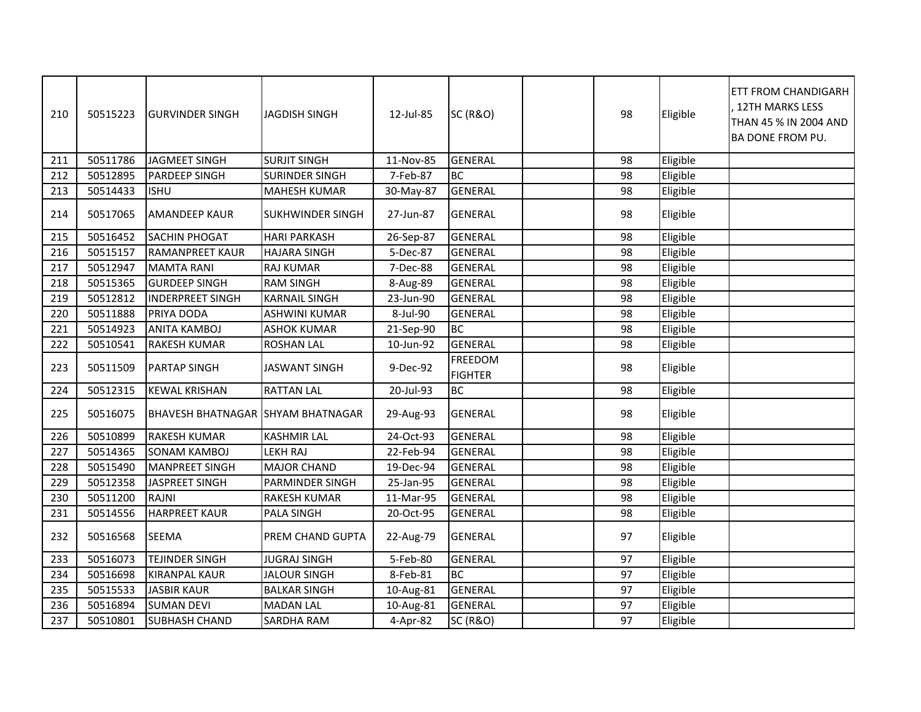| 210 | 50515223 | <b>GURVINDER SINGH</b>                   | <b>JAGDISH SINGH</b>    | 12-Jul-85 | <b>SC (R&amp;O)</b>              | 98 | Eligible | ETT FROM CHANDIGARH<br>12TH MARKS LESS<br>THAN 45 % IN 2004 AND<br>BA DONE FROM PU. |
|-----|----------|------------------------------------------|-------------------------|-----------|----------------------------------|----|----------|-------------------------------------------------------------------------------------|
| 211 | 50511786 | <b>JAGMEET SINGH</b>                     | <b>SURJIT SINGH</b>     | 11-Nov-85 | <b>GENERAL</b>                   | 98 | Eligible |                                                                                     |
| 212 | 50512895 | PARDEEP SINGH                            | <b>SURINDER SINGH</b>   | 7-Feb-87  | BC                               | 98 | Eligible |                                                                                     |
| 213 | 50514433 | <b>ISHU</b>                              | <b>MAHESH KUMAR</b>     | 30-May-87 | <b>GENERAL</b>                   | 98 | Eligible |                                                                                     |
| 214 | 50517065 | <b>AMANDEEP KAUR</b>                     | <b>SUKHWINDER SINGH</b> | 27-Jun-87 | <b>GENERAL</b>                   | 98 | Eligible |                                                                                     |
| 215 | 50516452 | <b>SACHIN PHOGAT</b>                     | <b>HARI PARKASH</b>     | 26-Sep-87 | <b>GENERAL</b>                   | 98 | Eligible |                                                                                     |
| 216 | 50515157 | <b>RAMANPREET KAUR</b>                   | <b>HAJARA SINGH</b>     | 5-Dec-87  | <b>GENERAL</b>                   | 98 | Eligible |                                                                                     |
| 217 | 50512947 | <b>MAMTA RANI</b>                        | RAJ KUMAR               | 7-Dec-88  | <b>GENERAL</b>                   | 98 | Eligible |                                                                                     |
| 218 | 50515365 | <b>GURDEEP SINGH</b>                     | <b>RAM SINGH</b>        | 8-Aug-89  | <b>GENERAL</b>                   | 98 | Eligible |                                                                                     |
| 219 | 50512812 | <b>INDERPREET SINGH</b>                  | <b>KARNAIL SINGH</b>    | 23-Jun-90 | <b>GENERAL</b>                   | 98 | Eligible |                                                                                     |
| 220 | 50511888 | PRIYA DODA                               | <b>ASHWINI KUMAR</b>    | 8-Jul-90  | <b>GENERAL</b>                   | 98 | Eligible |                                                                                     |
| 221 | 50514923 | <b>ANITA KAMBOJ</b>                      | <b>ASHOK KUMAR</b>      | 21-Sep-90 | <b>BC</b>                        | 98 | Eligible |                                                                                     |
| 222 | 50510541 | <b>RAKESH KUMAR</b>                      | <b>ROSHAN LAL</b>       | 10-Jun-92 | <b>GENERAL</b>                   | 98 | Eligible |                                                                                     |
| 223 | 50511509 | <b>PARTAP SINGH</b>                      | <b>JASWANT SINGH</b>    | 9-Dec-92  | <b>FREEDOM</b><br><b>FIGHTER</b> | 98 | Eligible |                                                                                     |
| 224 | 50512315 | <b>KEWAL KRISHAN</b>                     | <b>RATTAN LAL</b>       | 20-Jul-93 | <b>BC</b>                        | 98 | Eligible |                                                                                     |
| 225 | 50516075 | <b>BHAVESH BHATNAGAR SHYAM BHATNAGAR</b> |                         | 29-Aug-93 | <b>GENERAL</b>                   | 98 | Eligible |                                                                                     |
| 226 | 50510899 | <b>RAKESH KUMAR</b>                      | <b>KASHMIR LAL</b>      | 24-Oct-93 | <b>GENERAL</b>                   | 98 | Eligible |                                                                                     |
| 227 | 50514365 | <b>SONAM KAMBOJ</b>                      | <b>LEKH RAJ</b>         | 22-Feb-94 | <b>GENERAL</b>                   | 98 | Eligible |                                                                                     |
| 228 | 50515490 | <b>MANPREET SINGH</b>                    | <b>MAJOR CHAND</b>      | 19-Dec-94 | <b>GENERAL</b>                   | 98 | Eligible |                                                                                     |
| 229 | 50512358 | JASPREET SINGH                           | PARMINDER SINGH         | 25-Jan-95 | <b>GENERAL</b>                   | 98 | Eligible |                                                                                     |
| 230 | 50511200 | <b>RAJNI</b>                             | <b>RAKESH KUMAR</b>     | 11-Mar-95 | <b>GENERAL</b>                   | 98 | Eligible |                                                                                     |
| 231 | 50514556 | <b>HARPREET KAUR</b>                     | PALA SINGH              | 20-Oct-95 | <b>GENERAL</b>                   | 98 | Eligible |                                                                                     |
| 232 | 50516568 | <b>SEEMA</b>                             | PREM CHAND GUPTA        | 22-Aug-79 | <b>GENERAL</b>                   | 97 | Eligible |                                                                                     |
| 233 | 50516073 | <b>TEJINDER SINGH</b>                    | <b>JUGRAJ SINGH</b>     | 5-Feb-80  | <b>GENERAL</b>                   | 97 | Eligible |                                                                                     |
| 234 | 50516698 | <b>KIRANPAL KAUR</b>                     | <b>JALOUR SINGH</b>     | 8-Feb-81  | <b>BC</b>                        | 97 | Eligible |                                                                                     |
| 235 | 50515533 | <b>JASBIR KAUR</b>                       | <b>BALKAR SINGH</b>     | 10-Aug-81 | <b>GENERAL</b>                   | 97 | Eligible |                                                                                     |
| 236 | 50516894 | <b>SUMAN DEVI</b>                        | <b>MADAN LAL</b>        | 10-Aug-81 | <b>GENERAL</b>                   | 97 | Eligible |                                                                                     |
| 237 | 50510801 | <b>SUBHASH CHAND</b>                     | SARDHA RAM              | 4-Apr-82  | <b>SC (R&amp;O)</b>              | 97 | Eligible |                                                                                     |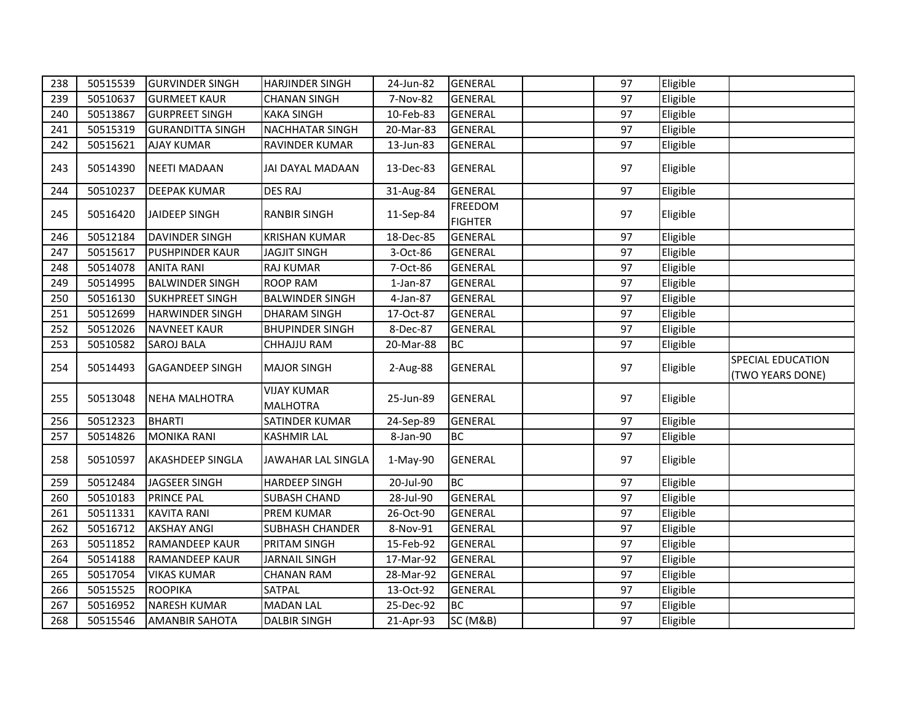| 238 | 50515539 | <b>GURVINDER SINGH</b>  | <b>HARJINDER SINGH</b>                | 24-Jun-82 | <b>GENERAL</b>                   | 97 | Eligible |                                       |
|-----|----------|-------------------------|---------------------------------------|-----------|----------------------------------|----|----------|---------------------------------------|
| 239 | 50510637 | <b>GURMEET KAUR</b>     | <b>CHANAN SINGH</b>                   | 7-Nov-82  | <b>GENERAL</b>                   | 97 | Eligible |                                       |
| 240 | 50513867 | <b>GURPREET SINGH</b>   | <b>KAKA SINGH</b>                     | 10-Feb-83 | <b>GENERAL</b>                   | 97 | Eligible |                                       |
| 241 | 50515319 | <b>GURANDITTA SINGH</b> | NACHHATAR SINGH                       | 20-Mar-83 | <b>GENERAL</b>                   | 97 | Eligible |                                       |
| 242 | 50515621 | <b>AJAY KUMAR</b>       | RAVINDER KUMAR                        | 13-Jun-83 | <b>GENERAL</b>                   | 97 | Eligible |                                       |
| 243 | 50514390 | <b>NEETI MADAAN</b>     | JAI DAYAL MADAAN                      | 13-Dec-83 | <b>GENERAL</b>                   | 97 | Eligible |                                       |
| 244 | 50510237 | <b>DEEPAK KUMAR</b>     | <b>DES RAJ</b>                        | 31-Aug-84 | <b>GENERAL</b>                   | 97 | Eligible |                                       |
| 245 | 50516420 | JAIDEEP SINGH           | <b>RANBIR SINGH</b>                   | 11-Sep-84 | <b>FREEDOM</b><br><b>FIGHTER</b> | 97 | Eligible |                                       |
| 246 | 50512184 | DAVINDER SINGH          | <b>KRISHAN KUMAR</b>                  | 18-Dec-85 | <b>GENERAL</b>                   | 97 | Eligible |                                       |
| 247 | 50515617 | <b>PUSHPINDER KAUR</b>  | <b>JAGJIT SINGH</b>                   | 3-Oct-86  | <b>GENERAL</b>                   | 97 | Eligible |                                       |
| 248 | 50514078 | <b>ANITA RANI</b>       | <b>RAJ KUMAR</b>                      | 7-Oct-86  | <b>GENERAL</b>                   | 97 | Eligible |                                       |
| 249 | 50514995 | <b>BALWINDER SINGH</b>  | <b>ROOP RAM</b>                       | 1-Jan-87  | <b>GENERAL</b>                   | 97 | Eligible |                                       |
| 250 | 50516130 | <b>SUKHPREET SINGH</b>  | <b>BALWINDER SINGH</b>                | 4-Jan-87  | <b>GENERAL</b>                   | 97 | Eligible |                                       |
| 251 | 50512699 | <b>HARWINDER SINGH</b>  | <b>DHARAM SINGH</b>                   | 17-Oct-87 | <b>GENERAL</b>                   | 97 | Eligible |                                       |
| 252 | 50512026 | <b>NAVNEET KAUR</b>     | <b>BHUPINDER SINGH</b>                | 8-Dec-87  | <b>GENERAL</b>                   | 97 | Eligible |                                       |
| 253 | 50510582 | <b>SAROJ BALA</b>       | CHHAJJU RAM                           | 20-Mar-88 | <b>BC</b>                        | 97 | Eligible |                                       |
|     |          |                         |                                       |           |                                  |    |          |                                       |
| 254 | 50514493 | <b>GAGANDEEP SINGH</b>  | <b>MAJOR SINGH</b>                    | 2-Aug-88  | <b>GENERAL</b>                   | 97 | Eligible | SPECIAL EDUCATION<br>(TWO YEARS DONE) |
| 255 | 50513048 | <b>NEHA MALHOTRA</b>    | <b>VIJAY KUMAR</b><br><b>MALHOTRA</b> | 25-Jun-89 | <b>GENERAL</b>                   | 97 | Eligible |                                       |
| 256 | 50512323 | <b>BHARTI</b>           | SATINDER KUMAR                        | 24-Sep-89 | <b>GENERAL</b>                   | 97 | Eligible |                                       |
| 257 | 50514826 | <b>MONIKA RANI</b>      | <b>KASHMIR LAL</b>                    | 8-Jan-90  | <b>BC</b>                        | 97 | Eligible |                                       |
| 258 | 50510597 | <b>AKASHDEEP SINGLA</b> | JAWAHAR LAL SINGLA                    | 1-May-90  | <b>GENERAL</b>                   | 97 | Eligible |                                       |
| 259 | 50512484 | JAGSEER SINGH           | <b>HARDEEP SINGH</b>                  | 20-Jul-90 | <b>BC</b>                        | 97 | Eligible |                                       |
| 260 | 50510183 | <b>PRINCE PAL</b>       | <b>SUBASH CHAND</b>                   | 28-Jul-90 | <b>GENERAL</b>                   | 97 | Eligible |                                       |
| 261 | 50511331 | <b>KAVITA RANI</b>      | PREM KUMAR                            | 26-Oct-90 | <b>GENERAL</b>                   | 97 | Eligible |                                       |
| 262 | 50516712 | <b>AKSHAY ANGI</b>      | <b>SUBHASH CHANDER</b>                | 8-Nov-91  | <b>GENERAL</b>                   | 97 | Eligible |                                       |
| 263 | 50511852 | <b>RAMANDEEP KAUR</b>   | PRITAM SINGH                          | 15-Feb-92 | <b>GENERAL</b>                   | 97 | Eligible |                                       |
| 264 | 50514188 | <b>RAMANDEEP KAUR</b>   | <b>JARNAIL SINGH</b>                  | 17-Mar-92 | <b>GENERAL</b>                   | 97 | Eligible |                                       |
| 265 | 50517054 | <b>VIKAS KUMAR</b>      | <b>CHANAN RAM</b>                     | 28-Mar-92 | <b>GENERAL</b>                   | 97 | Eligible |                                       |
| 266 | 50515525 | <b>ROOPIKA</b>          | SATPAL                                | 13-Oct-92 | <b>GENERAL</b>                   | 97 | Eligible |                                       |
| 267 | 50516952 | <b>NARESH KUMAR</b>     | MADAN LAL                             | 25-Dec-92 | <b>BC</b>                        | 97 | Eligible |                                       |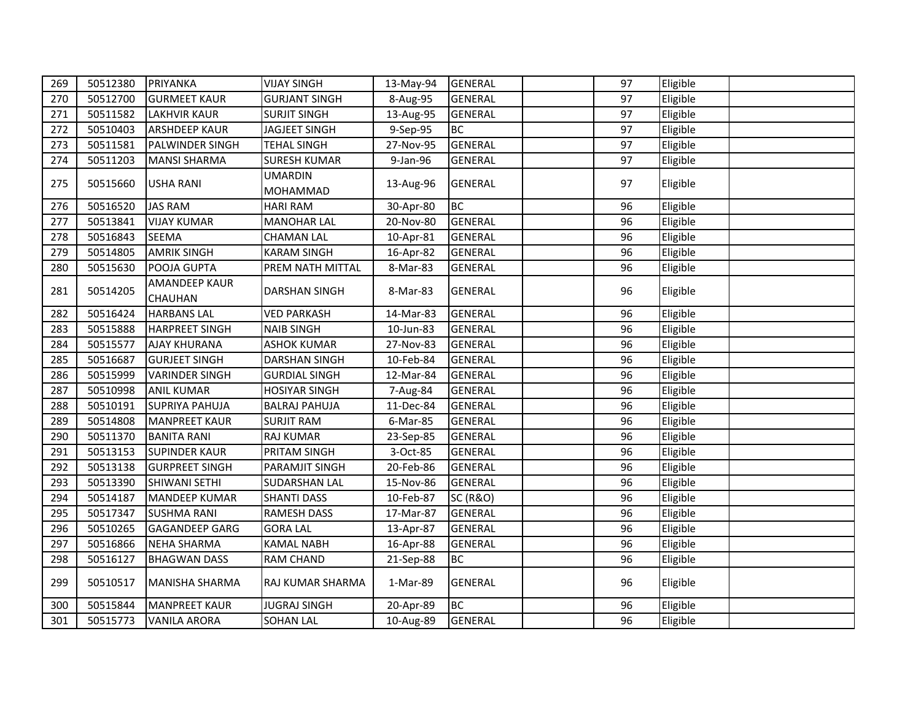| 269 | 50512380 | PRIYANKA              | <b>VIJAY SINGH</b>    | 13-May-94 | <b>GENERAL</b>      | 97 | Eligible |  |
|-----|----------|-----------------------|-----------------------|-----------|---------------------|----|----------|--|
| 270 | 50512700 | <b>GURMEET KAUR</b>   | <b>GURJANT SINGH</b>  | 8-Aug-95  | <b>GENERAL</b>      | 97 | Eligible |  |
| 271 | 50511582 | <b>LAKHVIR KAUR</b>   | <b>SURJIT SINGH</b>   | 13-Aug-95 | <b>GENERAL</b>      | 97 | Eligible |  |
| 272 | 50510403 | <b>ARSHDEEP KAUR</b>  | <b>JAGJEET SINGH</b>  | 9-Sep-95  | <b>BC</b>           | 97 | Eligible |  |
| 273 | 50511581 | PALWINDER SINGH       | <b>TEHAL SINGH</b>    | 27-Nov-95 | <b>GENERAL</b>      | 97 | Eligible |  |
| 274 | 50511203 | <b>MANSI SHARMA</b>   | <b>SURESH KUMAR</b>   | 9-Jan-96  | <b>GENERAL</b>      | 97 | Eligible |  |
|     |          |                       | <b>UMARDIN</b>        |           |                     |    |          |  |
| 275 | 50515660 | <b>USHA RANI</b>      | MOHAMMAD              | 13-Aug-96 | <b>GENERAL</b>      | 97 | Eligible |  |
| 276 | 50516520 | <b>JAS RAM</b>        | <b>HARI RAM</b>       | 30-Apr-80 | <b>BC</b>           | 96 | Eligible |  |
| 277 | 50513841 | <b>VIJAY KUMAR</b>    | <b>MANOHAR LAL</b>    | 20-Nov-80 | <b>GENERAL</b>      | 96 | Eligible |  |
| 278 | 50516843 | <b>SEEMA</b>          | <b>CHAMAN LAL</b>     | 10-Apr-81 | <b>GENERAL</b>      | 96 | Eligible |  |
| 279 | 50514805 | <b>AMRIK SINGH</b>    | <b>KARAM SINGH</b>    | 16-Apr-82 | <b>GENERAL</b>      | 96 | Eligible |  |
| 280 | 50515630 | POOJA GUPTA           | PREM NATH MITTAL      | 8-Mar-83  | <b>GENERAL</b>      | 96 | Eligible |  |
| 281 | 50514205 | <b>AMANDEEP KAUR</b>  | <b>DARSHAN SINGH</b>  | 8-Mar-83  | <b>GENERAL</b>      | 96 | Eligible |  |
|     |          | <b>CHAUHAN</b>        |                       |           |                     |    |          |  |
| 282 | 50516424 | <b>HARBANS LAL</b>    | <b>VED PARKASH</b>    | 14-Mar-83 | <b>GENERAL</b>      | 96 | Eligible |  |
| 283 | 50515888 | <b>HARPREET SINGH</b> | <b>NAIB SINGH</b>     | 10-Jun-83 | <b>GENERAL</b>      | 96 | Eligible |  |
| 284 | 50515577 | <b>AJAY KHURANA</b>   | <b>ASHOK KUMAR</b>    | 27-Nov-83 | <b>GENERAL</b>      | 96 | Eligible |  |
| 285 | 50516687 | <b>GURJEET SINGH</b>  | DARSHAN SINGH         | 10-Feb-84 | <b>GENERAL</b>      | 96 | Eligible |  |
| 286 | 50515999 | <b>VARINDER SINGH</b> | <b>GURDIAL SINGH</b>  | 12-Mar-84 | <b>GENERAL</b>      | 96 | Eligible |  |
| 287 | 50510998 | <b>ANIL KUMAR</b>     | <b>HOSIYAR SINGH</b>  | 7-Aug-84  | <b>GENERAL</b>      | 96 | Eligible |  |
| 288 | 50510191 | <b>SUPRIYA PAHUJA</b> | <b>BALRAJ PAHUJA</b>  | 11-Dec-84 | <b>GENERAL</b>      | 96 | Eligible |  |
| 289 | 50514808 | <b>MANPREET KAUR</b>  | <b>SURJIT RAM</b>     | 6-Mar-85  | <b>GENERAL</b>      | 96 | Eligible |  |
| 290 | 50511370 | <b>BANITA RANI</b>    | <b>RAJ KUMAR</b>      | 23-Sep-85 | <b>GENERAL</b>      | 96 | Eligible |  |
| 291 | 50513153 | <b>SUPINDER KAUR</b>  | PRITAM SINGH          | 3-Oct-85  | <b>GENERAL</b>      | 96 | Eligible |  |
| 292 | 50513138 | <b>GURPREET SINGH</b> | <b>PARAMJIT SINGH</b> | 20-Feb-86 | <b>GENERAL</b>      | 96 | Eligible |  |
| 293 | 50513390 | SHIWANI SETHI         | <b>SUDARSHAN LAL</b>  | 15-Nov-86 | <b>GENERAL</b>      | 96 | Eligible |  |
| 294 | 50514187 | <b>MANDEEP KUMAR</b>  | <b>SHANTI DASS</b>    | 10-Feb-87 | <b>SC (R&amp;O)</b> | 96 | Eligible |  |
| 295 | 50517347 | <b>SUSHMA RANI</b>    | <b>RAMESH DASS</b>    | 17-Mar-87 | <b>GENERAL</b>      | 96 | Eligible |  |
| 296 | 50510265 | <b>GAGANDEEP GARG</b> | <b>GORA LAL</b>       | 13-Apr-87 | <b>GENERAL</b>      | 96 | Eligible |  |
| 297 | 50516866 | <b>NEHA SHARMA</b>    | <b>KAMAL NABH</b>     | 16-Apr-88 | <b>GENERAL</b>      | 96 | Eligible |  |
| 298 | 50516127 | <b>BHAGWAN DASS</b>   | RAM CHAND             | 21-Sep-88 | <b>BC</b>           | 96 | Eligible |  |
| 299 | 50510517 | <b>MANISHA SHARMA</b> | RAJ KUMAR SHARMA      | 1-Mar-89  | <b>GENERAL</b>      | 96 | Eligible |  |
| 300 | 50515844 | <b>MANPREET KAUR</b>  | <b>JUGRAJ SINGH</b>   | 20-Apr-89 | <b>BC</b>           | 96 | Eligible |  |
| 301 | 50515773 | <b>VANILA ARORA</b>   | <b>SOHAN LAL</b>      | 10-Aug-89 | <b>GENERAL</b>      | 96 | Eligible |  |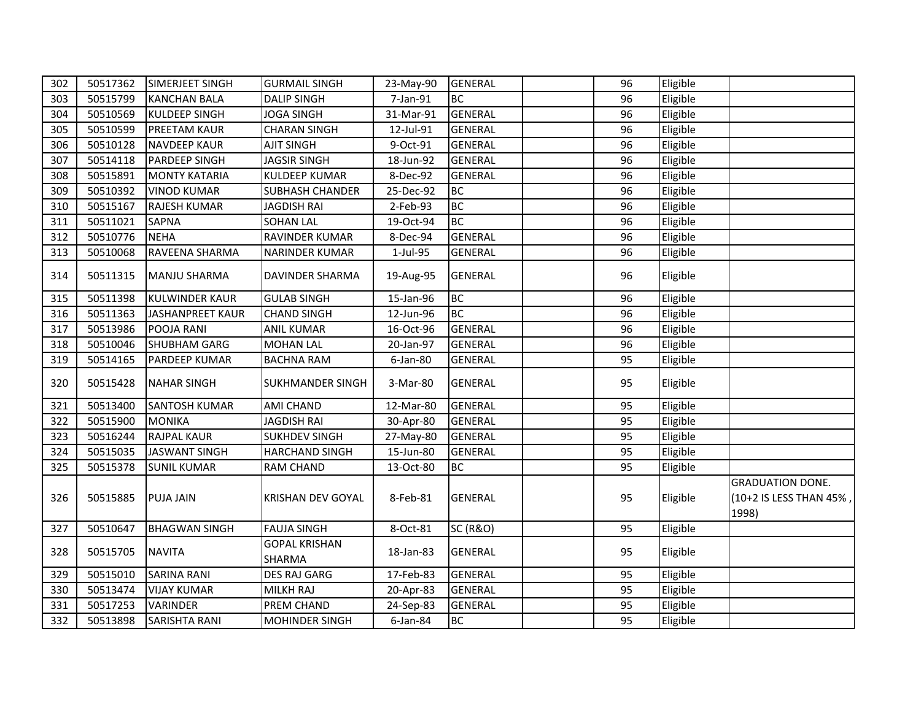| 302 | 50517362 | SIMERJEET SINGH         | <b>GURMAIL SINGH</b>           | 23-May-90   | <b>GENERAL</b>      | 96 | Eligible |                                                             |
|-----|----------|-------------------------|--------------------------------|-------------|---------------------|----|----------|-------------------------------------------------------------|
| 303 | 50515799 | <b>KANCHAN BALA</b>     | <b>DALIP SINGH</b>             | 7-Jan-91    | <b>BC</b>           | 96 | Eligible |                                                             |
| 304 | 50510569 | <b>KULDEEP SINGH</b>    | JOGA SINGH                     | 31-Mar-91   | <b>GENERAL</b>      | 96 | Eligible |                                                             |
| 305 | 50510599 | <b>PREETAM KAUR</b>     | <b>CHARAN SINGH</b>            | 12-Jul-91   | <b>GENERAL</b>      | 96 | Eligible |                                                             |
| 306 | 50510128 | <b>NAVDEEP KAUR</b>     | <b>AJIT SINGH</b>              | 9-Oct-91    | <b>GENERAL</b>      | 96 | Eligible |                                                             |
| 307 | 50514118 | <b>PARDEEP SINGH</b>    | <b>JAGSIR SINGH</b>            | 18-Jun-92   | <b>GENERAL</b>      | 96 | Eligible |                                                             |
| 308 | 50515891 | <b>MONTY KATARIA</b>    | <b>KULDEEP KUMAR</b>           | 8-Dec-92    | <b>GENERAL</b>      | 96 | Eligible |                                                             |
| 309 | 50510392 | <b>VINOD KUMAR</b>      | <b>SUBHASH CHANDER</b>         | 25-Dec-92   | <b>BC</b>           | 96 | Eligible |                                                             |
| 310 | 50515167 | <b>RAJESH KUMAR</b>     | <b>JAGDISH RAI</b>             | 2-Feb-93    | <b>BC</b>           | 96 | Eligible |                                                             |
| 311 | 50511021 | <b>SAPNA</b>            | <b>SOHAN LAL</b>               | 19-Oct-94   | <b>BC</b>           | 96 | Eligible |                                                             |
| 312 | 50510776 | <b>NEHA</b>             | RAVINDER KUMAR                 | 8-Dec-94    | <b>GENERAL</b>      | 96 | Eligible |                                                             |
| 313 | 50510068 | RAVEENA SHARMA          | <b>NARINDER KUMAR</b>          | 1-Jul-95    | <b>GENERAL</b>      | 96 | Eligible |                                                             |
| 314 | 50511315 | <b>MANJU SHARMA</b>     | DAVINDER SHARMA                | 19-Aug-95   | <b>GENERAL</b>      | 96 | Eligible |                                                             |
| 315 | 50511398 | <b>KULWINDER KAUR</b>   | <b>GULAB SINGH</b>             | 15-Jan-96   | <b>BC</b>           | 96 | Eligible |                                                             |
| 316 | 50511363 | <b>JASHANPREET KAUR</b> | <b>CHAND SINGH</b>             | 12-Jun-96   | <b>BC</b>           | 96 | Eligible |                                                             |
| 317 | 50513986 | POOJA RANI              | ANIL KUMAR                     | 16-Oct-96   | <b>GENERAL</b>      | 96 | Eligible |                                                             |
| 318 | 50510046 | <b>SHUBHAM GARG</b>     | <b>MOHAN LAL</b>               | 20-Jan-97   | <b>GENERAL</b>      | 96 | Eligible |                                                             |
| 319 | 50514165 | <b>PARDEEP KUMAR</b>    | <b>BACHNA RAM</b>              | 6-Jan-80    | <b>GENERAL</b>      | 95 | Eligible |                                                             |
| 320 | 50515428 | <b>NAHAR SINGH</b>      | <b>SUKHMANDER SINGH</b>        | 3-Mar-80    | <b>GENERAL</b>      | 95 | Eligible |                                                             |
| 321 | 50513400 | <b>SANTOSH KUMAR</b>    | <b>AMI CHAND</b>               | 12-Mar-80   | <b>GENERAL</b>      | 95 | Eligible |                                                             |
| 322 | 50515900 | <b>MONIKA</b>           | <b>JAGDISH RAI</b>             | 30-Apr-80   | <b>GENERAL</b>      | 95 | Eligible |                                                             |
| 323 | 50516244 | <b>RAJPAL KAUR</b>      | <b>SUKHDEV SINGH</b>           | 27-May-80   | <b>GENERAL</b>      | 95 | Eligible |                                                             |
| 324 | 50515035 | <b>JASWANT SINGH</b>    | <b>HARCHAND SINGH</b>          | 15-Jun-80   | <b>GENERAL</b>      | 95 | Eligible |                                                             |
| 325 | 50515378 | <b>SUNIL KUMAR</b>      | <b>RAM CHAND</b>               | 13-Oct-80   | BC                  | 95 | Eligible |                                                             |
| 326 | 50515885 | <b>PUJA JAIN</b>        | <b>KRISHAN DEV GOYAL</b>       | 8-Feb-81    | <b>GENERAL</b>      | 95 | Eligible | <b>GRADUATION DONE.</b><br>(10+2 IS LESS THAN 45%,<br>1998) |
| 327 | 50510647 | <b>BHAGWAN SINGH</b>    | <b>FAUJA SINGH</b>             | 8-Oct-81    | <b>SC (R&amp;O)</b> | 95 | Eligible |                                                             |
| 328 | 50515705 | <b>NAVITA</b>           | <b>GOPAL KRISHAN</b><br>SHARMA | 18-Jan-83   | <b>GENERAL</b>      | 95 | Eligible |                                                             |
| 329 | 50515010 | <b>SARINA RANI</b>      | <b>DES RAJ GARG</b>            | 17-Feb-83   | <b>GENERAL</b>      | 95 | Eligible |                                                             |
| 330 | 50513474 | <b>VIJAY KUMAR</b>      | MILKH RAJ                      | 20-Apr-83   | <b>GENERAL</b>      | 95 | Eligible |                                                             |
| 331 | 50517253 | VARINDER                | PREM CHAND                     | 24-Sep-83   | <b>GENERAL</b>      | 95 | Eligible |                                                             |
| 332 | 50513898 | <b>SARISHTA RANI</b>    | <b>MOHINDER SINGH</b>          | $6$ -Jan-84 | <b>BC</b>           | 95 | Eligible |                                                             |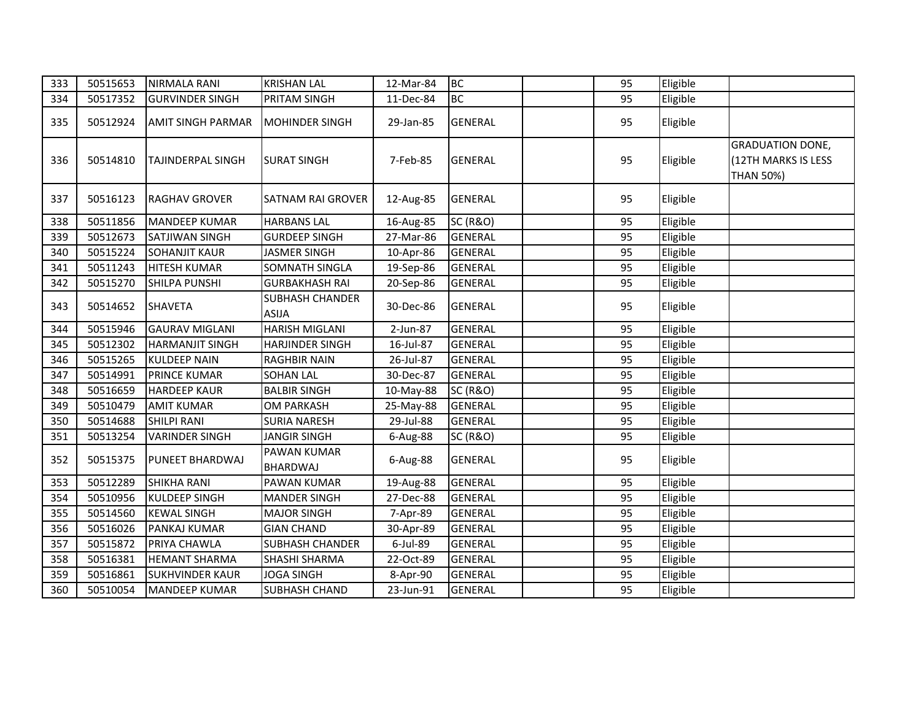| 333 | 50515653 | NIRMALA RANI             | <b>KRISHAN LAL</b>                     | 12-Mar-84 | <b>BC</b>           | 95 | Eligible |                                                                    |
|-----|----------|--------------------------|----------------------------------------|-----------|---------------------|----|----------|--------------------------------------------------------------------|
| 334 | 50517352 | <b>GURVINDER SINGH</b>   | PRITAM SINGH                           | 11-Dec-84 | <b>BC</b>           | 95 | Eligible |                                                                    |
| 335 | 50512924 | AMIT SINGH PARMAR        | MOHINDER SINGH                         | 29-Jan-85 | <b>GENERAL</b>      | 95 | Eligible |                                                                    |
| 336 | 50514810 | <b>TAJINDERPAL SINGH</b> | <b>SURAT SINGH</b>                     | 7-Feb-85  | <b>GENERAL</b>      | 95 | Eligible | <b>GRADUATION DONE,</b><br>(12TH MARKS IS LESS<br><b>THAN 50%)</b> |
| 337 | 50516123 | <b>RAGHAV GROVER</b>     | <b>SATNAM RAI GROVER</b>               | 12-Aug-85 | <b>GENERAL</b>      | 95 | Eligible |                                                                    |
| 338 | 50511856 | <b>MANDEEP KUMAR</b>     | <b>HARBANS LAL</b>                     | 16-Aug-85 | <b>SC (R&amp;O)</b> | 95 | Eligible |                                                                    |
| 339 | 50512673 | <b>SATJIWAN SINGH</b>    | <b>GURDEEP SINGH</b>                   | 27-Mar-86 | <b>GENERAL</b>      | 95 | Eligible |                                                                    |
| 340 | 50515224 | <b>SOHANJIT KAUR</b>     | <b>JASMER SINGH</b>                    | 10-Apr-86 | <b>GENERAL</b>      | 95 | Eligible |                                                                    |
| 341 | 50511243 | <b>HITESH KUMAR</b>      | SOMNATH SINGLA                         | 19-Sep-86 | <b>GENERAL</b>      | 95 | Eligible |                                                                    |
| 342 | 50515270 | SHILPA PUNSHI            | <b>GURBAKHASH RAI</b>                  | 20-Sep-86 | <b>GENERAL</b>      | 95 | Eligible |                                                                    |
| 343 | 50514652 | <b>SHAVETA</b>           | <b>SUBHASH CHANDER</b><br><b>ASIJA</b> | 30-Dec-86 | <b>GENERAL</b>      | 95 | Eligible |                                                                    |
| 344 | 50515946 | <b>GAURAV MIGLANI</b>    | HARISH MIGLANI                         | 2-Jun-87  | <b>GENERAL</b>      | 95 | Eligible |                                                                    |
| 345 | 50512302 | <b>HARMANJIT SINGH</b>   | <b>HARJINDER SINGH</b>                 | 16-Jul-87 | <b>GENERAL</b>      | 95 | Eligible |                                                                    |
| 346 | 50515265 | <b>KULDEEP NAIN</b>      | <b>RAGHBIR NAIN</b>                    | 26-Jul-87 | <b>GENERAL</b>      | 95 | Eligible |                                                                    |
| 347 | 50514991 | <b>PRINCE KUMAR</b>      | <b>SOHAN LAL</b>                       | 30-Dec-87 | <b>GENERAL</b>      | 95 | Eligible |                                                                    |
| 348 | 50516659 | <b>HARDEEP KAUR</b>      | <b>BALBIR SINGH</b>                    | 10-May-88 | <b>SC (R&amp;O)</b> | 95 | Eligible |                                                                    |
| 349 | 50510479 | <b>AMIT KUMAR</b>        | OM PARKASH                             | 25-May-88 | <b>GENERAL</b>      | 95 | Eligible |                                                                    |
| 350 | 50514688 | <b>SHILPI RANI</b>       | <b>SURIA NARESH</b>                    | 29-Jul-88 | <b>GENERAL</b>      | 95 | Eligible |                                                                    |
| 351 | 50513254 | <b>VARINDER SINGH</b>    | <b>JANGIR SINGH</b>                    | 6-Aug-88  | <b>SC (R&amp;O)</b> | 95 | Eligible |                                                                    |
| 352 | 50515375 | <b>PUNEET BHARDWAJ</b>   | <b>PAWAN KUMAR</b><br><b>BHARDWAJ</b>  | 6-Aug-88  | <b>GENERAL</b>      | 95 | Eligible |                                                                    |
| 353 | 50512289 | <b>SHIKHA RANI</b>       | PAWAN KUMAR                            | 19-Aug-88 | <b>GENERAL</b>      | 95 | Eligible |                                                                    |
| 354 | 50510956 | <b>KULDEEP SINGH</b>     | <b>MANDER SINGH</b>                    | 27-Dec-88 | <b>GENERAL</b>      | 95 | Eligible |                                                                    |
| 355 | 50514560 | <b>KEWAL SINGH</b>       | <b>MAJOR SINGH</b>                     | 7-Apr-89  | <b>GENERAL</b>      | 95 | Eligible |                                                                    |
| 356 | 50516026 | <b>PANKAJ KUMAR</b>      | <b>GIAN CHAND</b>                      | 30-Apr-89 | <b>GENERAL</b>      | 95 | Eligible |                                                                    |
| 357 | 50515872 | PRIYA CHAWLA             | <b>SUBHASH CHANDER</b>                 | 6-Jul-89  | <b>GENERAL</b>      | 95 | Eligible |                                                                    |
| 358 | 50516381 | <b>HEMANT SHARMA</b>     | SHASHI SHARMA                          | 22-Oct-89 | <b>GENERAL</b>      | 95 | Eligible |                                                                    |
| 359 | 50516861 | <b>SUKHVINDER KAUR</b>   | <b>JOGA SINGH</b>                      | 8-Apr-90  | <b>GENERAL</b>      | 95 | Eligible |                                                                    |
| 360 | 50510054 | <b>MANDEEP KUMAR</b>     | SUBHASH CHAND                          | 23-Jun-91 | <b>GENERAL</b>      | 95 | Eligible |                                                                    |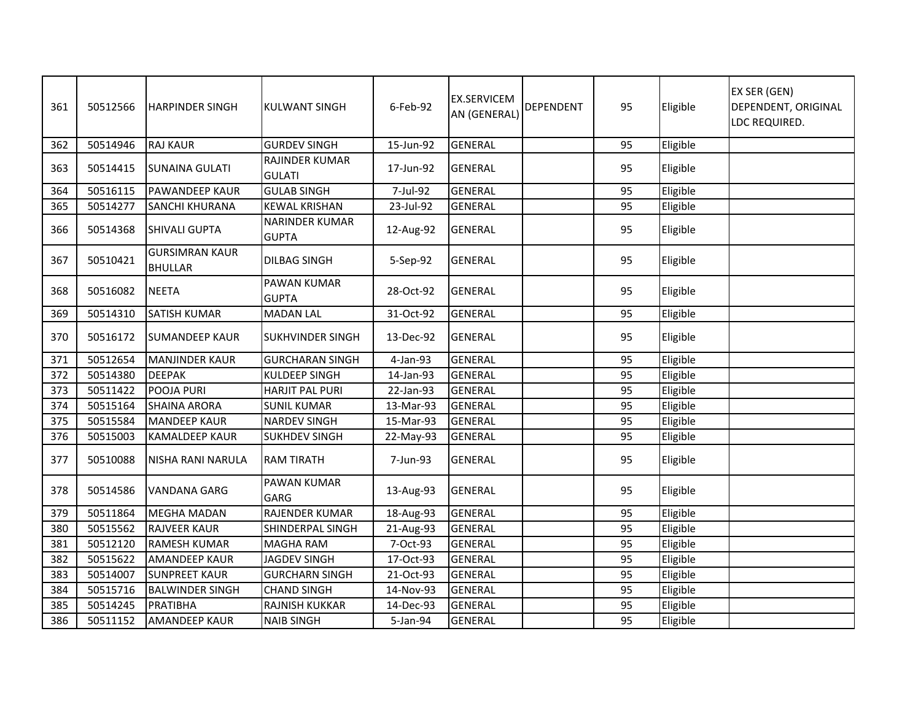| 361 | 50512566 | <b>HARPINDER SINGH</b>                  | <b>KULWANT SINGH</b>                   | 6-Feb-92  | <b>EX.SERVICEM</b><br>AN (GENERAL) | <b>DEPENDENT</b> | 95 | Eligible | EX SER (GEN)<br><b>DEPENDENT, ORIGINAL</b><br>LDC REQUIRED. |
|-----|----------|-----------------------------------------|----------------------------------------|-----------|------------------------------------|------------------|----|----------|-------------------------------------------------------------|
| 362 | 50514946 | <b>RAJ KAUR</b>                         | <b>GURDEV SINGH</b>                    | 15-Jun-92 | <b>GENERAL</b>                     |                  | 95 | Eligible |                                                             |
| 363 | 50514415 | <b>SUNAINA GULATI</b>                   | <b>RAJINDER KUMAR</b><br><b>GULATI</b> | 17-Jun-92 | <b>GENERAL</b>                     |                  | 95 | Eligible |                                                             |
| 364 | 50516115 | <b>PAWANDEEP KAUR</b>                   | <b>GULAB SINGH</b>                     | 7-Jul-92  | <b>GENERAL</b>                     |                  | 95 | Eligible |                                                             |
| 365 | 50514277 | <b>SANCHI KHURANA</b>                   | <b>KEWAL KRISHAN</b>                   | 23-Jul-92 | <b>GENERAL</b>                     |                  | 95 | Eligible |                                                             |
| 366 | 50514368 | <b>SHIVALI GUPTA</b>                    | <b>NARINDER KUMAR</b><br><b>GUPTA</b>  | 12-Aug-92 | <b>GENERAL</b>                     |                  | 95 | Eligible |                                                             |
| 367 | 50510421 | <b>GURSIMRAN KAUR</b><br><b>BHULLAR</b> | <b>DILBAG SINGH</b>                    | 5-Sep-92  | <b>GENERAL</b>                     |                  | 95 | Eligible |                                                             |
| 368 | 50516082 | <b>NEETA</b>                            | <b>PAWAN KUMAR</b><br><b>GUPTA</b>     | 28-Oct-92 | <b>GENERAL</b>                     |                  | 95 | Eligible |                                                             |
| 369 | 50514310 | <b>SATISH KUMAR</b>                     | <b>MADAN LAL</b>                       | 31-Oct-92 | <b>GENERAL</b>                     |                  | 95 | Eligible |                                                             |
| 370 | 50516172 | <b>SUMANDEEP KAUR</b>                   | <b>SUKHVINDER SINGH</b>                | 13-Dec-92 | <b>GENERAL</b>                     |                  | 95 | Eligible |                                                             |
| 371 | 50512654 | <b>MANJINDER KAUR</b>                   | <b>GURCHARAN SINGH</b>                 | 4-Jan-93  | <b>GENERAL</b>                     |                  | 95 | Eligible |                                                             |
| 372 | 50514380 | <b>DEEPAK</b>                           | <b>KULDEEP SINGH</b>                   | 14-Jan-93 | <b>GENERAL</b>                     |                  | 95 | Eligible |                                                             |
| 373 | 50511422 | POOJA PURI                              | <b>HARJIT PAL PURI</b>                 | 22-Jan-93 | <b>GENERAL</b>                     |                  | 95 | Eligible |                                                             |
| 374 | 50515164 | <b>SHAINA ARORA</b>                     | <b>SUNIL KUMAR</b>                     | 13-Mar-93 | <b>GENERAL</b>                     |                  | 95 | Eligible |                                                             |
| 375 | 50515584 | <b>MANDEEP KAUR</b>                     | <b>NARDEV SINGH</b>                    | 15-Mar-93 | <b>GENERAL</b>                     |                  | 95 | Eligible |                                                             |
| 376 | 50515003 | <b>KAMALDEEP KAUR</b>                   | <b>SUKHDEV SINGH</b>                   | 22-May-93 | <b>GENERAL</b>                     |                  | 95 | Eligible |                                                             |
| 377 | 50510088 | <b>NISHA RANI NARULA</b>                | <b>RAM TIRATH</b>                      | 7-Jun-93  | <b>GENERAL</b>                     |                  | 95 | Eligible |                                                             |
| 378 | 50514586 | <b>VANDANA GARG</b>                     | <b>PAWAN KUMAR</b><br>GARG             | 13-Aug-93 | <b>GENERAL</b>                     |                  | 95 | Eligible |                                                             |
| 379 | 50511864 | <b>MEGHA MADAN</b>                      | RAJENDER KUMAR                         | 18-Aug-93 | <b>GENERAL</b>                     |                  | 95 | Eligible |                                                             |
| 380 | 50515562 | <b>RAJVEER KAUR</b>                     | SHINDERPAL SINGH                       | 21-Aug-93 | <b>GENERAL</b>                     |                  | 95 | Eligible |                                                             |
| 381 | 50512120 | <b>RAMESH KUMAR</b>                     | <b>MAGHA RAM</b>                       | 7-Oct-93  | <b>GENERAL</b>                     |                  | 95 | Eligible |                                                             |
| 382 | 50515622 | <b>AMANDEEP KAUR</b>                    | <b>JAGDEV SINGH</b>                    | 17-Oct-93 | <b>GENERAL</b>                     |                  | 95 | Eligible |                                                             |
| 383 | 50514007 | <b>SUNPREET KAUR</b>                    | <b>GURCHARN SINGH</b>                  | 21-Oct-93 | <b>GENERAL</b>                     |                  | 95 | Eligible |                                                             |
| 384 | 50515716 | <b>BALWINDER SINGH</b>                  | <b>CHAND SINGH</b>                     | 14-Nov-93 | <b>GENERAL</b>                     |                  | 95 | Eligible |                                                             |
| 385 | 50514245 | PRATIBHA                                | RAJNISH KUKKAR                         | 14-Dec-93 | <b>GENERAL</b>                     |                  | 95 | Eligible |                                                             |
| 386 | 50511152 | <b>AMANDEEP KAUR</b>                    | <b>NAIB SINGH</b>                      | 5-Jan-94  | <b>GENERAL</b>                     |                  | 95 | Eligible |                                                             |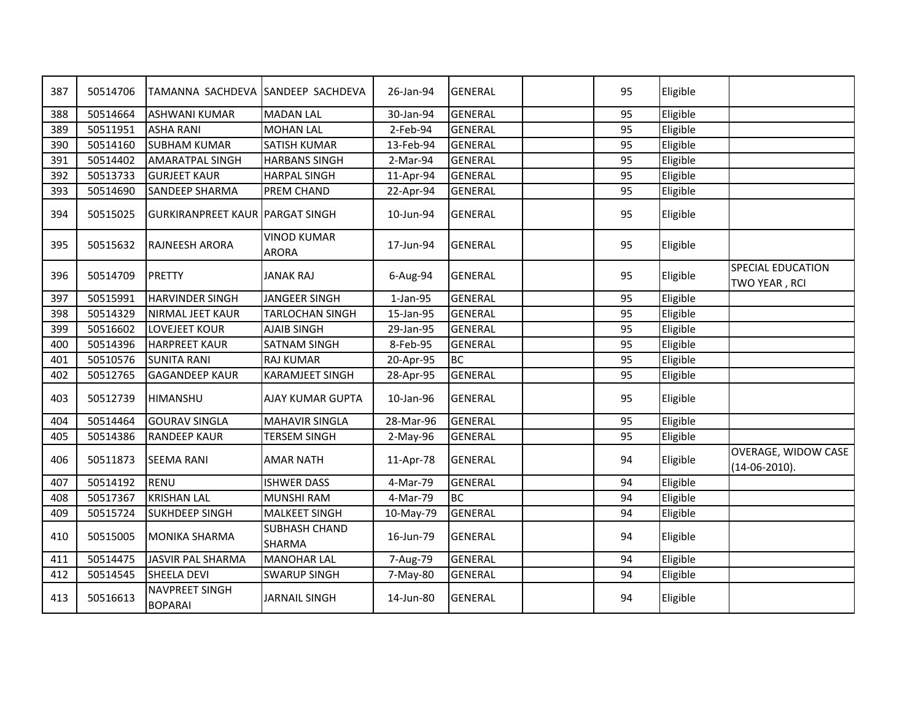| 387 | 50514706 | TAMANNA SACHDEVA ISANDEEP SACHDEVA      |                                    | 26-Jan-94 | <b>GENERAL</b> | 95 | Eligible |                                           |
|-----|----------|-----------------------------------------|------------------------------------|-----------|----------------|----|----------|-------------------------------------------|
| 388 | 50514664 | <b>ASHWANI KUMAR</b>                    | <b>MADAN LAL</b>                   | 30-Jan-94 | <b>GENERAL</b> | 95 | Eligible |                                           |
| 389 | 50511951 | <b>ASHA RANI</b>                        | <b>MOHAN LAL</b>                   | 2-Feb-94  | <b>GENERAL</b> | 95 | Eligible |                                           |
| 390 | 50514160 | <b>SUBHAM KUMAR</b>                     | <b>SATISH KUMAR</b>                | 13-Feb-94 | <b>GENERAL</b> | 95 | Eligible |                                           |
| 391 | 50514402 | <b>AMARATPAL SINGH</b>                  | <b>HARBANS SINGH</b>               | 2-Mar-94  | <b>GENERAL</b> | 95 | Eligible |                                           |
| 392 | 50513733 | <b>GURJEET KAUR</b>                     | <b>HARPAL SINGH</b>                | 11-Apr-94 | <b>GENERAL</b> | 95 | Eligible |                                           |
| 393 | 50514690 | <b>SANDEEP SHARMA</b>                   | PREM CHAND                         | 22-Apr-94 | <b>GENERAL</b> | 95 | Eligible |                                           |
| 394 | 50515025 | <b>GURKIRANPREET KAUR PARGAT SINGH</b>  |                                    | 10-Jun-94 | <b>GENERAL</b> | 95 | Eligible |                                           |
| 395 | 50515632 | RAJNEESH ARORA                          | <b>VINOD KUMAR</b><br><b>ARORA</b> | 17-Jun-94 | <b>GENERAL</b> | 95 | Eligible |                                           |
| 396 | 50514709 | PRETTY                                  | <b>JANAK RAJ</b>                   | 6-Aug-94  | <b>GENERAL</b> | 95 | Eligible | <b>SPECIAL EDUCATION</b><br>TWO YEAR, RCI |
| 397 | 50515991 | <b>HARVINDER SINGH</b>                  | <b>JANGEER SINGH</b>               | 1-Jan-95  | <b>GENERAL</b> | 95 | Eligible |                                           |
| 398 | 50514329 | NIRMAL JEET KAUR                        | <b>TARLOCHAN SINGH</b>             | 15-Jan-95 | <b>GENERAL</b> | 95 | Eligible |                                           |
| 399 | 50516602 | LOVEJEET KOUR                           | <b>AJAIB SINGH</b>                 | 29-Jan-95 | <b>GENERAL</b> | 95 | Eligible |                                           |
| 400 | 50514396 | <b>HARPREET KAUR</b>                    | <b>SATNAM SINGH</b>                | 8-Feb-95  | <b>GENERAL</b> | 95 | Eligible |                                           |
| 401 | 50510576 | <b>SUNITA RANI</b>                      | <b>RAJ KUMAR</b>                   | 20-Apr-95 | <b>BC</b>      | 95 | Eligible |                                           |
| 402 | 50512765 | <b>GAGANDEEP KAUR</b>                   | <b>KARAMJEET SINGH</b>             | 28-Apr-95 | <b>GENERAL</b> | 95 | Eligible |                                           |
| 403 | 50512739 | HIMANSHU                                | <b>AJAY KUMAR GUPTA</b>            | 10-Jan-96 | <b>GENERAL</b> | 95 | Eligible |                                           |
| 404 | 50514464 | <b>GOURAV SINGLA</b>                    | <b>MAHAVIR SINGLA</b>              | 28-Mar-96 | <b>GENERAL</b> | 95 | Eligible |                                           |
| 405 | 50514386 | <b>RANDEEP KAUR</b>                     | <b>TERSEM SINGH</b>                | 2-May-96  | <b>GENERAL</b> | 95 | Eligible |                                           |
| 406 | 50511873 | <b>SEEMA RANI</b>                       | <b>AMAR NATH</b>                   | 11-Apr-78 | <b>GENERAL</b> | 94 | Eligible | OVERAGE, WIDOW CASE<br>$(14-06-2010).$    |
| 407 | 50514192 | <b>RENU</b>                             | <b>ISHWER DASS</b>                 | 4-Mar-79  | <b>GENERAL</b> | 94 | Eligible |                                           |
| 408 | 50517367 | <b>KRISHAN LAL</b>                      | <b>MUNSHI RAM</b>                  | 4-Mar-79  | <b>BC</b>      | 94 | Eligible |                                           |
| 409 | 50515724 | <b>SUKHDEEP SINGH</b>                   | <b>MALKEET SINGH</b>               | 10-May-79 | <b>GENERAL</b> | 94 | Eligible |                                           |
| 410 | 50515005 | <b>MONIKA SHARMA</b>                    | <b>SUBHASH CHAND</b><br>SHARMA     | 16-Jun-79 | <b>GENERAL</b> | 94 | Eligible |                                           |
| 411 | 50514475 | JASVIR PAL SHARMA                       | <b>MANOHAR LAL</b>                 | 7-Aug-79  | <b>GENERAL</b> | 94 | Eligible |                                           |
| 412 | 50514545 | SHEELA DEVI                             | <b>SWARUP SINGH</b>                | 7-May-80  | <b>GENERAL</b> | 94 | Eligible |                                           |
| 413 | 50516613 | <b>NAVPREET SINGH</b><br><b>BOPARAI</b> | <b>JARNAIL SINGH</b>               | 14-Jun-80 | <b>GENERAL</b> | 94 | Eligible |                                           |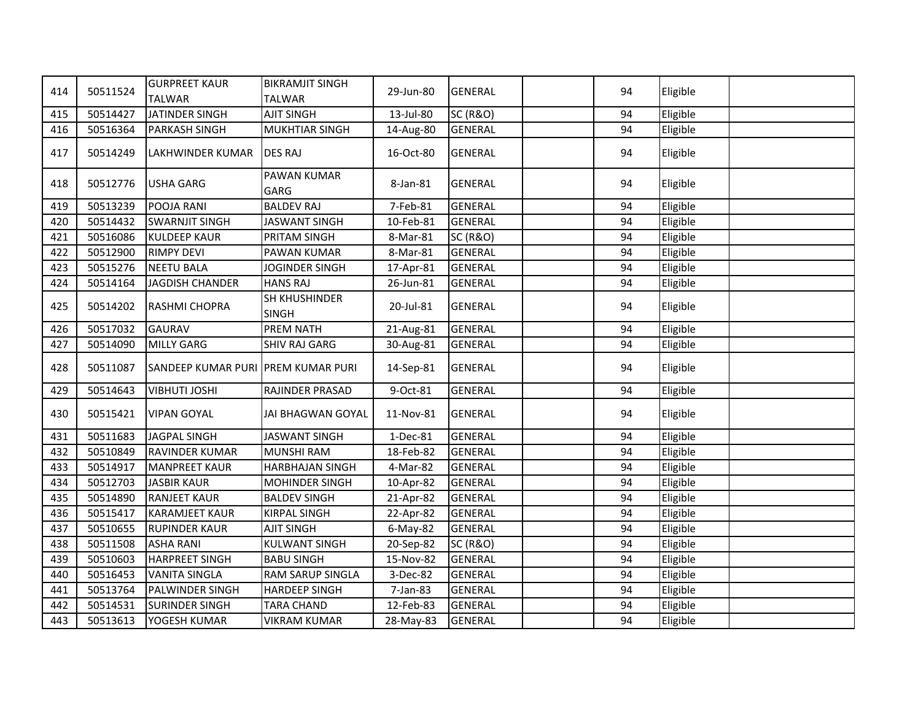| 414 | 50511524 | <b>GURPREET KAUR</b><br><b>TALWAR</b> | <b>BIKRAMJIT SINGH</b><br><b>TALWAR</b> | 29-Jun-80   | <b>GENERAL</b>      | 94 | Eligible |  |
|-----|----------|---------------------------------------|-----------------------------------------|-------------|---------------------|----|----------|--|
| 415 | 50514427 | JATINDER SINGH                        | <b>AJIT SINGH</b>                       | 13-Jul-80   | <b>SC (R&amp;O)</b> | 94 | Eligible |  |
| 416 | 50516364 | <b>PARKASH SINGH</b>                  | <b>MUKHTIAR SINGH</b>                   | 14-Aug-80   | <b>GENERAL</b>      | 94 | Eligible |  |
|     |          |                                       |                                         |             |                     |    |          |  |
| 417 | 50514249 | LAKHWINDER KUMAR                      | <b>DES RAJ</b>                          | 16-Oct-80   | <b>GENERAL</b>      | 94 | Eligible |  |
| 418 | 50512776 | <b>USHA GARG</b>                      | <b>PAWAN KUMAR</b><br>GARG              | 8-Jan-81    | <b>GENERAL</b>      | 94 | Eligible |  |
| 419 | 50513239 | POOJA RANI                            | <b>BALDEV RAJ</b>                       | 7-Feb-81    | <b>GENERAL</b>      | 94 | Eligible |  |
| 420 | 50514432 | <b>SWARNJIT SINGH</b>                 | <b>JASWANT SINGH</b>                    | 10-Feb-81   | <b>GENERAL</b>      | 94 | Eligible |  |
| 421 | 50516086 | <b>KULDEEP KAUR</b>                   | PRITAM SINGH                            | 8-Mar-81    | <b>SC (R&amp;O)</b> | 94 | Eligible |  |
| 422 | 50512900 | <b>RIMPY DEVI</b>                     | PAWAN KUMAR                             | 8-Mar-81    | <b>GENERAL</b>      | 94 | Eligible |  |
| 423 | 50515276 | <b>NEETU BALA</b>                     | JOGINDER SINGH                          | 17-Apr-81   | <b>GENERAL</b>      | 94 | Eligible |  |
| 424 | 50514164 | <b>JAGDISH CHANDER</b>                | <b>HANS RAJ</b>                         | 26-Jun-81   | <b>GENERAL</b>      | 94 | Eligible |  |
| 425 | 50514202 | <b>RASHMI CHOPRA</b>                  | SH KHUSHINDER<br><b>SINGH</b>           | 20-Jul-81   | <b>GENERAL</b>      | 94 | Eligible |  |
| 426 | 50517032 | <b>GAURAV</b>                         | <b>PREM NATH</b>                        | 21-Aug-81   | <b>GENERAL</b>      | 94 | Eligible |  |
| 427 | 50514090 | <b>MILLY GARG</b>                     | <b>SHIV RAJ GARG</b>                    | 30-Aug-81   | <b>GENERAL</b>      | 94 | Eligible |  |
| 428 | 50511087 | SANDEEP KUMAR PURI PREM KUMAR PURI    |                                         | 14-Sep-81   | <b>GENERAL</b>      | 94 | Eligible |  |
| 429 | 50514643 | <b>VIBHUTI JOSHI</b>                  | RAJINDER PRASAD                         | 9-Oct-81    | <b>GENERAL</b>      | 94 | Eligible |  |
| 430 | 50515421 | <b>VIPAN GOYAL</b>                    | JAI BHAGWAN GOYAL                       | 11-Nov-81   | <b>GENERAL</b>      | 94 | Eligible |  |
| 431 | 50511683 | JAGPAL SINGH                          | <b>JASWANT SINGH</b>                    | 1-Dec-81    | <b>GENERAL</b>      | 94 | Eligible |  |
| 432 | 50510849 | <b>RAVINDER KUMAR</b>                 | <b>MUNSHI RAM</b>                       | 18-Feb-82   | <b>GENERAL</b>      | 94 | Eligible |  |
| 433 | 50514917 | <b>MANPREET KAUR</b>                  | <b>HARBHAJAN SINGH</b>                  | 4-Mar-82    | <b>GENERAL</b>      | 94 | Eligible |  |
| 434 | 50512703 | <b>JASBIR KAUR</b>                    | <b>MOHINDER SINGH</b>                   | 10-Apr-82   | <b>GENERAL</b>      | 94 | Eligible |  |
| 435 | 50514890 | <b>RANJEET KAUR</b>                   | <b>BALDEV SINGH</b>                     | 21-Apr-82   | <b>GENERAL</b>      | 94 | Eligible |  |
| 436 | 50515417 | <b>KARAMJEET KAUR</b>                 | <b>KIRPAL SINGH</b>                     | 22-Apr-82   | <b>GENERAL</b>      | 94 | Eligible |  |
| 437 | 50510655 | <b>RUPINDER KAUR</b>                  | AJIT SINGH                              | $6$ -May-82 | <b>GENERAL</b>      | 94 | Eligible |  |
| 438 | 50511508 | <b>ASHA RANI</b>                      | <b>KULWANT SINGH</b>                    | 20-Sep-82   | <b>SC (R&amp;O)</b> | 94 | Eligible |  |
| 439 | 50510603 | <b>HARPREET SINGH</b>                 | <b>BABU SINGH</b>                       | 15-Nov-82   | <b>GENERAL</b>      | 94 | Eligible |  |
| 440 | 50516453 | <b>VANITA SINGLA</b>                  | <b>RAM SARUP SINGLA</b>                 | 3-Dec-82    | <b>GENERAL</b>      | 94 | Eligible |  |
| 441 | 50513764 | PALWINDER SINGH                       | <b>HARDEEP SINGH</b>                    | 7-Jan-83    | <b>GENERAL</b>      | 94 | Eligible |  |
| 442 | 50514531 | <b>SURINDER SINGH</b>                 | <b>TARA CHAND</b>                       | 12-Feb-83   | <b>GENERAL</b>      | 94 | Eligible |  |
| 443 | 50513613 | YOGESH KUMAR                          | <b>VIKRAM KUMAR</b>                     | 28-May-83   | <b>GENERAL</b>      | 94 | Eligible |  |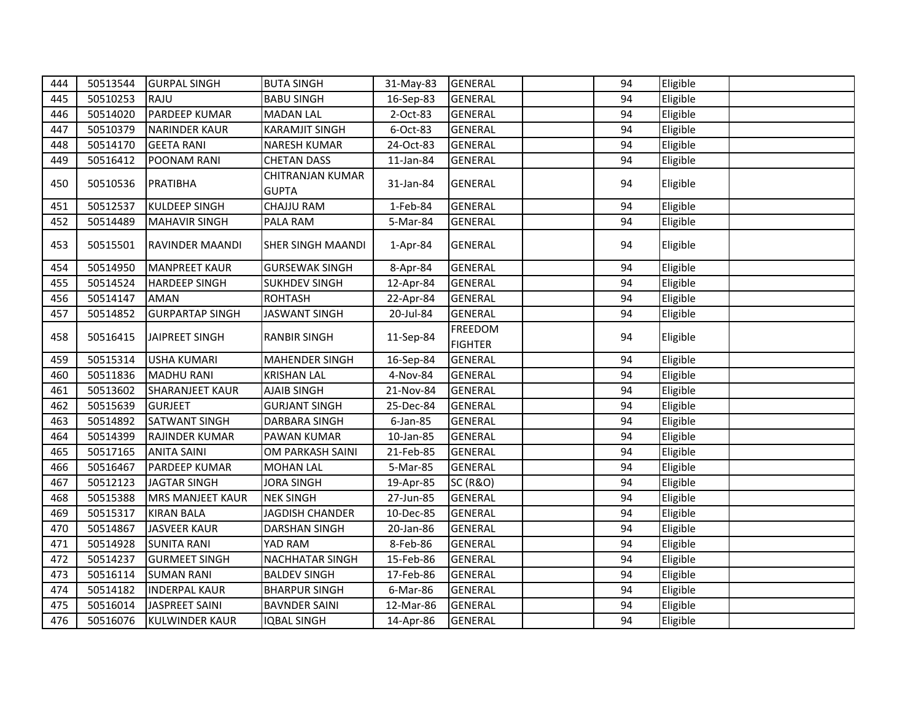| 444 | 50513544 | <b>GURPAL SINGH</b>     | <b>BUTA SINGH</b>                | 31-May-83 | <b>GENERAL</b>                   | 94 | Eligible |  |
|-----|----------|-------------------------|----------------------------------|-----------|----------------------------------|----|----------|--|
| 445 | 50510253 | RAJU                    | <b>BABU SINGH</b>                | 16-Sep-83 | <b>GENERAL</b>                   | 94 | Eligible |  |
| 446 | 50514020 | <b>PARDEEP KUMAR</b>    | <b>MADAN LAL</b>                 | 2-Oct-83  | <b>GENERAL</b>                   | 94 | Eligible |  |
| 447 | 50510379 | <b>NARINDER KAUR</b>    | <b>KARAMJIT SINGH</b>            | 6-Oct-83  | <b>GENERAL</b>                   | 94 | Eligible |  |
| 448 | 50514170 | <b>GEETA RANI</b>       | <b>NARESH KUMAR</b>              | 24-Oct-83 | <b>GENERAL</b>                   | 94 | Eligible |  |
| 449 | 50516412 | POONAM RANI             | <b>CHETAN DASS</b>               | 11-Jan-84 | <b>GENERAL</b>                   | 94 | Eligible |  |
| 450 | 50510536 | PRATIBHA                | CHITRANJAN KUMAR<br><b>GUPTA</b> | 31-Jan-84 | <b>GENERAL</b>                   | 94 | Eligible |  |
| 451 | 50512537 | <b>KULDEEP SINGH</b>    | CHAJJU RAM                       | 1-Feb-84  | <b>GENERAL</b>                   | 94 | Eligible |  |
| 452 | 50514489 | <b>MAHAVIR SINGH</b>    | PALA RAM                         | 5-Mar-84  | <b>GENERAL</b>                   | 94 | Eligible |  |
| 453 | 50515501 | <b>RAVINDER MAANDI</b>  | <b>SHER SINGH MAANDI</b>         | 1-Apr-84  | <b>GENERAL</b>                   | 94 | Eligible |  |
| 454 | 50514950 | <b>MANPREET KAUR</b>    | <b>GURSEWAK SINGH</b>            | 8-Apr-84  | <b>GENERAL</b>                   | 94 | Eligible |  |
| 455 | 50514524 | <b>HARDEEP SINGH</b>    | <b>SUKHDEV SINGH</b>             | 12-Apr-84 | <b>GENERAL</b>                   | 94 | Eligible |  |
| 456 | 50514147 | AMAN                    | <b>ROHTASH</b>                   | 22-Apr-84 | <b>GENERAL</b>                   | 94 | Eligible |  |
| 457 | 50514852 | <b>GURPARTAP SINGH</b>  | JASWANT SINGH                    | 20-Jul-84 | <b>GENERAL</b>                   | 94 | Eligible |  |
| 458 | 50516415 | JAIPREET SINGH          | <b>RANBIR SINGH</b>              | 11-Sep-84 | <b>FREEDOM</b><br><b>FIGHTER</b> | 94 | Eligible |  |
| 459 | 50515314 | <b>USHA KUMARI</b>      | <b>MAHENDER SINGH</b>            | 16-Sep-84 | <b>GENERAL</b>                   | 94 | Eligible |  |
| 460 | 50511836 | <b>MADHU RANI</b>       | <b>KRISHAN LAL</b>               | 4-Nov-84  | <b>GENERAL</b>                   | 94 | Eligible |  |
| 461 | 50513602 | <b>SHARANJEET KAUR</b>  | <b>AJAIB SINGH</b>               | 21-Nov-84 | <b>GENERAL</b>                   | 94 | Eligible |  |
| 462 | 50515639 | <b>GURJEET</b>          | <b>GURJANT SINGH</b>             | 25-Dec-84 | <b>GENERAL</b>                   | 94 | Eligible |  |
| 463 | 50514892 | <b>SATWANT SINGH</b>    | <b>DARBARA SINGH</b>             | 6-Jan-85  | <b>GENERAL</b>                   | 94 | Eligible |  |
| 464 | 50514399 | RAJINDER KUMAR          | PAWAN KUMAR                      | 10-Jan-85 | <b>GENERAL</b>                   | 94 | Eligible |  |
| 465 | 50517165 | <b>ANITA SAINI</b>      | OM PARKASH SAINI                 | 21-Feb-85 | <b>GENERAL</b>                   | 94 | Eligible |  |
| 466 | 50516467 | PARDEEP KUMAR           | <b>MOHAN LAL</b>                 | 5-Mar-85  | <b>GENERAL</b>                   | 94 | Eligible |  |
| 467 | 50512123 | <b>JAGTAR SINGH</b>     | <b>JORA SINGH</b>                | 19-Apr-85 | <b>SC (R&amp;O)</b>              | 94 | Eligible |  |
| 468 | 50515388 | <b>MRS MANJEET KAUR</b> | <b>NEK SINGH</b>                 | 27-Jun-85 | <b>GENERAL</b>                   | 94 | Eligible |  |
| 469 | 50515317 | <b>KIRAN BALA</b>       | JAGDISH CHANDER                  | 10-Dec-85 | <b>GENERAL</b>                   | 94 | Eligible |  |
| 470 | 50514867 | <b>JASVEER KAUR</b>     | DARSHAN SINGH                    | 20-Jan-86 | <b>GENERAL</b>                   | 94 | Eligible |  |
| 471 | 50514928 | <b>SUNITA RANI</b>      | YAD RAM                          | 8-Feb-86  | <b>GENERAL</b>                   | 94 | Eligible |  |
| 472 | 50514237 | <b>GURMEET SINGH</b>    | <b>NACHHATAR SINGH</b>           | 15-Feb-86 | <b>GENERAL</b>                   | 94 | Eligible |  |
| 473 | 50516114 | <b>SUMAN RANI</b>       | <b>BALDEV SINGH</b>              | 17-Feb-86 | <b>GENERAL</b>                   | 94 | Eligible |  |
| 474 | 50514182 | <b>INDERPAL KAUR</b>    | <b>BHARPUR SINGH</b>             | 6-Mar-86  | <b>GENERAL</b>                   | 94 | Eligible |  |
| 475 | 50516014 | <b>JASPREET SAINI</b>   | <b>BAVNDER SAINI</b>             | 12-Mar-86 | <b>GENERAL</b>                   | 94 | Eligible |  |
| 476 | 50516076 | <b>KULWINDER KAUR</b>   | <b>IQBAL SINGH</b>               | 14-Apr-86 | <b>GENERAL</b>                   | 94 | Eligible |  |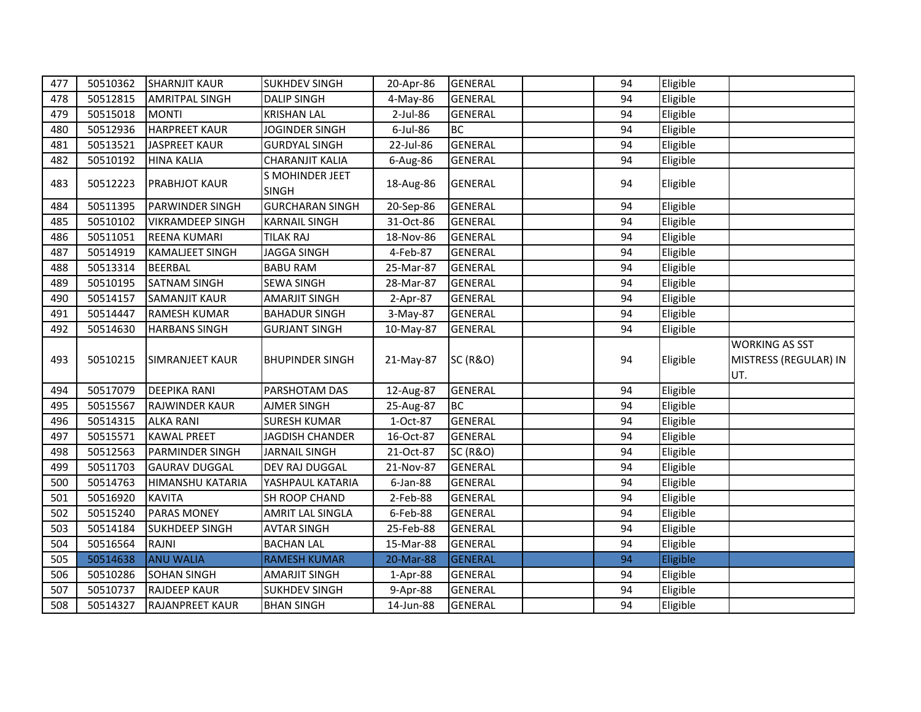| 477 | 50510362 | <b>SHARNJIT KAUR</b>    | <b>SUKHDEV SINGH</b>                   | 20-Apr-86 | <b>GENERAL</b>      | 94 | Eligible |                                                       |
|-----|----------|-------------------------|----------------------------------------|-----------|---------------------|----|----------|-------------------------------------------------------|
| 478 | 50512815 | <b>AMRITPAL SINGH</b>   | <b>DALIP SINGH</b>                     | 4-May-86  | <b>GENERAL</b>      | 94 | Eligible |                                                       |
| 479 | 50515018 | <b>MONTI</b>            | <b>KRISHAN LAL</b>                     | 2-Jul-86  | <b>GENERAL</b>      | 94 | Eligible |                                                       |
| 480 | 50512936 | <b>HARPREET KAUR</b>    | <b>JOGINDER SINGH</b>                  | 6-Jul-86  | <b>BC</b>           | 94 | Eligible |                                                       |
| 481 | 50513521 | <b>JASPREET KAUR</b>    | <b>GURDYAL SINGH</b>                   | 22-Jul-86 | <b>GENERAL</b>      | 94 | Eligible |                                                       |
| 482 | 50510192 | <b>HINA KALIA</b>       | <b>CHARANJIT KALIA</b>                 | 6-Aug-86  | <b>GENERAL</b>      | 94 | Eligible |                                                       |
| 483 | 50512223 | <b>PRABHJOT KAUR</b>    | <b>S MOHINDER JEET</b><br><b>SINGH</b> | 18-Aug-86 | <b>GENERAL</b>      | 94 | Eligible |                                                       |
| 484 | 50511395 | <b>PARWINDER SINGH</b>  | <b>GURCHARAN SINGH</b>                 | 20-Sep-86 | <b>GENERAL</b>      | 94 | Eligible |                                                       |
| 485 | 50510102 | <b>VIKRAMDEEP SINGH</b> | <b>KARNAIL SINGH</b>                   | 31-Oct-86 | <b>GENERAL</b>      | 94 | Eligible |                                                       |
| 486 | 50511051 | <b>REENA KUMARI</b>     | <b>TILAK RAJ</b>                       | 18-Nov-86 | <b>GENERAL</b>      | 94 | Eligible |                                                       |
| 487 | 50514919 | <b>KAMALJEET SINGH</b>  | <b>JAGGA SINGH</b>                     | 4-Feb-87  | <b>GENERAL</b>      | 94 | Eligible |                                                       |
| 488 | 50513314 | <b>BEERBAL</b>          | <b>BABU RAM</b>                        | 25-Mar-87 | <b>GENERAL</b>      | 94 | Eligible |                                                       |
| 489 | 50510195 | <b>SATNAM SINGH</b>     | <b>SEWA SINGH</b>                      | 28-Mar-87 | <b>GENERAL</b>      | 94 | Eligible |                                                       |
| 490 | 50514157 | <b>SAMANJIT KAUR</b>    | <b>AMARJIT SINGH</b>                   | 2-Apr-87  | <b>GENERAL</b>      | 94 | Eligible |                                                       |
| 491 | 50514447 | <b>RAMESH KUMAR</b>     | <b>BAHADUR SINGH</b>                   | 3-May-87  | <b>GENERAL</b>      | 94 | Eligible |                                                       |
| 492 | 50514630 | <b>HARBANS SINGH</b>    | <b>GURJANT SINGH</b>                   | 10-May-87 | <b>GENERAL</b>      | 94 | Eligible |                                                       |
| 493 | 50510215 | <b>SIMRANJEET KAUR</b>  | <b>BHUPINDER SINGH</b>                 | 21-May-87 | <b>SC (R&amp;O)</b> | 94 | Eligible | <b>WORKING AS SST</b><br>MISTRESS (REGULAR) IN<br>UT. |
| 494 | 50517079 | <b>DEEPIKA RANI</b>     | PARSHOTAM DAS                          | 12-Aug-87 | <b>GENERAL</b>      | 94 | Eligible |                                                       |
| 495 | 50515567 | <b>RAJWINDER KAUR</b>   | <b>AJMER SINGH</b>                     | 25-Aug-87 | <b>BC</b>           | 94 | Eligible |                                                       |
| 496 | 50514315 | <b>ALKA RANI</b>        | <b>SURESH KUMAR</b>                    | 1-Oct-87  | <b>GENERAL</b>      | 94 | Eligible |                                                       |
| 497 | 50515571 | <b>KAWAL PREET</b>      | JAGDISH CHANDER                        | 16-Oct-87 | <b>GENERAL</b>      | 94 | Eligible |                                                       |
| 498 | 50512563 | <b>PARMINDER SINGH</b>  | <b>JARNAIL SINGH</b>                   | 21-Oct-87 | <b>SC (R&amp;O)</b> | 94 | Eligible |                                                       |
| 499 | 50511703 | <b>GAURAV DUGGAL</b>    | DEV RAJ DUGGAL                         | 21-Nov-87 | <b>GENERAL</b>      | 94 | Eligible |                                                       |
| 500 | 50514763 | <b>HIMANSHU KATARIA</b> | YASHPAUL KATARIA                       | 6-Jan-88  | <b>GENERAL</b>      | 94 | Eligible |                                                       |
| 501 | 50516920 | <b>KAVITA</b>           | SH ROOP CHAND                          | 2-Feb-88  | <b>GENERAL</b>      | 94 | Eligible |                                                       |
| 502 | 50515240 | <b>PARAS MONEY</b>      | AMRIT LAL SINGLA                       | 6-Feb-88  | <b>GENERAL</b>      | 94 | Eligible |                                                       |
| 503 | 50514184 | <b>SUKHDEEP SINGH</b>   | <b>AVTAR SINGH</b>                     | 25-Feb-88 | <b>GENERAL</b>      | 94 | Eligible |                                                       |
| 504 | 50516564 | <b>RAJNI</b>            | <b>BACHAN LAL</b>                      | 15-Mar-88 | <b>GENERAL</b>      | 94 | Eligible |                                                       |
| 505 | 50514638 | <b>ANU WALIA</b>        | <b>RAMESH KUMAR</b>                    | 20-Mar-88 | <b>GENERAL</b>      | 94 | Eligible |                                                       |
| 506 | 50510286 | <b>SOHAN SINGH</b>      | <b>AMARJIT SINGH</b>                   | 1-Apr-88  | <b>GENERAL</b>      | 94 | Eligible |                                                       |
| 507 | 50510737 | <b>RAJDEEP KAUR</b>     | <b>SUKHDEV SINGH</b>                   | 9-Apr-88  | <b>GENERAL</b>      | 94 | Eligible |                                                       |
| 508 | 50514327 | <b>RAJANPREET KAUR</b>  | <b>BHAN SINGH</b>                      | 14-Jun-88 | <b>GENERAL</b>      | 94 | Eligible |                                                       |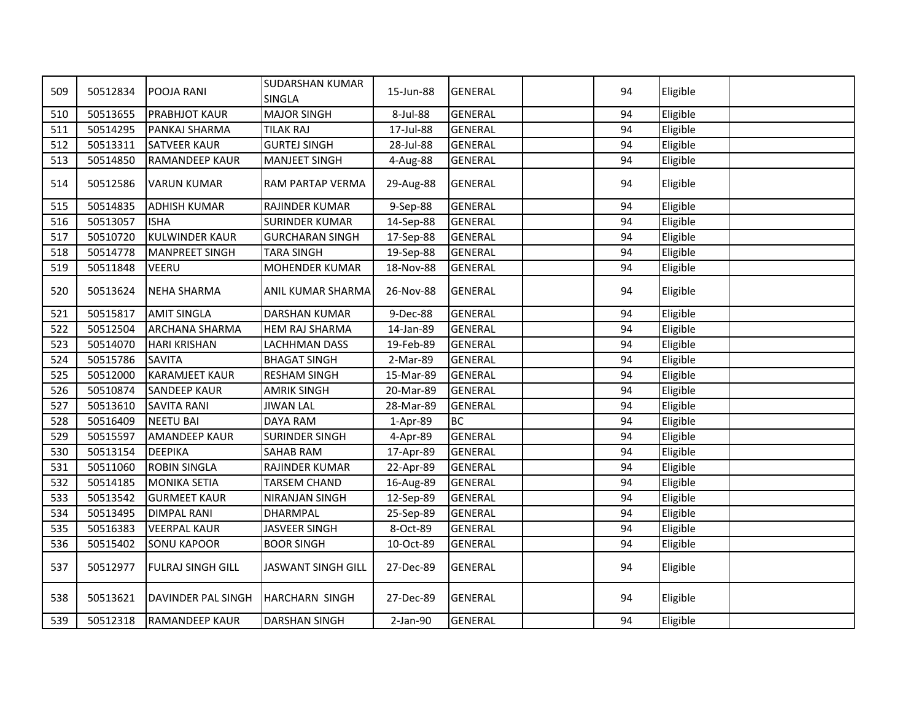| 509 | 50512834 | POOJA RANI               | <b>SUDARSHAN KUMAR</b><br><b>SINGLA</b> | 15-Jun-88 | <b>GENERAL</b> | 94 | Eligible |  |
|-----|----------|--------------------------|-----------------------------------------|-----------|----------------|----|----------|--|
| 510 | 50513655 | <b>PRABHJOT KAUR</b>     | <b>MAJOR SINGH</b>                      | 8-Jul-88  | <b>GENERAL</b> | 94 | Eligible |  |
| 511 | 50514295 | PANKAJ SHARMA            | <b>TILAK RAJ</b>                        | 17-Jul-88 | <b>GENERAL</b> | 94 | Eligible |  |
| 512 | 50513311 | <b>SATVEER KAUR</b>      | <b>GURTEJ SINGH</b>                     | 28-Jul-88 | <b>GENERAL</b> | 94 | Eligible |  |
| 513 | 50514850 | <b>RAMANDEEP KAUR</b>    | <b>MANJEET SINGH</b>                    | 4-Aug-88  | <b>GENERAL</b> | 94 | Eligible |  |
| 514 | 50512586 | <b>VARUN KUMAR</b>       | RAM PARTAP VERMA                        | 29-Aug-88 | <b>GENERAL</b> | 94 | Eligible |  |
| 515 | 50514835 | <b>ADHISH KUMAR</b>      | RAJINDER KUMAR                          | 9-Sep-88  | <b>GENERAL</b> | 94 | Eligible |  |
| 516 | 50513057 | <b>ISHA</b>              | <b>SURINDER KUMAR</b>                   | 14-Sep-88 | <b>GENERAL</b> | 94 | Eligible |  |
| 517 | 50510720 | <b>KULWINDER KAUR</b>    | <b>GURCHARAN SINGH</b>                  | 17-Sep-88 | <b>GENERAL</b> | 94 | Eligible |  |
| 518 | 50514778 | <b>MANPREET SINGH</b>    | <b>TARA SINGH</b>                       | 19-Sep-88 | <b>GENERAL</b> | 94 | Eligible |  |
| 519 | 50511848 | <b>VEERU</b>             | <b>MOHENDER KUMAR</b>                   | 18-Nov-88 | <b>GENERAL</b> | 94 | Eligible |  |
| 520 | 50513624 | <b>NEHA SHARMA</b>       | ANIL KUMAR SHARMA                       | 26-Nov-88 | <b>GENERAL</b> | 94 | Eligible |  |
| 521 | 50515817 | <b>AMIT SINGLA</b>       | DARSHAN KUMAR                           | 9-Dec-88  | <b>GENERAL</b> | 94 | Eligible |  |
| 522 | 50512504 | <b>ARCHANA SHARMA</b>    | <b>HEM RAJ SHARMA</b>                   | 14-Jan-89 | <b>GENERAL</b> | 94 | Eligible |  |
| 523 | 50514070 | <b>HARI KRISHAN</b>      | <b>LACHHMAN DASS</b>                    | 19-Feb-89 | <b>GENERAL</b> | 94 | Eligible |  |
| 524 | 50515786 | <b>SAVITA</b>            | <b>BHAGAT SINGH</b>                     | 2-Mar-89  | <b>GENERAL</b> | 94 | Eligible |  |
| 525 | 50512000 | <b>KARAMJEET KAUR</b>    | <b>RESHAM SINGH</b>                     | 15-Mar-89 | <b>GENERAL</b> | 94 | Eligible |  |
| 526 | 50510874 | <b>SANDEEP KAUR</b>      | <b>AMRIK SINGH</b>                      | 20-Mar-89 | <b>GENERAL</b> | 94 | Eligible |  |
| 527 | 50513610 | <b>SAVITA RANI</b>       | <b>JIWAN LAL</b>                        | 28-Mar-89 | <b>GENERAL</b> | 94 | Eligible |  |
| 528 | 50516409 | <b>NEETU BAI</b>         | <b>DAYA RAM</b>                         | 1-Apr-89  | <b>BC</b>      | 94 | Eligible |  |
| 529 | 50515597 | <b>AMANDEEP KAUR</b>     | <b>SURINDER SINGH</b>                   | 4-Apr-89  | <b>GENERAL</b> | 94 | Eligible |  |
| 530 | 50513154 | <b>DEEPIKA</b>           | <b>SAHAB RAM</b>                        | 17-Apr-89 | <b>GENERAL</b> | 94 | Eligible |  |
| 531 | 50511060 | <b>ROBIN SINGLA</b>      | RAJINDER KUMAR                          | 22-Apr-89 | <b>GENERAL</b> | 94 | Eligible |  |
| 532 | 50514185 | <b>MONIKA SETIA</b>      | <b>TARSEM CHAND</b>                     | 16-Aug-89 | <b>GENERAL</b> | 94 | Eligible |  |
| 533 | 50513542 | <b>GURMEET KAUR</b>      | <b>NIRANJAN SINGH</b>                   | 12-Sep-89 | <b>GENERAL</b> | 94 | Eligible |  |
| 534 | 50513495 | <b>DIMPAL RANI</b>       | DHARMPAL                                | 25-Sep-89 | <b>GENERAL</b> | 94 | Eligible |  |
| 535 | 50516383 | <b>VEERPAL KAUR</b>      | JASVEER SINGH                           | 8-Oct-89  | <b>GENERAL</b> | 94 | Eligible |  |
| 536 | 50515402 | <b>SONU KAPOOR</b>       | <b>BOOR SINGH</b>                       | 10-Oct-89 | <b>GENERAL</b> | 94 | Eligible |  |
| 537 | 50512977 | <b>FULRAJ SINGH GILL</b> | <b>JASWANT SINGH GILL</b>               | 27-Dec-89 | <b>GENERAL</b> | 94 | Eligible |  |
| 538 | 50513621 | DAVINDER PAL SINGH       | <b>HARCHARN SINGH</b>                   | 27-Dec-89 | <b>GENERAL</b> | 94 | Eligible |  |
| 539 | 50512318 | <b>RAMANDEEP KAUR</b>    | <b>DARSHAN SINGH</b>                    | 2-Jan-90  | <b>GENERAL</b> | 94 | Eligible |  |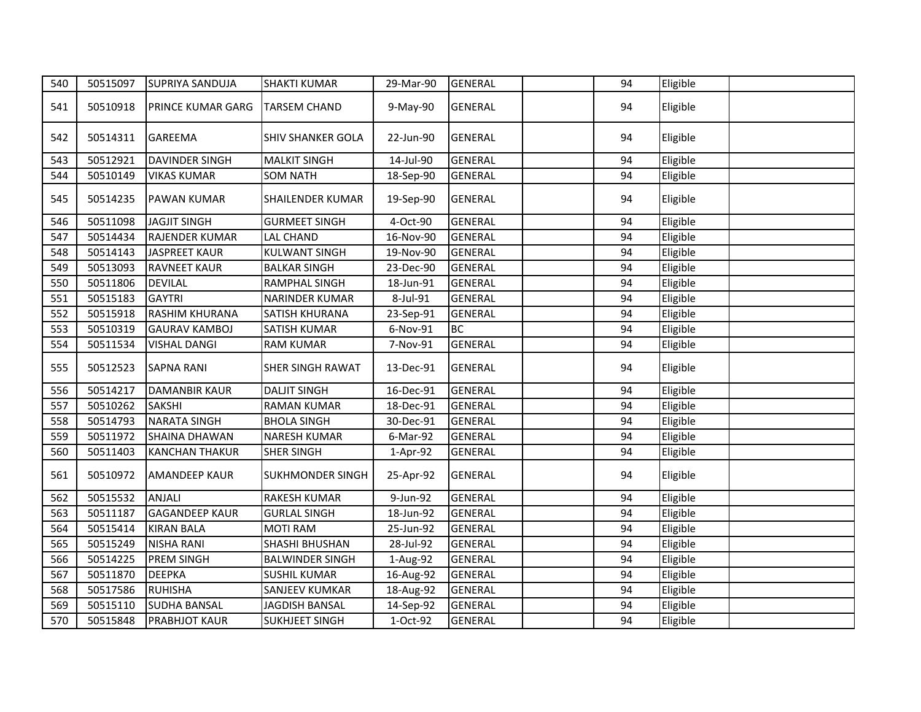| 540 | 50515097 | <b>SUPRIYA SANDUJA</b>   | <b>SHAKTI KUMAR</b>      | 29-Mar-90 | <b>GENERAL</b> | 94 | Eligible |  |
|-----|----------|--------------------------|--------------------------|-----------|----------------|----|----------|--|
| 541 | 50510918 | <b>PRINCE KUMAR GARG</b> | <b>TARSEM CHAND</b>      | 9-May-90  | <b>GENERAL</b> | 94 | Eligible |  |
| 542 | 50514311 | <b>GAREEMA</b>           | <b>SHIV SHANKER GOLA</b> | 22-Jun-90 | <b>GENERAL</b> | 94 | Eligible |  |
| 543 | 50512921 | <b>DAVINDER SINGH</b>    | <b>MALKIT SINGH</b>      | 14-Jul-90 | <b>GENERAL</b> | 94 | Eligible |  |
| 544 | 50510149 | <b>VIKAS KUMAR</b>       | <b>SOM NATH</b>          | 18-Sep-90 | <b>GENERAL</b> | 94 | Eligible |  |
| 545 | 50514235 | <b>PAWAN KUMAR</b>       | SHAILENDER KUMAR         | 19-Sep-90 | <b>GENERAL</b> | 94 | Eligible |  |
| 546 | 50511098 | <b>JAGJIT SINGH</b>      | <b>GURMEET SINGH</b>     | 4-Oct-90  | <b>GENERAL</b> | 94 | Eligible |  |
| 547 | 50514434 | <b>RAJENDER KUMAR</b>    | <b>LAL CHAND</b>         | 16-Nov-90 | <b>GENERAL</b> | 94 | Eligible |  |
| 548 | 50514143 | <b>JASPREET KAUR</b>     | <b>KULWANT SINGH</b>     | 19-Nov-90 | <b>GENERAL</b> | 94 | Eligible |  |
| 549 | 50513093 | <b>RAVNEET KAUR</b>      | <b>BALKAR SINGH</b>      | 23-Dec-90 | <b>GENERAL</b> | 94 | Eligible |  |
| 550 | 50511806 | <b>DEVILAL</b>           | RAMPHAL SINGH            | 18-Jun-91 | <b>GENERAL</b> | 94 | Eligible |  |
| 551 | 50515183 | <b>GAYTRI</b>            | NARINDER KUMAR           | 8-Jul-91  | <b>GENERAL</b> | 94 | Eligible |  |
| 552 | 50515918 | <b>RASHIM KHURANA</b>    | SATISH KHURANA           | 23-Sep-91 | <b>GENERAL</b> | 94 | Eligible |  |
| 553 | 50510319 | <b>GAURAV KAMBOJ</b>     | SATISH KUMAR             | 6-Nov-91  | <b>BC</b>      | 94 | Eligible |  |
| 554 | 50511534 | <b>VISHAL DANGI</b>      | <b>RAM KUMAR</b>         | 7-Nov-91  | <b>GENERAL</b> | 94 | Eligible |  |
| 555 | 50512523 | <b>SAPNA RANI</b>        | SHER SINGH RAWAT         | 13-Dec-91 | <b>GENERAL</b> | 94 | Eligible |  |
| 556 | 50514217 | <b>DAMANBIR KAUR</b>     | <b>DALJIT SINGH</b>      | 16-Dec-91 | <b>GENERAL</b> | 94 | Eligible |  |
| 557 | 50510262 | <b>SAKSHI</b>            | <b>RAMAN KUMAR</b>       | 18-Dec-91 | <b>GENERAL</b> | 94 | Eligible |  |
| 558 | 50514793 | <b>NARATA SINGH</b>      | <b>BHOLA SINGH</b>       | 30-Dec-91 | <b>GENERAL</b> | 94 | Eligible |  |
| 559 | 50511972 | SHAINA DHAWAN            | <b>NARESH KUMAR</b>      | 6-Mar-92  | <b>GENERAL</b> | 94 | Eligible |  |
| 560 | 50511403 | <b>KANCHAN THAKUR</b>    | <b>SHER SINGH</b>        | 1-Apr-92  | <b>GENERAL</b> | 94 | Eligible |  |
| 561 | 50510972 | <b>AMANDEEP KAUR</b>     | <b>SUKHMONDER SINGH</b>  | 25-Apr-92 | <b>GENERAL</b> | 94 | Eligible |  |
| 562 | 50515532 | <b>ANJALI</b>            | RAKESH KUMAR             | 9-Jun-92  | <b>GENERAL</b> | 94 | Eligible |  |
| 563 | 50511187 | <b>GAGANDEEP KAUR</b>    | <b>GURLAL SINGH</b>      | 18-Jun-92 | <b>GENERAL</b> | 94 | Eligible |  |
| 564 | 50515414 | <b>KIRAN BALA</b>        | <b>MOTI RAM</b>          | 25-Jun-92 | <b>GENERAL</b> | 94 | Eligible |  |
| 565 | 50515249 | <b>NISHA RANI</b>        | SHASHI BHUSHAN           | 28-Jul-92 | <b>GENERAL</b> | 94 | Eligible |  |
| 566 | 50514225 | <b>PREM SINGH</b>        | <b>BALWINDER SINGH</b>   | 1-Aug-92  | <b>GENERAL</b> | 94 | Eligible |  |
| 567 | 50511870 | <b>DEEPKA</b>            | <b>SUSHIL KUMAR</b>      | 16-Aug-92 | <b>GENERAL</b> | 94 | Eligible |  |
| 568 | 50517586 | <b>RUHISHA</b>           | SANJEEV KUMKAR           | 18-Aug-92 | <b>GENERAL</b> | 94 | Eligible |  |
| 569 | 50515110 | <b>SUDHA BANSAL</b>      | <b>JAGDISH BANSAL</b>    | 14-Sep-92 | <b>GENERAL</b> | 94 | Eligible |  |
| 570 | 50515848 | <b>PRABHJOT KAUR</b>     | <b>SUKHJEET SINGH</b>    | 1-Oct-92  | <b>GENERAL</b> | 94 | Eligible |  |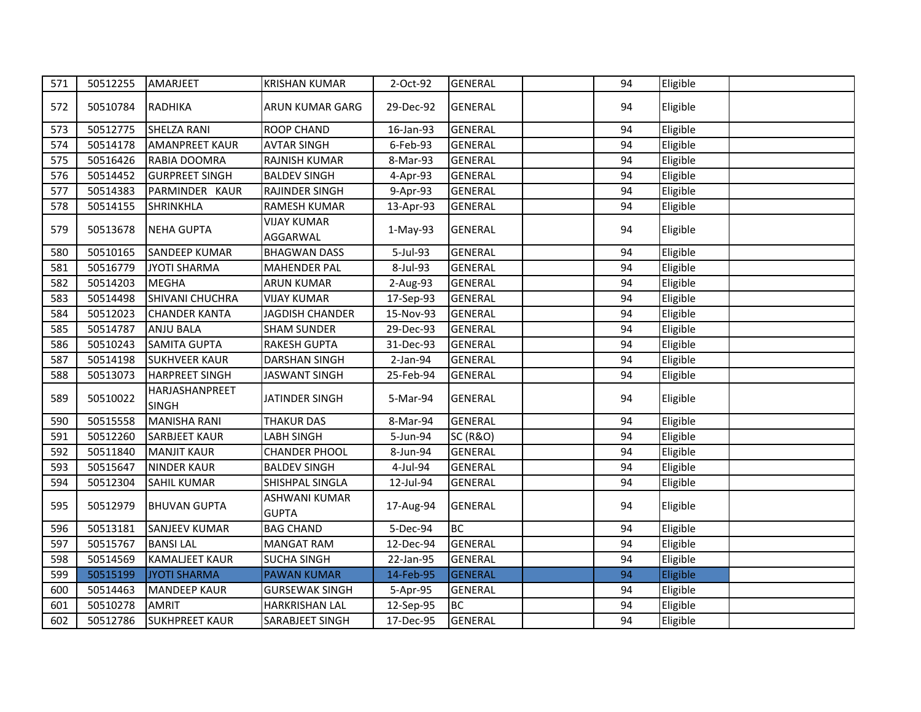| 571 | 50512255 | AMARJEET                       | <b>KRISHAN KUMAR</b>           | 2-Oct-92   | <b>GENERAL</b>      | 94 | Eligible |  |
|-----|----------|--------------------------------|--------------------------------|------------|---------------------|----|----------|--|
| 572 | 50510784 | RADHIKA                        | ARUN KUMAR GARG                | 29-Dec-92  | <b>GENERAL</b>      | 94 | Eligible |  |
| 573 | 50512775 | <b>SHELZA RANI</b>             | <b>ROOP CHAND</b>              | 16-Jan-93  | <b>GENERAL</b>      | 94 | Eligible |  |
| 574 | 50514178 | <b>AMANPREET KAUR</b>          | <b>AVTAR SINGH</b>             | 6-Feb-93   | <b>GENERAL</b>      | 94 | Eligible |  |
| 575 | 50516426 | RABIA DOOMRA                   | RAJNISH KUMAR                  | 8-Mar-93   | <b>GENERAL</b>      | 94 | Eligible |  |
| 576 | 50514452 | <b>GURPREET SINGH</b>          | <b>BALDEV SINGH</b>            | 4-Apr-93   | <b>GENERAL</b>      | 94 | Eligible |  |
| 577 | 50514383 | PARMINDER KAUR                 | RAJINDER SINGH                 | 9-Apr-93   | <b>GENERAL</b>      | 94 | Eligible |  |
| 578 | 50514155 | <b>SHRINKHLA</b>               | <b>RAMESH KUMAR</b>            | 13-Apr-93  | <b>GENERAL</b>      | 94 | Eligible |  |
| 579 | 50513678 | <b>NEHA GUPTA</b>              | <b>VIJAY KUMAR</b><br>AGGARWAL | $1-May-93$ | <b>GENERAL</b>      | 94 | Eligible |  |
| 580 | 50510165 | <b>SANDEEP KUMAR</b>           | <b>BHAGWAN DASS</b>            | 5-Jul-93   | <b>GENERAL</b>      | 94 | Eligible |  |
| 581 | 50516779 | <b>JYOTI SHARMA</b>            | <b>MAHENDER PAL</b>            | 8-Jul-93   | <b>GENERAL</b>      | 94 | Eligible |  |
| 582 | 50514203 | <b>MEGHA</b>                   | <b>ARUN KUMAR</b>              | 2-Aug-93   | <b>GENERAL</b>      | 94 | Eligible |  |
| 583 | 50514498 | SHIVANI CHUCHRA                | <b>VIJAY KUMAR</b>             | 17-Sep-93  | <b>GENERAL</b>      | 94 | Eligible |  |
| 584 | 50512023 | <b>CHANDER KANTA</b>           | JAGDISH CHANDER                | 15-Nov-93  | <b>GENERAL</b>      | 94 | Eligible |  |
| 585 | 50514787 | <b>ANJU BALA</b>               | <b>SHAM SUNDER</b>             | 29-Dec-93  | <b>GENERAL</b>      | 94 | Eligible |  |
| 586 | 50510243 | <b>SAMITA GUPTA</b>            | <b>RAKESH GUPTA</b>            | 31-Dec-93  | <b>GENERAL</b>      | 94 | Eligible |  |
| 587 | 50514198 | <b>SUKHVEER KAUR</b>           | <b>DARSHAN SINGH</b>           | 2-Jan-94   | <b>GENERAL</b>      | 94 | Eligible |  |
| 588 | 50513073 | <b>HARPREET SINGH</b>          | <b>JASWANT SINGH</b>           | 25-Feb-94  | <b>GENERAL</b>      | 94 | Eligible |  |
| 589 | 50510022 | HARJASHANPREET<br><b>SINGH</b> | JATINDER SINGH                 | 5-Mar-94   | <b>GENERAL</b>      | 94 | Eligible |  |
| 590 | 50515558 | <b>MANISHA RANI</b>            | <b>THAKUR DAS</b>              | 8-Mar-94   | <b>GENERAL</b>      | 94 | Eligible |  |
| 591 | 50512260 | <b>SARBJEET KAUR</b>           | <b>LABH SINGH</b>              | 5-Jun-94   | <b>SC (R&amp;O)</b> | 94 | Eligible |  |
| 592 | 50511840 | <b>MANJIT KAUR</b>             | <b>CHANDER PHOOL</b>           | 8-Jun-94   | <b>GENERAL</b>      | 94 | Eligible |  |
| 593 | 50515647 | <b>NINDER KAUR</b>             | <b>BALDEV SINGH</b>            | 4-Jul-94   | <b>GENERAL</b>      | 94 | Eligible |  |
| 594 | 50512304 | <b>SAHIL KUMAR</b>             | SHISHPAL SINGLA                | 12-Jul-94  | <b>GENERAL</b>      | 94 | Eligible |  |
| 595 | 50512979 | <b>BHUVAN GUPTA</b>            | ASHWANI KUMAR<br><b>GUPTA</b>  | 17-Aug-94  | <b>GENERAL</b>      | 94 | Eligible |  |
| 596 | 50513181 | <b>SANJEEV KUMAR</b>           | <b>BAG CHAND</b>               | 5-Dec-94   | <b>BC</b>           | 94 | Eligible |  |
| 597 | 50515767 | <b>BANSILAL</b>                | <b>MANGAT RAM</b>              | 12-Dec-94  | <b>GENERAL</b>      | 94 | Eligible |  |
| 598 | 50514569 | <b>KAMALJEET KAUR</b>          | <b>SUCHA SINGH</b>             | 22-Jan-95  | <b>GENERAL</b>      | 94 | Eligible |  |
| 599 | 50515199 | <b>JYOTI SHARMA</b>            | <b>PAWAN KUMAR</b>             | 14-Feb-95  | <b>GENERAL</b>      | 94 | Eligible |  |
| 600 | 50514463 | <b>MANDEEP KAUR</b>            | <b>GURSEWAK SINGH</b>          | 5-Apr-95   | <b>GENERAL</b>      | 94 | Eligible |  |
| 601 | 50510278 | <b>AMRIT</b>                   | HARKRISHAN LAL                 | 12-Sep-95  | <b>BC</b>           | 94 | Eligible |  |
| 602 | 50512786 | <b>SUKHPREET KAUR</b>          | SARABJEET SINGH                | 17-Dec-95  | <b>GENERAL</b>      | 94 | Eligible |  |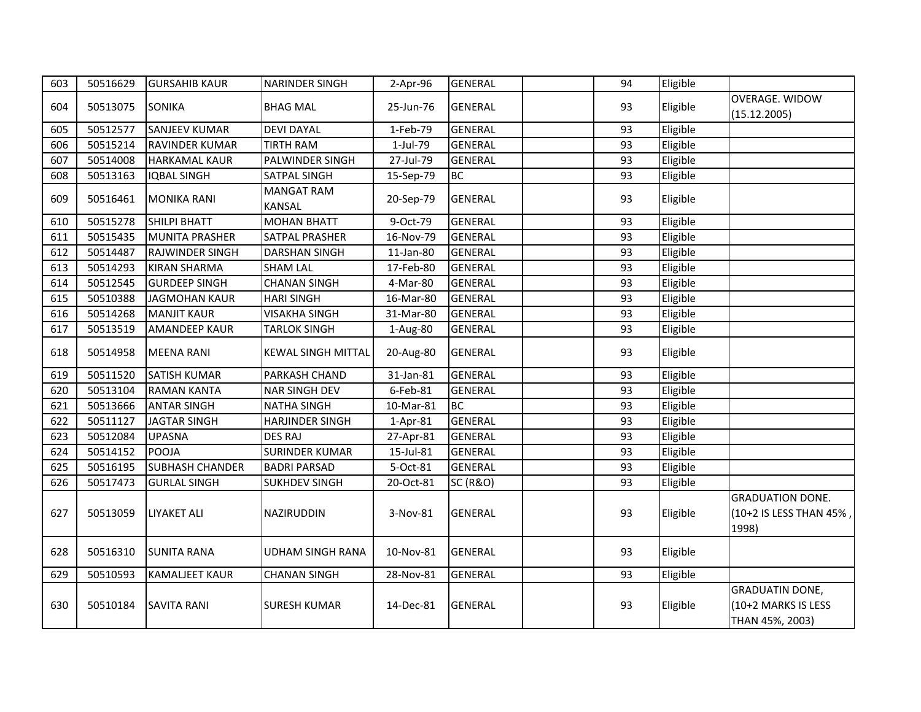| 603 | 50516629 | <b>GURSAHIB KAUR</b>   | <b>NARINDER SINGH</b>              | 2-Apr-96   | <b>GENERAL</b>      | 94 | Eligible |                                                                  |
|-----|----------|------------------------|------------------------------------|------------|---------------------|----|----------|------------------------------------------------------------------|
| 604 | 50513075 | <b>SONIKA</b>          | <b>BHAG MAL</b>                    | 25-Jun-76  | <b>GENERAL</b>      | 93 | Eligible | <b>OVERAGE. WIDOW</b><br>(15.12.2005)                            |
| 605 | 50512577 | <b>SANJEEV KUMAR</b>   | <b>DEVI DAYAL</b>                  | 1-Feb-79   | <b>GENERAL</b>      | 93 | Eligible |                                                                  |
| 606 | 50515214 | RAVINDER KUMAR         | <b>TIRTH RAM</b>                   | 1-Jul-79   | <b>GENERAL</b>      | 93 | Eligible |                                                                  |
| 607 | 50514008 | <b>HARKAMAL KAUR</b>   | PALWINDER SINGH                    | 27-Jul-79  | <b>GENERAL</b>      | 93 | Eligible |                                                                  |
| 608 | 50513163 | <b>IQBAL SINGH</b>     | SATPAL SINGH                       | 15-Sep-79  | <b>BC</b>           | 93 | Eligible |                                                                  |
| 609 | 50516461 | <b>MONIKA RANI</b>     | <b>MANGAT RAM</b><br><b>KANSAL</b> | 20-Sep-79  | <b>GENERAL</b>      | 93 | Eligible |                                                                  |
| 610 | 50515278 | <b>SHILPI BHATT</b>    | <b>MOHAN BHATT</b>                 | 9-Oct-79   | <b>GENERAL</b>      | 93 | Eligible |                                                                  |
| 611 | 50515435 | <b>MUNITA PRASHER</b>  | <b>SATPAL PRASHER</b>              | 16-Nov-79  | <b>GENERAL</b>      | 93 | Eligible |                                                                  |
| 612 | 50514487 | <b>RAJWINDER SINGH</b> | <b>DARSHAN SINGH</b>               | 11-Jan-80  | <b>GENERAL</b>      | 93 | Eligible |                                                                  |
| 613 | 50514293 | <b>KIRAN SHARMA</b>    | <b>SHAM LAL</b>                    | 17-Feb-80  | <b>GENERAL</b>      | 93 | Eligible |                                                                  |
| 614 | 50512545 | <b>GURDEEP SINGH</b>   | <b>CHANAN SINGH</b>                | 4-Mar-80   | <b>GENERAL</b>      | 93 | Eligible |                                                                  |
| 615 | 50510388 | <b>JAGMOHAN KAUR</b>   | <b>HARI SINGH</b>                  | 16-Mar-80  | <b>GENERAL</b>      | 93 | Eligible |                                                                  |
| 616 | 50514268 | <b>MANJIT KAUR</b>     | VISAKHA SINGH                      | 31-Mar-80  | <b>GENERAL</b>      | 93 | Eligible |                                                                  |
| 617 | 50513519 | <b>AMANDEEP KAUR</b>   | <b>TARLOK SINGH</b>                | 1-Aug-80   | <b>GENERAL</b>      | 93 | Eligible |                                                                  |
| 618 | 50514958 | <b>MEENA RANI</b>      | <b>KEWAL SINGH MITTAL</b>          | 20-Aug-80  | <b>GENERAL</b>      | 93 | Eligible |                                                                  |
| 619 | 50511520 | <b>SATISH KUMAR</b>    | <b>PARKASH CHAND</b>               | 31-Jan-81  | <b>GENERAL</b>      | 93 | Eligible |                                                                  |
| 620 | 50513104 | <b>RAMAN KANTA</b>     | <b>NAR SINGH DEV</b>               | 6-Feb-81   | <b>GENERAL</b>      | 93 | Eligible |                                                                  |
| 621 | 50513666 | <b>ANTAR SINGH</b>     | <b>NATHA SINGH</b>                 | 10-Mar-81  | <b>BC</b>           | 93 | Eligible |                                                                  |
| 622 | 50511127 | JAGTAR SINGH           | <b>HARJINDER SINGH</b>             | $1-Apr-81$ | <b>GENERAL</b>      | 93 | Eligible |                                                                  |
| 623 | 50512084 | <b>UPASNA</b>          | <b>DES RAJ</b>                     | 27-Apr-81  | <b>GENERAL</b>      | 93 | Eligible |                                                                  |
| 624 | 50514152 | <b>POOJA</b>           | <b>SURINDER KUMAR</b>              | 15-Jul-81  | <b>GENERAL</b>      | 93 | Eligible |                                                                  |
| 625 | 50516195 | <b>SUBHASH CHANDER</b> | <b>BADRI PARSAD</b>                | 5-Oct-81   | <b>GENERAL</b>      | 93 | Eligible |                                                                  |
| 626 | 50517473 | <b>GURLAL SINGH</b>    | <b>SUKHDEV SINGH</b>               | 20-Oct-81  | <b>SC (R&amp;O)</b> | 93 | Eligible |                                                                  |
| 627 | 50513059 | <b>LIYAKET ALI</b>     | NAZIRUDDIN                         | 3-Nov-81   | <b>GENERAL</b>      | 93 | Eligible | <b>GRADUATION DONE.</b><br>(10+2 IS LESS THAN 45%,<br>1998)      |
| 628 | 50516310 | <b>SUNITA RANA</b>     | <b>UDHAM SINGH RANA</b>            | 10-Nov-81  | <b>GENERAL</b>      | 93 | Eligible |                                                                  |
| 629 | 50510593 | <b>KAMALJEET KAUR</b>  | <b>CHANAN SINGH</b>                | 28-Nov-81  | <b>GENERAL</b>      | 93 | Eligible |                                                                  |
| 630 | 50510184 | <b>SAVITA RANI</b>     | <b>SURESH KUMAR</b>                | 14-Dec-81  | <b>GENERAL</b>      | 93 | Eligible | <b>GRADUATIN DONE,</b><br>(10+2 MARKS IS LESS<br>THAN 45%, 2003) |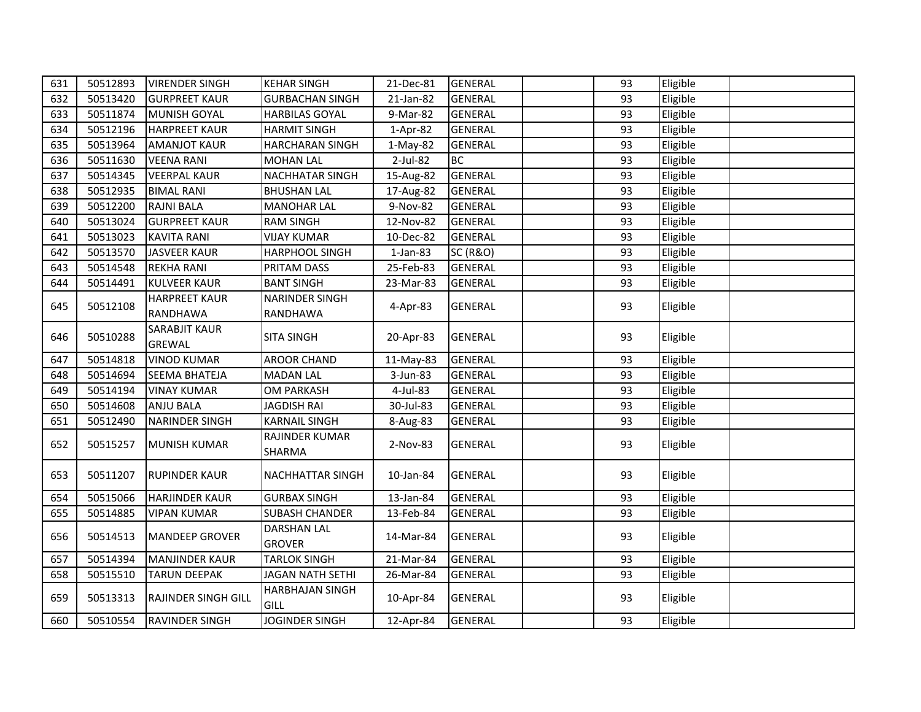| 631 | 50512893 | <b>VIRENDER SINGH</b>                 | <b>KEHAR SINGH</b>                  | 21-Dec-81   | <b>GENERAL</b>      | 93 | Eligible |
|-----|----------|---------------------------------------|-------------------------------------|-------------|---------------------|----|----------|
| 632 | 50513420 | <b>GURPREET KAUR</b>                  | <b>GURBACHAN SINGH</b>              | 21-Jan-82   | <b>GENERAL</b>      | 93 | Eligible |
| 633 | 50511874 | <b>MUNISH GOYAL</b>                   | <b>HARBILAS GOYAL</b>               | 9-Mar-82    | <b>GENERAL</b>      | 93 | Eligible |
| 634 | 50512196 | <b>HARPREET KAUR</b>                  | <b>HARMIT SINGH</b>                 | 1-Apr-82    | <b>GENERAL</b>      | 93 | Eligible |
| 635 | 50513964 | <b>AMANJOT KAUR</b>                   | <b>HARCHARAN SINGH</b>              | 1-May-82    | <b>GENERAL</b>      | 93 | Eligible |
| 636 | 50511630 | <b>VEENA RANI</b>                     | <b>MOHAN LAL</b>                    | $2$ -Jul-82 | <b>BC</b>           | 93 | Eligible |
| 637 | 50514345 | <b>VEERPAL KAUR</b>                   | <b>NACHHATAR SINGH</b>              | 15-Aug-82   | <b>GENERAL</b>      | 93 | Eligible |
| 638 | 50512935 | <b>BIMAL RANI</b>                     | <b>BHUSHAN LAL</b>                  | 17-Aug-82   | GENERAL             | 93 | Eligible |
| 639 | 50512200 | <b>RAJNI BALA</b>                     | <b>MANOHAR LAL</b>                  | 9-Nov-82    | <b>GENERAL</b>      | 93 | Eligible |
| 640 | 50513024 | <b>GURPREET KAUR</b>                  | <b>RAM SINGH</b>                    | 12-Nov-82   | <b>GENERAL</b>      | 93 | Eligible |
| 641 | 50513023 | <b>KAVITA RANI</b>                    | <b>VIJAY KUMAR</b>                  | 10-Dec-82   | <b>GENERAL</b>      | 93 | Eligible |
| 642 | 50513570 | <b>JASVEER KAUR</b>                   | <b>HARPHOOL SINGH</b>               | 1-Jan-83    | <b>SC (R&amp;O)</b> | 93 | Eligible |
| 643 | 50514548 | <b>REKHA RANI</b>                     | PRITAM DASS                         | 25-Feb-83   | <b>GENERAL</b>      | 93 | Eligible |
| 644 | 50514491 | <b>KULVEER KAUR</b>                   | <b>BANT SINGH</b>                   | 23-Mar-83   | <b>GENERAL</b>      | 93 | Eligible |
| 645 | 50512108 | <b>HARPREET KAUR</b><br>RANDHAWA      | <b>NARINDER SINGH</b><br>RANDHAWA   | 4-Apr-83    | <b>GENERAL</b>      | 93 | Eligible |
| 646 | 50510288 | <b>SARABJIT KAUR</b><br><b>GREWAL</b> | <b>SITA SINGH</b>                   | 20-Apr-83   | <b>GENERAL</b>      | 93 | Eligible |
| 647 | 50514818 | <b>VINOD KUMAR</b>                    | <b>AROOR CHAND</b>                  | 11-May-83   | <b>GENERAL</b>      | 93 | Eligible |
| 648 | 50514694 | <b>SEEMA BHATEJA</b>                  | <b>MADAN LAL</b>                    | 3-Jun-83    | <b>GENERAL</b>      | 93 | Eligible |
| 649 | 50514194 | <b>VINAY KUMAR</b>                    | <b>OM PARKASH</b>                   | 4-Jul-83    | <b>GENERAL</b>      | 93 | Eligible |
| 650 | 50514608 | <b>ANJU BALA</b>                      | <b>JAGDISH RAI</b>                  | 30-Jul-83   | <b>GENERAL</b>      | 93 | Eligible |
| 651 | 50512490 | <b>NARINDER SINGH</b>                 | <b>KARNAIL SINGH</b>                | 8-Aug-83    | <b>GENERAL</b>      | 93 | Eligible |
| 652 | 50515257 | <b>MUNISH KUMAR</b>                   | RAJINDER KUMAR<br>SHARMA            | 2-Nov-83    | <b>GENERAL</b>      | 93 | Eligible |
| 653 | 50511207 | <b>RUPINDER KAUR</b>                  | NACHHATTAR SINGH                    | 10-Jan-84   | <b>GENERAL</b>      | 93 | Eligible |
| 654 | 50515066 | <b>HARJINDER KAUR</b>                 | <b>GURBAX SINGH</b>                 | 13-Jan-84   | <b>GENERAL</b>      | 93 | Eligible |
| 655 | 50514885 | <b>VIPAN KUMAR</b>                    | <b>SUBASH CHANDER</b>               | 13-Feb-84   | <b>GENERAL</b>      | 93 | Eligible |
| 656 | 50514513 | <b>MANDEEP GROVER</b>                 | <b>DARSHAN LAL</b><br><b>GROVER</b> | 14-Mar-84   | <b>GENERAL</b>      | 93 | Eligible |
| 657 | 50514394 | <b>MANJINDER KAUR</b>                 | <b>TARLOK SINGH</b>                 | 21-Mar-84   | <b>GENERAL</b>      | 93 | Eligible |
| 658 | 50515510 | <b>TARUN DEEPAK</b>                   | <b>JAGAN NATH SETHI</b>             | 26-Mar-84   | <b>GENERAL</b>      | 93 | Eligible |
| 659 | 50513313 | <b>RAJINDER SINGH GILL</b>            | <b>HARBHAJAN SINGH</b><br>GILL      | 10-Apr-84   | <b>GENERAL</b>      | 93 | Eligible |
| 660 | 50510554 | RAVINDER SINGH                        | <b>JOGINDER SINGH</b>               | 12-Apr-84   | <b>GENERAL</b>      | 93 | Eligible |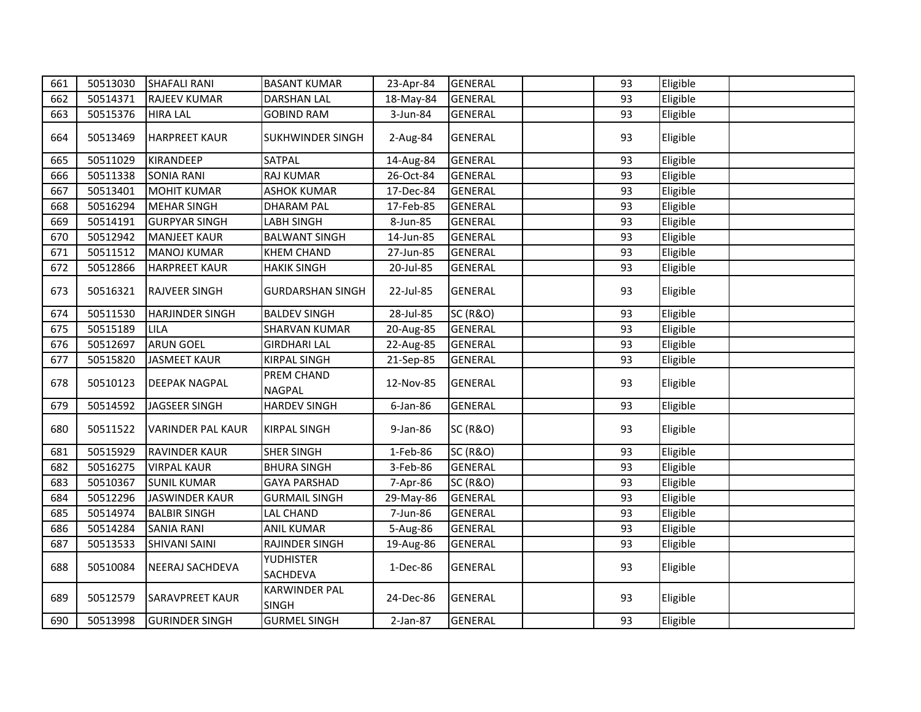| 661 | 50513030 | <b>SHAFALI RANI</b>      | <b>BASANT KUMAR</b>                  | 23-Apr-84 | <b>GENERAL</b>      | 93 | Eligible |  |
|-----|----------|--------------------------|--------------------------------------|-----------|---------------------|----|----------|--|
| 662 | 50514371 | <b>RAJEEV KUMAR</b>      | DARSHAN LAL                          | 18-May-84 | <b>GENERAL</b>      | 93 | Eligible |  |
| 663 | 50515376 | <b>HIRA LAL</b>          | <b>GOBIND RAM</b>                    | 3-Jun-84  | GENERAL             | 93 | Eligible |  |
| 664 | 50513469 | <b>HARPREET KAUR</b>     | <b>SUKHWINDER SINGH</b>              | 2-Aug-84  | <b>GENERAL</b>      | 93 | Eligible |  |
| 665 | 50511029 | KIRANDEEP                | SATPAL                               | 14-Aug-84 | <b>GENERAL</b>      | 93 | Eligible |  |
| 666 | 50511338 | <b>SONIA RANI</b>        | <b>RAJ KUMAR</b>                     | 26-Oct-84 | <b>GENERAL</b>      | 93 | Eligible |  |
| 667 | 50513401 | <b>MOHIT KUMAR</b>       | <b>ASHOK KUMAR</b>                   | 17-Dec-84 | <b>GENERAL</b>      | 93 | Eligible |  |
| 668 | 50516294 | <b>MEHAR SINGH</b>       | <b>DHARAM PAL</b>                    | 17-Feb-85 | <b>GENERAL</b>      | 93 | Eligible |  |
| 669 | 50514191 | <b>GURPYAR SINGH</b>     | <b>LABH SINGH</b>                    | 8-Jun-85  | <b>GENERAL</b>      | 93 | Eligible |  |
| 670 | 50512942 | <b>MANJEET KAUR</b>      | <b>BALWANT SINGH</b>                 | 14-Jun-85 | <b>GENERAL</b>      | 93 | Eligible |  |
| 671 | 50511512 | <b>MANOJ KUMAR</b>       | <b>KHEM CHAND</b>                    | 27-Jun-85 | <b>GENERAL</b>      | 93 | Eligible |  |
| 672 | 50512866 | <b>HARPREET KAUR</b>     | <b>HAKIK SINGH</b>                   | 20-Jul-85 | <b>GENERAL</b>      | 93 | Eligible |  |
| 673 | 50516321 | <b>RAJVEER SINGH</b>     | <b>GURDARSHAN SINGH</b>              | 22-Jul-85 | <b>GENERAL</b>      | 93 | Eligible |  |
| 674 | 50511530 | <b>HARJINDER SINGH</b>   | <b>BALDEV SINGH</b>                  | 28-Jul-85 | <b>SC (R&amp;O)</b> | 93 | Eligible |  |
| 675 | 50515189 | <b>LILA</b>              | <b>SHARVAN KUMAR</b>                 | 20-Aug-85 | <b>GENERAL</b>      | 93 | Eligible |  |
| 676 | 50512697 | <b>ARUN GOEL</b>         | <b>GIRDHARI LAL</b>                  | 22-Aug-85 | <b>GENERAL</b>      | 93 | Eligible |  |
| 677 | 50515820 | <b>JASMEET KAUR</b>      | <b>KIRPAL SINGH</b>                  | 21-Sep-85 | <b>GENERAL</b>      | 93 | Eligible |  |
| 678 | 50510123 | <b>DEEPAK NAGPAL</b>     | PREM CHAND<br><b>NAGPAL</b>          | 12-Nov-85 | <b>GENERAL</b>      | 93 | Eligible |  |
| 679 | 50514592 | JAGSEER SINGH            | <b>HARDEV SINGH</b>                  | 6-Jan-86  | <b>GENERAL</b>      | 93 | Eligible |  |
| 680 | 50511522 | <b>VARINDER PAL KAUR</b> | <b>KIRPAL SINGH</b>                  | 9-Jan-86  | <b>SC (R&amp;O)</b> | 93 | Eligible |  |
| 681 | 50515929 | <b>RAVINDER KAUR</b>     | <b>SHER SINGH</b>                    | 1-Feb-86  | <b>SC (R&amp;O)</b> | 93 | Eligible |  |
| 682 | 50516275 | <b>VIRPAL KAUR</b>       | <b>BHURA SINGH</b>                   | 3-Feb-86  | <b>GENERAL</b>      | 93 | Eligible |  |
| 683 | 50510367 | <b>SUNIL KUMAR</b>       | <b>GAYA PARSHAD</b>                  | 7-Apr-86  | <b>SC (R&amp;O)</b> | 93 | Eligible |  |
| 684 | 50512296 | <b>JASWINDER KAUR</b>    | <b>GURMAIL SINGH</b>                 | 29-May-86 | <b>GENERAL</b>      | 93 | Eligible |  |
| 685 | 50514974 | <b>BALBIR SINGH</b>      | <b>LAL CHAND</b>                     | 7-Jun-86  | <b>GENERAL</b>      | 93 | Eligible |  |
| 686 | 50514284 | <b>SANIA RANI</b>        | <b>ANIL KUMAR</b>                    | 5-Aug-86  | <b>GENERAL</b>      | 93 | Eligible |  |
| 687 | 50513533 | <b>SHIVANI SAINI</b>     | RAJINDER SINGH                       | 19-Aug-86 | <b>GENERAL</b>      | 93 | Eligible |  |
| 688 | 50510084 | <b>NEERAJ SACHDEVA</b>   | <b>YUDHISTER</b><br><b>SACHDEVA</b>  | 1-Dec-86  | <b>GENERAL</b>      | 93 | Eligible |  |
| 689 | 50512579 | <b>SARAVPREET KAUR</b>   | <b>KARWINDER PAL</b><br><b>SINGH</b> | 24-Dec-86 | <b>GENERAL</b>      | 93 | Eligible |  |
| 690 | 50513998 | <b>GURINDER SINGH</b>    | <b>GURMEL SINGH</b>                  | 2-Jan-87  | <b>GENERAL</b>      | 93 | Eligible |  |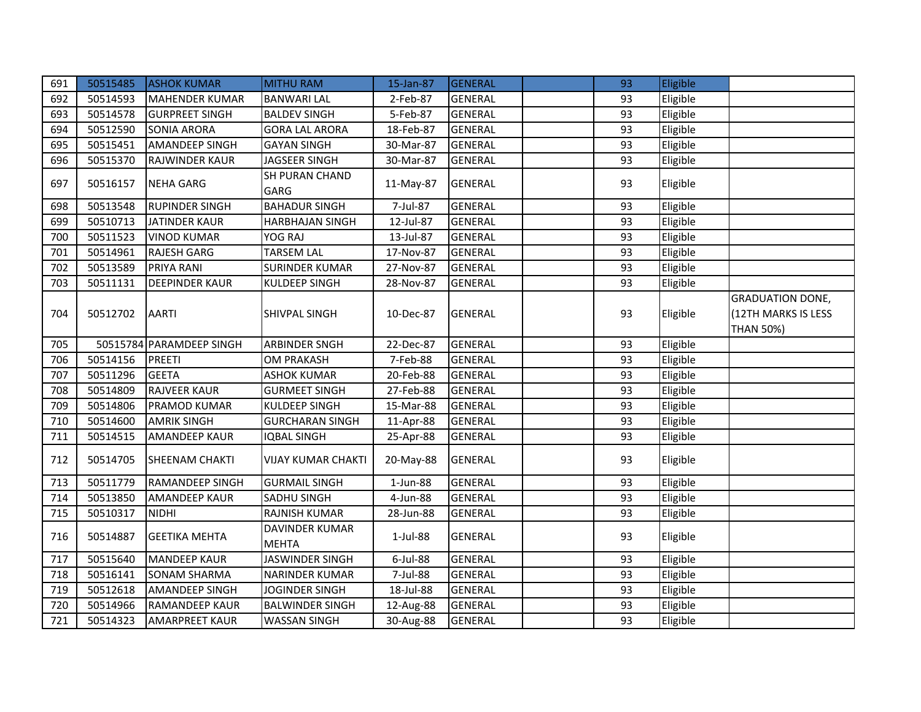| 691 | 50515485 | <b>ASHOK KUMAR</b>       | <b>MITHU RAM</b>               | 15-Jan-87   | <b>GENERAL</b> | 93 | Eligible |                                                                    |
|-----|----------|--------------------------|--------------------------------|-------------|----------------|----|----------|--------------------------------------------------------------------|
| 692 | 50514593 | <b>MAHENDER KUMAR</b>    | <b>BANWARI LAL</b>             | 2-Feb-87    | <b>GENERAL</b> | 93 | Eligible |                                                                    |
| 693 | 50514578 | <b>GURPREET SINGH</b>    | <b>BALDEV SINGH</b>            | 5-Feb-87    | <b>GENERAL</b> | 93 | Eligible |                                                                    |
| 694 | 50512590 | <b>SONIA ARORA</b>       | <b>GORA LAL ARORA</b>          | 18-Feb-87   | <b>GENERAL</b> | 93 | Eligible |                                                                    |
| 695 | 50515451 | <b>AMANDEEP SINGH</b>    | <b>GAYAN SINGH</b>             | 30-Mar-87   | <b>GENERAL</b> | 93 | Eligible |                                                                    |
| 696 | 50515370 | RAJWINDER KAUR           | JAGSEER SINGH                  | 30-Mar-87   | <b>GENERAL</b> | 93 | Eligible |                                                                    |
| 697 | 50516157 | <b>NEHA GARG</b>         | SH PURAN CHAND<br><b>GARG</b>  | 11-May-87   | <b>GENERAL</b> | 93 | Eligible |                                                                    |
| 698 | 50513548 | <b>RUPINDER SINGH</b>    | <b>BAHADUR SINGH</b>           | 7-Jul-87    | <b>GENERAL</b> | 93 | Eligible |                                                                    |
| 699 | 50510713 | JATINDER KAUR            | <b>HARBHAJAN SINGH</b>         | 12-Jul-87   | <b>GENERAL</b> | 93 | Eligible |                                                                    |
| 700 | 50511523 | <b>VINOD KUMAR</b>       | YOG RAJ                        | 13-Jul-87   | <b>GENERAL</b> | 93 | Eligible |                                                                    |
| 701 | 50514961 | <b>RAJESH GARG</b>       | <b>TARSEM LAL</b>              | 17-Nov-87   | <b>GENERAL</b> | 93 | Eligible |                                                                    |
| 702 | 50513589 | PRIYA RANI               | <b>SURINDER KUMAR</b>          | 27-Nov-87   | <b>GENERAL</b> | 93 | Eligible |                                                                    |
| 703 | 50511131 | <b>DEEPINDER KAUR</b>    | <b>KULDEEP SINGH</b>           | 28-Nov-87   | <b>GENERAL</b> | 93 | Eligible |                                                                    |
| 704 | 50512702 | <b>AARTI</b>             | SHIVPAL SINGH                  | 10-Dec-87   | <b>GENERAL</b> | 93 | Eligible | <b>GRADUATION DONE,</b><br>(12TH MARKS IS LESS<br><b>THAN 50%)</b> |
| 705 |          | 50515784 PARAMDEEP SINGH | <b>ARBINDER SNGH</b>           | 22-Dec-87   | <b>GENERAL</b> | 93 | Eligible |                                                                    |
| 706 | 50514156 | <b>PREETI</b>            | <b>OM PRAKASH</b>              | 7-Feb-88    | <b>GENERAL</b> | 93 | Eligible |                                                                    |
| 707 | 50511296 | <b>GEETA</b>             | <b>ASHOK KUMAR</b>             | 20-Feb-88   | <b>GENERAL</b> | 93 | Eligible |                                                                    |
| 708 | 50514809 | <b>RAJVEER KAUR</b>      | <b>GURMEET SINGH</b>           | 27-Feb-88   | <b>GENERAL</b> | 93 | Eligible |                                                                    |
| 709 | 50514806 | PRAMOD KUMAR             | <b>KULDEEP SINGH</b>           | 15-Mar-88   | <b>GENERAL</b> | 93 | Eligible |                                                                    |
| 710 | 50514600 | <b>AMRIK SINGH</b>       | <b>GURCHARAN SINGH</b>         | 11-Apr-88   | <b>GENERAL</b> | 93 | Eligible |                                                                    |
| 711 | 50514515 | <b>AMANDEEP KAUR</b>     | <b>IQBAL SINGH</b>             | 25-Apr-88   | <b>GENERAL</b> | 93 | Eligible |                                                                    |
| 712 | 50514705 | <b>SHEENAM CHAKTI</b>    | <b>VIJAY KUMAR CHAKTI</b>      | 20-May-88   | <b>GENERAL</b> | 93 | Eligible |                                                                    |
| 713 | 50511779 | <b>RAMANDEEP SINGH</b>   | <b>GURMAIL SINGH</b>           | 1-Jun-88    | <b>GENERAL</b> | 93 | Eligible |                                                                    |
| 714 | 50513850 | <b>AMANDEEP KAUR</b>     | SADHU SINGH                    | 4-Jun-88    | <b>GENERAL</b> | 93 | Eligible |                                                                    |
| 715 | 50510317 | <b>NIDHI</b>             | RAJNISH KUMAR                  | 28-Jun-88   | <b>GENERAL</b> | 93 | Eligible |                                                                    |
| 716 | 50514887 | <b>GEETIKA MEHTA</b>     | DAVINDER KUMAR<br><b>MEHTA</b> | $1$ -Jul-88 | <b>GENERAL</b> | 93 | Eligible |                                                                    |
| 717 | 50515640 | <b>MANDEEP KAUR</b>      | JASWINDER SINGH                | 6-Jul-88    | <b>GENERAL</b> | 93 | Eligible |                                                                    |
| 718 | 50516141 | <b>SONAM SHARMA</b>      | NARINDER KUMAR                 | 7-Jul-88    | <b>GENERAL</b> | 93 | Eligible |                                                                    |
| 719 | 50512618 | <b>AMANDEEP SINGH</b>    | JOGINDER SINGH                 | 18-Jul-88   | <b>GENERAL</b> | 93 | Eligible |                                                                    |
| 720 | 50514966 | <b>RAMANDEEP KAUR</b>    | <b>BALWINDER SINGH</b>         | 12-Aug-88   | <b>GENERAL</b> | 93 | Eligible |                                                                    |
| 721 | 50514323 | <b>AMARPREET KAUR</b>    | <b>WASSAN SINGH</b>            | 30-Aug-88   | <b>GENERAL</b> | 93 | Eligible |                                                                    |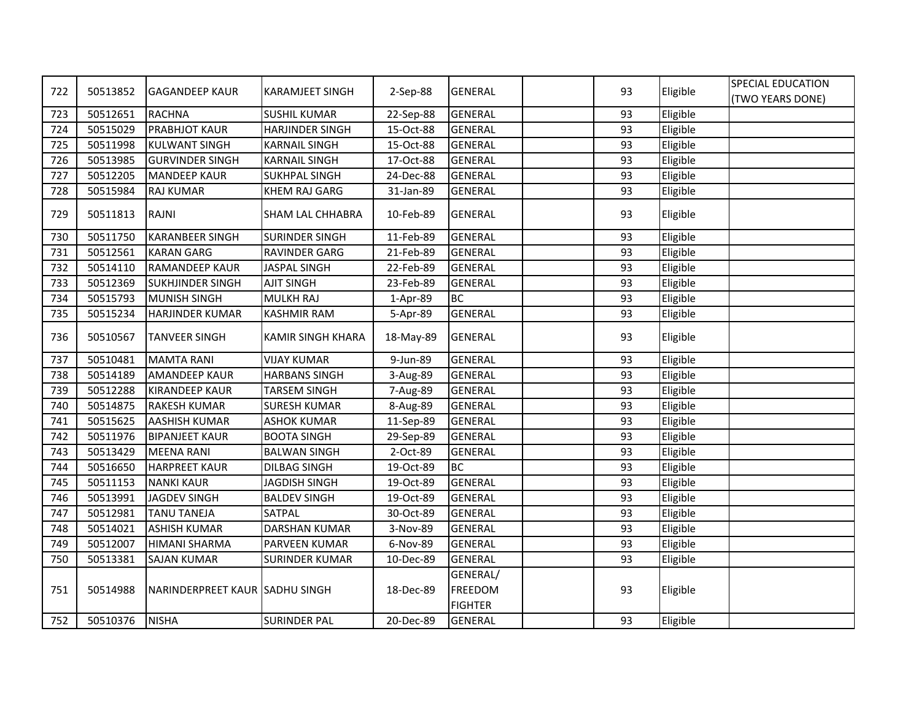|     |          |                                |                          |           |                                              |    |          | SPECIAL EDUCATION |
|-----|----------|--------------------------------|--------------------------|-----------|----------------------------------------------|----|----------|-------------------|
| 722 | 50513852 | <b>GAGANDEEP KAUR</b>          | <b>KARAMJEET SINGH</b>   | 2-Sep-88  | <b>GENERAL</b>                               | 93 | Eligible | (TWO YEARS DONE)  |
| 723 | 50512651 | <b>RACHNA</b>                  | <b>SUSHIL KUMAR</b>      | 22-Sep-88 | <b>GENERAL</b>                               | 93 | Eligible |                   |
| 724 | 50515029 | <b>PRABHJOT KAUR</b>           | <b>HARJINDER SINGH</b>   | 15-Oct-88 | <b>GENERAL</b>                               | 93 | Eligible |                   |
| 725 | 50511998 | <b>KULWANT SINGH</b>           | <b>KARNAIL SINGH</b>     | 15-Oct-88 | <b>GENERAL</b>                               | 93 | Eligible |                   |
| 726 | 50513985 | <b>GURVINDER SINGH</b>         | <b>KARNAIL SINGH</b>     | 17-Oct-88 | <b>GENERAL</b>                               | 93 | Eligible |                   |
| 727 | 50512205 | <b>MANDEEP KAUR</b>            | <b>SUKHPAL SINGH</b>     | 24-Dec-88 | <b>GENERAL</b>                               | 93 | Eligible |                   |
| 728 | 50515984 | <b>RAJ KUMAR</b>               | <b>KHEM RAJ GARG</b>     | 31-Jan-89 | <b>GENERAL</b>                               | 93 | Eligible |                   |
| 729 | 50511813 | <b>RAJNI</b>                   | <b>SHAM LAL CHHABRA</b>  | 10-Feb-89 | <b>GENERAL</b>                               | 93 | Eligible |                   |
| 730 | 50511750 | <b>KARANBEER SINGH</b>         | <b>SURINDER SINGH</b>    | 11-Feb-89 | <b>GENERAL</b>                               | 93 | Eligible |                   |
| 731 | 50512561 | <b>KARAN GARG</b>              | <b>RAVINDER GARG</b>     | 21-Feb-89 | <b>GENERAL</b>                               | 93 | Eligible |                   |
| 732 | 50514110 | <b>RAMANDEEP KAUR</b>          | <b>JASPAL SINGH</b>      | 22-Feb-89 | <b>GENERAL</b>                               | 93 | Eligible |                   |
| 733 | 50512369 | <b>SUKHJINDER SINGH</b>        | <b>AJIT SINGH</b>        | 23-Feb-89 | <b>GENERAL</b>                               | 93 | Eligible |                   |
| 734 | 50515793 | <b>MUNISH SINGH</b>            | MULKH RAJ                | 1-Apr-89  | <b>BC</b>                                    | 93 | Eligible |                   |
| 735 | 50515234 | <b>HARJINDER KUMAR</b>         | <b>KASHMIR RAM</b>       | 5-Apr-89  | <b>GENERAL</b>                               | 93 | Eligible |                   |
| 736 | 50510567 | <b>TANVEER SINGH</b>           | <b>KAMIR SINGH KHARA</b> | 18-May-89 | <b>GENERAL</b>                               | 93 | Eligible |                   |
| 737 | 50510481 | <b>MAMTA RANI</b>              | <b>VIJAY KUMAR</b>       | 9-Jun-89  | <b>GENERAL</b>                               | 93 | Eligible |                   |
| 738 | 50514189 | <b>AMANDEEP KAUR</b>           | <b>HARBANS SINGH</b>     | 3-Aug-89  | <b>GENERAL</b>                               | 93 | Eligible |                   |
| 739 | 50512288 | <b>KIRANDEEP KAUR</b>          | <b>TARSEM SINGH</b>      | 7-Aug-89  | <b>GENERAL</b>                               | 93 | Eligible |                   |
| 740 | 50514875 | <b>RAKESH KUMAR</b>            | <b>SURESH KUMAR</b>      | 8-Aug-89  | <b>GENERAL</b>                               | 93 | Eligible |                   |
| 741 | 50515625 | <b>AASHISH KUMAR</b>           | <b>ASHOK KUMAR</b>       | 11-Sep-89 | <b>GENERAL</b>                               | 93 | Eligible |                   |
| 742 | 50511976 | <b>BIPANJEET KAUR</b>          | <b>BOOTA SINGH</b>       | 29-Sep-89 | <b>GENERAL</b>                               | 93 | Eligible |                   |
| 743 | 50513429 | <b>MEENA RANI</b>              | <b>BALWAN SINGH</b>      | 2-Oct-89  | <b>GENERAL</b>                               | 93 | Eligible |                   |
| 744 | 50516650 | <b>HARPREET KAUR</b>           | <b>DILBAG SINGH</b>      | 19-Oct-89 | <b>BC</b>                                    | 93 | Eligible |                   |
| 745 | 50511153 | <b>NANKI KAUR</b>              | <b>JAGDISH SINGH</b>     | 19-Oct-89 | <b>GENERAL</b>                               | 93 | Eligible |                   |
| 746 | 50513991 | <b>JAGDEV SINGH</b>            | <b>BALDEV SINGH</b>      | 19-Oct-89 | <b>GENERAL</b>                               | 93 | Eligible |                   |
| 747 | 50512981 | <b>TANU TANEJA</b>             | SATPAL                   | 30-Oct-89 | <b>GENERAL</b>                               | 93 | Eligible |                   |
| 748 | 50514021 | <b>ASHISH KUMAR</b>            | <b>DARSHAN KUMAR</b>     | 3-Nov-89  | <b>GENERAL</b>                               | 93 | Eligible |                   |
| 749 | 50512007 | <b>HIMANI SHARMA</b>           | PARVEEN KUMAR            | 6-Nov-89  | <b>GENERAL</b>                               | 93 | Eligible |                   |
| 750 | 50513381 | <b>SAJAN KUMAR</b>             | <b>SURINDER KUMAR</b>    | 10-Dec-89 | <b>GENERAL</b>                               | 93 | Eligible |                   |
| 751 | 50514988 | NARINDERPREET KAUR SADHU SINGH |                          | 18-Dec-89 | GENERAL/<br><b>FREEDOM</b><br><b>FIGHTER</b> | 93 | Eligible |                   |
| 752 | 50510376 | <b>NISHA</b>                   | <b>SURINDER PAL</b>      | 20-Dec-89 | <b>GENERAL</b>                               | 93 | Eligible |                   |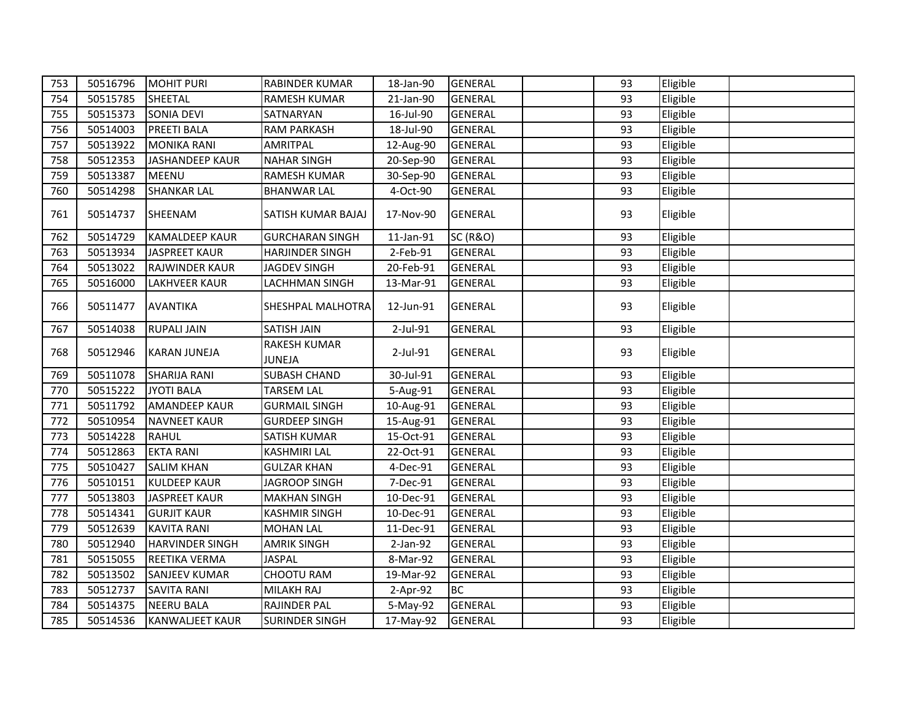| 753 | 50516796 | <b>MOHIT PURI</b>      | <b>RABINDER KUMAR</b>                | 18-Jan-90 | <b>GENERAL</b>      | 93 | Eligible |  |
|-----|----------|------------------------|--------------------------------------|-----------|---------------------|----|----------|--|
| 754 | 50515785 | SHEETAL                | <b>RAMESH KUMAR</b>                  | 21-Jan-90 | <b>GENERAL</b>      | 93 | Eligible |  |
| 755 | 50515373 | <b>SONIA DEVI</b>      | SATNARYAN                            | 16-Jul-90 | <b>GENERAL</b>      | 93 | Eligible |  |
| 756 | 50514003 | <b>PREETI BALA</b>     | <b>RAM PARKASH</b>                   | 18-Jul-90 | <b>GENERAL</b>      | 93 | Eligible |  |
| 757 | 50513922 | <b>MONIKA RANI</b>     | <b>AMRITPAL</b>                      | 12-Aug-90 | <b>GENERAL</b>      | 93 | Eligible |  |
| 758 | 50512353 | <b>JASHANDEEP KAUR</b> | <b>NAHAR SINGH</b>                   | 20-Sep-90 | <b>GENERAL</b>      | 93 | Eligible |  |
| 759 | 50513387 | <b>MEENU</b>           | <b>RAMESH KUMAR</b>                  | 30-Sep-90 | <b>GENERAL</b>      | 93 | Eligible |  |
| 760 | 50514298 | <b>SHANKAR LAL</b>     | <b>BHANWAR LAL</b>                   | 4-Oct-90  | <b>GENERAL</b>      | 93 | Eligible |  |
| 761 | 50514737 | SHEENAM                | SATISH KUMAR BAJAJ                   | 17-Nov-90 | <b>GENERAL</b>      | 93 | Eligible |  |
| 762 | 50514729 | <b>KAMALDEEP KAUR</b>  | <b>GURCHARAN SINGH</b>               | 11-Jan-91 | <b>SC (R&amp;O)</b> | 93 | Eligible |  |
| 763 | 50513934 | JASPREET KAUR          | <b>HARJINDER SINGH</b>               | 2-Feb-91  | <b>GENERAL</b>      | 93 | Eligible |  |
| 764 | 50513022 | RAJWINDER KAUR         | <b>JAGDEV SINGH</b>                  | 20-Feb-91 | <b>GENERAL</b>      | 93 | Eligible |  |
| 765 | 50516000 | <b>LAKHVEER KAUR</b>   | LACHHMAN SINGH                       | 13-Mar-91 | <b>GENERAL</b>      | 93 | Eligible |  |
| 766 | 50511477 | <b>AVANTIKA</b>        | SHESHPAL MALHOTRA                    | 12-Jun-91 | <b>GENERAL</b>      | 93 | Eligible |  |
| 767 | 50514038 | <b>RUPALI JAIN</b>     | SATISH JAIN                          | 2-Jul-91  | <b>GENERAL</b>      | 93 | Eligible |  |
| 768 | 50512946 | <b>KARAN JUNEJA</b>    | <b>RAKESH KUMAR</b><br><b>JUNEJA</b> | 2-Jul-91  | <b>GENERAL</b>      | 93 | Eligible |  |
| 769 | 50511078 | <b>SHARIJA RANI</b>    | <b>SUBASH CHAND</b>                  | 30-Jul-91 | <b>GENERAL</b>      | 93 | Eligible |  |
| 770 | 50515222 | <b>JYOTI BALA</b>      | <b>TARSEM LAL</b>                    | 5-Aug-91  | <b>GENERAL</b>      | 93 | Eligible |  |
| 771 | 50511792 | <b>AMANDEEP KAUR</b>   | <b>GURMAIL SINGH</b>                 | 10-Aug-91 | <b>GENERAL</b>      | 93 | Eligible |  |
| 772 | 50510954 | <b>NAVNEET KAUR</b>    | <b>GURDEEP SINGH</b>                 | 15-Aug-91 | <b>GENERAL</b>      | 93 | Eligible |  |
| 773 | 50514228 | <b>RAHUL</b>           | <b>SATISH KUMAR</b>                  | 15-Oct-91 | <b>GENERAL</b>      | 93 | Eligible |  |
| 774 | 50512863 | <b>EKTA RANI</b>       | <b>KASHMIRI LAL</b>                  | 22-Oct-91 | <b>GENERAL</b>      | 93 | Eligible |  |
| 775 | 50510427 | <b>SALIM KHAN</b>      | <b>GULZAR KHAN</b>                   | 4-Dec-91  | <b>GENERAL</b>      | 93 | Eligible |  |
| 776 | 50510151 | <b>KULDEEP KAUR</b>    | <b>JAGROOP SINGH</b>                 | 7-Dec-91  | <b>GENERAL</b>      | 93 | Eligible |  |
| 777 | 50513803 | <b>JASPREET KAUR</b>   | <b>MAKHAN SINGH</b>                  | 10-Dec-91 | <b>GENERAL</b>      | 93 | Eligible |  |
| 778 | 50514341 | <b>GURJIT KAUR</b>     | <b>KASHMIR SINGH</b>                 | 10-Dec-91 | <b>GENERAL</b>      | 93 | Eligible |  |
| 779 | 50512639 | <b>KAVITA RANI</b>     | <b>MOHAN LAL</b>                     | 11-Dec-91 | <b>GENERAL</b>      | 93 | Eligible |  |
| 780 | 50512940 | <b>HARVINDER SINGH</b> | <b>AMRIK SINGH</b>                   | 2-Jan-92  | <b>GENERAL</b>      | 93 | Eligible |  |
| 781 | 50515055 | <b>REETIKA VERMA</b>   | JASPAL                               | 8-Mar-92  | <b>GENERAL</b>      | 93 | Eligible |  |
| 782 | 50513502 | <b>SANJEEV KUMAR</b>   | CHOOTU RAM                           | 19-Mar-92 | <b>GENERAL</b>      | 93 | Eligible |  |
| 783 | 50512737 | <b>SAVITA RANI</b>     | <b>MILAKH RAJ</b>                    | 2-Apr-92  | <b>BC</b>           | 93 | Eligible |  |
| 784 | 50514375 | <b>NEERU BALA</b>      | <b>RAJINDER PAL</b>                  | 5-May-92  | <b>GENERAL</b>      | 93 | Eligible |  |
| 785 | 50514536 | <b>KANWALJEET KAUR</b> | <b>SURINDER SINGH</b>                | 17-May-92 | <b>GENERAL</b>      | 93 | Eligible |  |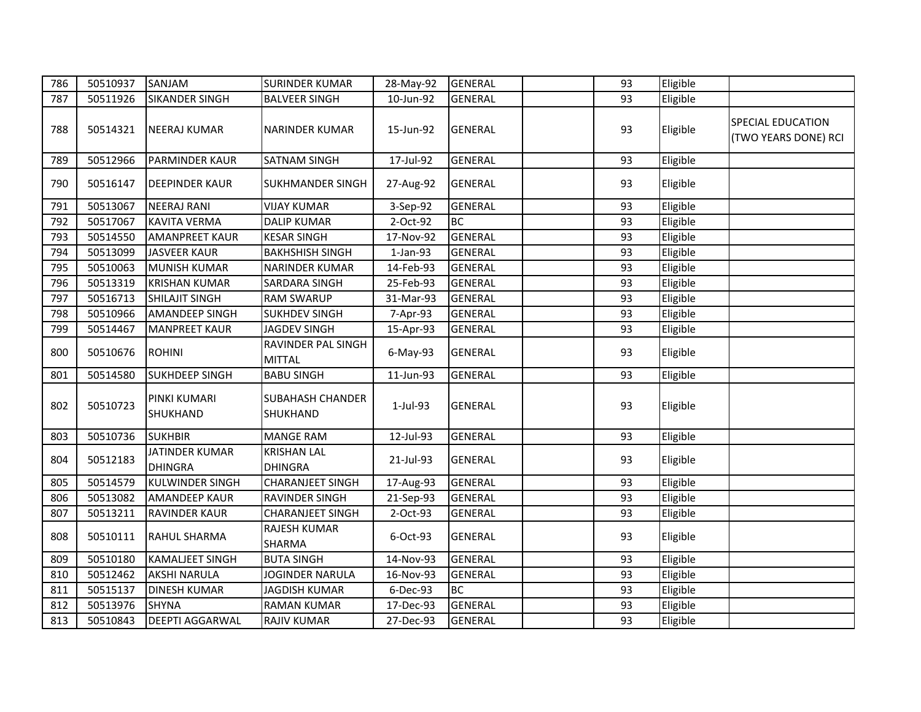| 786 | 50510937 | SANJAM                                  | <b>SURINDER KUMAR</b>                | 28-May-92 | <b>GENERAL</b> | 93 | Eligible |                                           |
|-----|----------|-----------------------------------------|--------------------------------------|-----------|----------------|----|----------|-------------------------------------------|
| 787 | 50511926 | <b>SIKANDER SINGH</b>                   | <b>BALVEER SINGH</b>                 | 10-Jun-92 | <b>GENERAL</b> | 93 | Eligible |                                           |
| 788 | 50514321 | <b>NEERAJ KUMAR</b>                     | <b>NARINDER KUMAR</b>                | 15-Jun-92 | <b>GENERAL</b> | 93 | Eligible | SPECIAL EDUCATION<br>(TWO YEARS DONE) RCI |
| 789 | 50512966 | <b>PARMINDER KAUR</b>                   | <b>SATNAM SINGH</b>                  | 17-Jul-92 | <b>GENERAL</b> | 93 | Eligible |                                           |
| 790 | 50516147 | <b>DEEPINDER KAUR</b>                   | <b>SUKHMANDER SINGH</b>              | 27-Aug-92 | <b>GENERAL</b> | 93 | Eligible |                                           |
| 791 | 50513067 | <b>NEERAJ RANI</b>                      | <b>VIJAY KUMAR</b>                   | 3-Sep-92  | <b>GENERAL</b> | 93 | Eligible |                                           |
| 792 | 50517067 | <b>KAVITA VERMA</b>                     | <b>DALIP KUMAR</b>                   | 2-Oct-92  | <b>BC</b>      | 93 | Eligible |                                           |
| 793 | 50514550 | <b>AMANPREET KAUR</b>                   | <b>KESAR SINGH</b>                   | 17-Nov-92 | <b>GENERAL</b> | 93 | Eligible |                                           |
| 794 | 50513099 | <b>JASVEER KAUR</b>                     | <b>BAKHSHISH SINGH</b>               | 1-Jan-93  | <b>GENERAL</b> | 93 | Eligible |                                           |
| 795 | 50510063 | <b>MUNISH KUMAR</b>                     | NARINDER KUMAR                       | 14-Feb-93 | <b>GENERAL</b> | 93 | Eligible |                                           |
| 796 | 50513319 | <b>KRISHAN KUMAR</b>                    | SARDARA SINGH                        | 25-Feb-93 | <b>GENERAL</b> | 93 | Eligible |                                           |
| 797 | 50516713 | <b>SHILAJIT SINGH</b>                   | RAM SWARUP                           | 31-Mar-93 | <b>GENERAL</b> | 93 | Eligible |                                           |
| 798 | 50510966 | <b>AMANDEEP SINGH</b>                   | <b>SUKHDEV SINGH</b>                 | 7-Apr-93  | <b>GENERAL</b> | 93 | Eligible |                                           |
| 799 | 50514467 | <b>MANPREET KAUR</b>                    | JAGDEV SINGH                         | 15-Apr-93 | <b>GENERAL</b> | 93 | Eligible |                                           |
| 800 | 50510676 | <b>ROHINI</b>                           | RAVINDER PAL SINGH<br><b>MITTAL</b>  | 6-May-93  | <b>GENERAL</b> | 93 | Eligible |                                           |
| 801 | 50514580 | <b>SUKHDEEP SINGH</b>                   | <b>BABU SINGH</b>                    | 11-Jun-93 | <b>GENERAL</b> | 93 | Eligible |                                           |
| 802 | 50510723 | PINKI KUMARI<br>SHUKHAND                | <b>SUBAHASH CHANDER</b><br>SHUKHAND  | 1-Jul-93  | <b>GENERAL</b> | 93 | Eligible |                                           |
| 803 | 50510736 | <b>SUKHBIR</b>                          | <b>MANGE RAM</b>                     | 12-Jul-93 | <b>GENERAL</b> | 93 | Eligible |                                           |
| 804 | 50512183 | <b>JATINDER KUMAR</b><br><b>DHINGRA</b> | <b>KRISHAN LAL</b><br><b>DHINGRA</b> | 21-Jul-93 | <b>GENERAL</b> | 93 | Eligible |                                           |
| 805 | 50514579 | <b>KULWINDER SINGH</b>                  | <b>CHARANJEET SINGH</b>              | 17-Aug-93 | <b>GENERAL</b> | 93 | Eligible |                                           |
| 806 | 50513082 | <b>AMANDEEP KAUR</b>                    | RAVINDER SINGH                       | 21-Sep-93 | <b>GENERAL</b> | 93 | Eligible |                                           |
| 807 | 50513211 | <b>RAVINDER KAUR</b>                    | <b>CHARANJEET SINGH</b>              | 2-Oct-93  | <b>GENERAL</b> | 93 | Eligible |                                           |
| 808 | 50510111 | <b>RAHUL SHARMA</b>                     | RAJESH KUMAR<br>SHARMA               | 6-Oct-93  | <b>GENERAL</b> | 93 | Eligible |                                           |
| 809 | 50510180 | <b>KAMALJEET SINGH</b>                  | <b>BUTA SINGH</b>                    | 14-Nov-93 | <b>GENERAL</b> | 93 | Eligible |                                           |
| 810 | 50512462 | <b>AKSHI NARULA</b>                     | JOGINDER NARULA                      | 16-Nov-93 | <b>GENERAL</b> | 93 | Eligible |                                           |
| 811 | 50515137 | <b>DINESH KUMAR</b>                     | <b>JAGDISH KUMAR</b>                 | 6-Dec-93  | <b>BC</b>      | 93 | Eligible |                                           |
| 812 | 50513976 | <b>SHYNA</b>                            | <b>RAMAN KUMAR</b>                   | 17-Dec-93 | <b>GENERAL</b> | 93 | Eligible |                                           |
| 813 | 50510843 | <b>DEEPTI AGGARWAL</b>                  | <b>RAJIV KUMAR</b>                   | 27-Dec-93 | <b>GENERAL</b> | 93 | Eligible |                                           |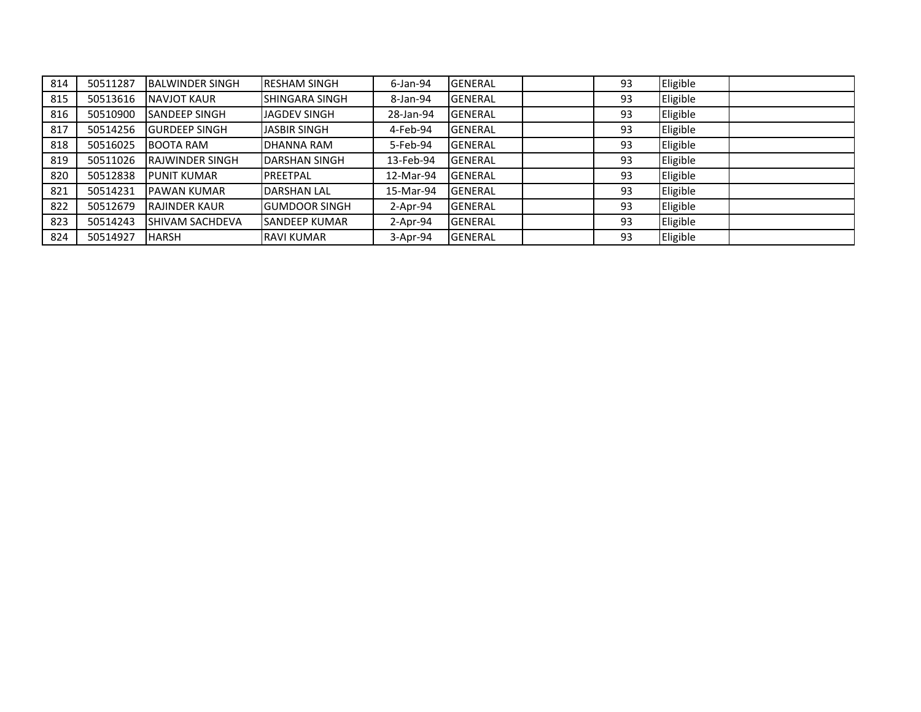| 814 | 50511287 | <b>IBALWINDER SINGH</b> | <b>IRESHAM SINGH</b>  | $6$ -Jan-94 | <b>GENERAL</b>  | 93 | Eligible |  |
|-----|----------|-------------------------|-----------------------|-------------|-----------------|----|----------|--|
| 815 | 50513616 | <b>NAVJOT KAUR</b>      | <b>SHINGARA SINGH</b> | 8-Jan-94    | <b>GENERAL</b>  | 93 | Eligible |  |
| 816 | 50510900 | <b>SANDEEP SINGH</b>    | IJAGDEV SINGH         | 28-Jan-94   | <b>GENERAL</b>  | 93 | Eligible |  |
| 817 | 50514256 | <b>GURDEEP SINGH</b>    | <b>JASBIR SINGH</b>   | 4-Feb-94    | <b>IGENERAL</b> | 93 | Eligible |  |
| 818 | 50516025 | <b>BOOTA RAM</b>        | IDHANNA RAM           | 5-Feb-94    | <b>GENERAL</b>  | 93 | Eligible |  |
| 819 | 50511026 | <b>IRAJWINDER SINGH</b> | <b>IDARSHAN SINGH</b> | 13-Feb-94   | <b>GENERAL</b>  | 93 | Eligible |  |
| 820 | 50512838 | <b>PUNIT KUMAR</b>      | <b>PREETPAL</b>       | 12-Mar-94   | <b>GENERAL</b>  | 93 | Eligible |  |
| 821 | 50514231 | <b>PAWAN KUMAR</b>      | <b>IDARSHAN LAL</b>   | 15-Mar-94   | <b>GENERAL</b>  | 93 | Eligible |  |
| 822 | 50512679 | <b>IRAJINDER KAUR</b>   | <b>IGUMDOOR SINGH</b> | $2-Apr-94$  | <b>GENERAL</b>  | 93 | Eligible |  |
| 823 | 50514243 | <b>SHIVAM SACHDEVA</b>  | <b>SANDEEP KUMAR</b>  | 2-Apr-94    | <b>GENERAL</b>  | 93 | Eligible |  |
| 824 | 50514927 | <b>HARSH</b>            | <b>RAVI KUMAR</b>     | $3-Apr-94$  | <b>GENERAL</b>  | 93 | Eligible |  |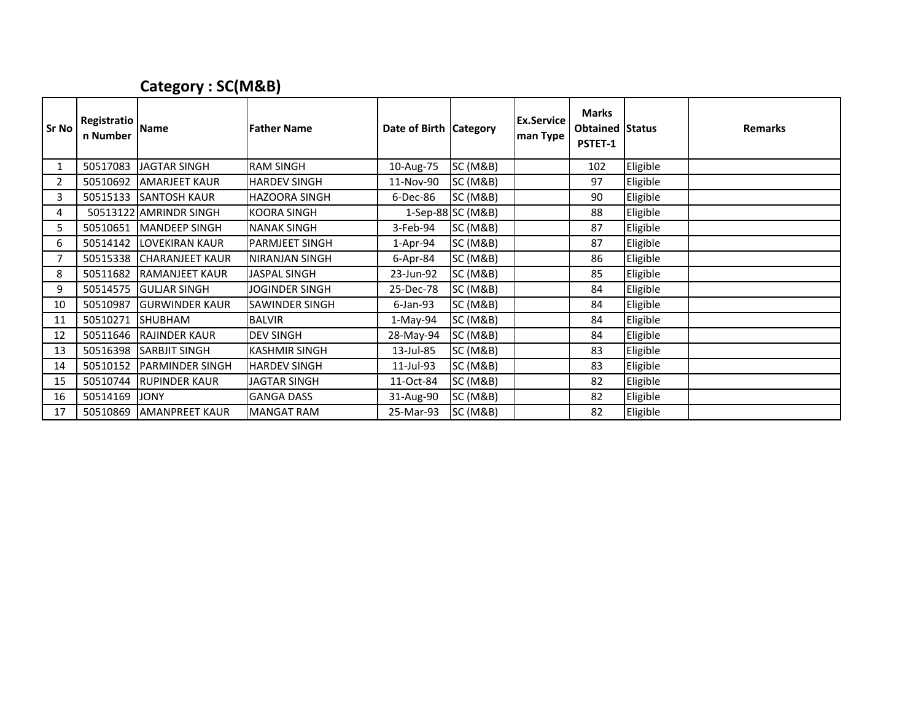## Category : SC(M&B)

| <b>Sr No</b>   | Registratio Name<br>n Number |                        | <b>Father Name</b>    | Date of Birth   Category |                     | <b>Ex.Service</b><br>man Type | <b>Marks</b><br><b>Obtained Status</b><br>PSTET-1 |          | <b>Remarks</b> |
|----------------|------------------------------|------------------------|-----------------------|--------------------------|---------------------|-------------------------------|---------------------------------------------------|----------|----------------|
| 1              | 50517083                     | <b>JAGTAR SINGH</b>    | <b>RAM SINGH</b>      | 10-Aug-75                | <b>SC (M&amp;B)</b> |                               | 102                                               | Eligible |                |
| $\overline{2}$ | 50510692                     | <b>AMARJEET KAUR</b>   | <b>HARDEV SINGH</b>   | 11-Nov-90                | SC(M&B)             |                               | 97                                                | Eligible |                |
| 3              | 50515133                     | <b>SANTOSH KAUR</b>    | <b>HAZOORA SINGH</b>  | 6-Dec-86                 | <b>SC (M&amp;B)</b> |                               | 90                                                | Eligible |                |
| 4              |                              | 50513122 AMRINDR SINGH | <b>KOORA SINGH</b>    |                          | 1-Sep-88 SC (M&B)   |                               | 88                                                | Eligible |                |
| 5.             | 50510651                     | <b>IMANDEEP SINGH</b>  | <b>NANAK SINGH</b>    | 3-Feb-94                 | <b>SC (M&amp;B)</b> |                               | 87                                                | Eligible |                |
| 6              | 50514142                     | <b>LOVEKIRAN KAUR</b>  | <b>PARMJEET SINGH</b> | $1-Apr-94$               | <b>SC (M&amp;B)</b> |                               | 87                                                | Eligible |                |
|                | 50515338                     | <b>CHARANJEET KAUR</b> | NIRANJAN SINGH        | 6-Apr-84                 | <b>SC (M&amp;B)</b> |                               | 86                                                | Eligible |                |
| 8              | 50511682                     | <b>RAMANJEET KAUR</b>  | <b>JASPAL SINGH</b>   | 23-Jun-92                | <b>SC (M&amp;B)</b> |                               | 85                                                | Eligible |                |
| 9              | 50514575                     | <b>GULJAR SINGH</b>    | JOGINDER SINGH        | 25-Dec-78                | <b>SC (M&amp;B)</b> |                               | 84                                                | Eligible |                |
| 10             | 50510987                     | <b>GURWINDER KAUR</b>  | <b>SAWINDER SINGH</b> | $6$ -Jan- $93$           | <b>SC (M&amp;B)</b> |                               | 84                                                | Eligible |                |
| 11             | 50510271                     | SHUBHAM                | <b>BALVIR</b>         | $1-May-94$               | <b>SC (M&amp;B)</b> |                               | 84                                                | Eligible |                |
| 12             | 50511646                     | <b>RAJINDER KAUR</b>   | <b>DEV SINGH</b>      | 28-May-94                | <b>SC (M&amp;B)</b> |                               | 84                                                | Eligible |                |
| 13             | 50516398                     | <b>SARBJIT SINGH</b>   | <b>KASHMIR SINGH</b>  | 13-Jul-85                | <b>SC (M&amp;B)</b> |                               | 83                                                | Eligible |                |
| 14             | 50510152                     | <b>PARMINDER SINGH</b> | <b>HARDEV SINGH</b>   | 11-Jul-93                | <b>SC (M&amp;B)</b> |                               | 83                                                | Eligible |                |
| 15             | 50510744                     | <b>RUPINDER KAUR</b>   | <b>JAGTAR SINGH</b>   | 11-Oct-84                | <b>SC (M&amp;B)</b> |                               | 82                                                | Eligible |                |
| 16             | 50514169                     | <b>JONY</b>            | <b>GANGA DASS</b>     | 31-Aug-90                | <b>SC (M&amp;B)</b> |                               | 82                                                | Eligible |                |
| 17             | 50510869                     | <b>JAMANPREET KAUR</b> | <b>MANGAT RAM</b>     | 25-Mar-93                | <b>SC (M&amp;B)</b> |                               | 82                                                | Eligible |                |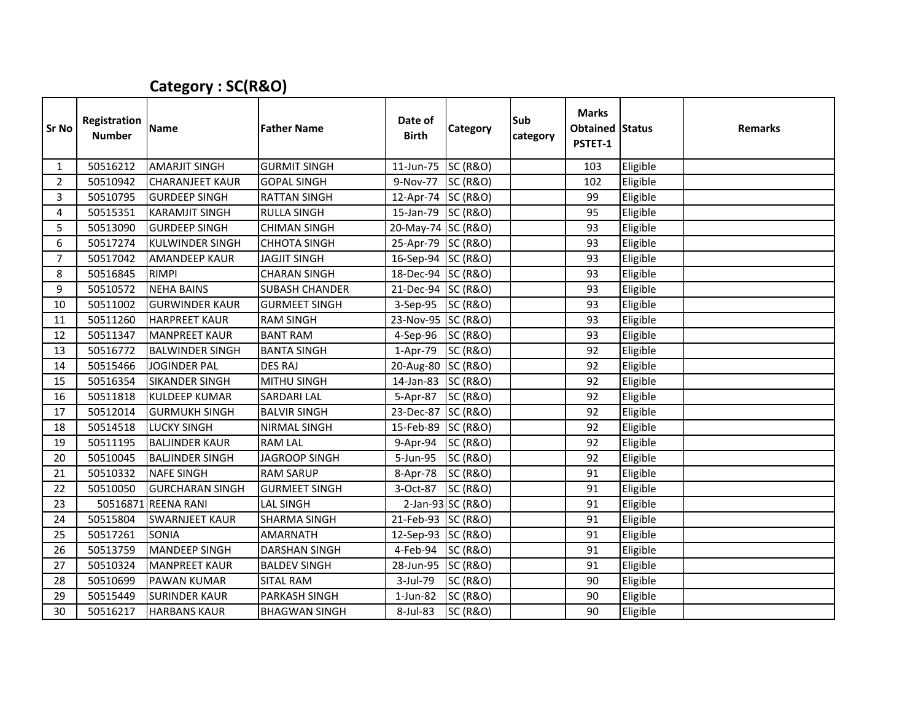## Category : SC(R&O)

| <b>Sr No</b>   | Registration<br><b>Number</b> | <b>Name</b>            | <b>Father Name</b>    | Date of<br><b>Birth</b> | Category            | Sub<br>category | <b>Marks</b><br><b>Obtained Status</b><br>PSTET-1 |          | <b>Remarks</b> |
|----------------|-------------------------------|------------------------|-----------------------|-------------------------|---------------------|-----------------|---------------------------------------------------|----------|----------------|
| $\mathbf{1}$   | 50516212                      | <b>AMARJIT SINGH</b>   | <b>GURMIT SINGH</b>   | 11-Jun-75               | <b>SC (R&amp;O)</b> |                 | 103                                               | Eligible |                |
| $\overline{2}$ | 50510942                      | <b>CHARANJEET KAUR</b> | <b>GOPAL SINGH</b>    | 9-Nov-77                | <b>SC (R&amp;O)</b> |                 | 102                                               | Eligible |                |
| 3              | 50510795                      | <b>GURDEEP SINGH</b>   | <b>RATTAN SINGH</b>   | 12-Apr-74 SC (R&O)      |                     |                 | 99                                                | Eligible |                |
| 4              | 50515351                      | <b>KARAMJIT SINGH</b>  | <b>RULLA SINGH</b>    | 15-Jan-79 SC (R&O)      |                     |                 | 95                                                | Eligible |                |
| 5              | 50513090                      | <b>GURDEEP SINGH</b>   | <b>CHIMAN SINGH</b>   | 20-May-74 SC (R&O)      |                     |                 | 93                                                | Eligible |                |
| 6              | 50517274                      | <b>KULWINDER SINGH</b> | <b>CHHOTA SINGH</b>   | 25-Apr-79 SC (R&O)      |                     |                 | 93                                                | Eligible |                |
| $\overline{7}$ | 50517042                      | <b>AMANDEEP KAUR</b>   | <b>JAGJIT SINGH</b>   | 16-Sep-94 SC (R&O)      |                     |                 | 93                                                | Eligible |                |
| 8              | 50516845                      | <b>RIMPI</b>           | <b>CHARAN SINGH</b>   | 18-Dec-94 SC (R&O)      |                     |                 | 93                                                | Eligible |                |
| 9              | 50510572                      | <b>NEHA BAINS</b>      | <b>SUBASH CHANDER</b> | 21-Dec-94 SC (R&O)      |                     |                 | 93                                                | Eligible |                |
| 10             | 50511002                      | <b>GURWINDER KAUR</b>  | <b>GURMEET SINGH</b>  | 3-Sep-95                | <b>SC (R&amp;O)</b> |                 | 93                                                | Eligible |                |
| 11             | 50511260                      | <b>HARPREET KAUR</b>   | <b>RAM SINGH</b>      | 23-Nov-95 SC (R&O)      |                     |                 | 93                                                | Eligible |                |
| 12             | 50511347                      | <b>MANPREET KAUR</b>   | <b>BANT RAM</b>       | 4-Sep-96                | <b>SC (R&amp;O)</b> |                 | 93                                                | Eligible |                |
| 13             | 50516772                      | <b>BALWINDER SINGH</b> | <b>BANTA SINGH</b>    | 1-Apr-79                | <b>SC (R&amp;O)</b> |                 | 92                                                | Eligible |                |
| 14             | 50515466                      | <b>JOGINDER PAL</b>    | <b>DES RAJ</b>        | 20-Aug-80 SC (R&O)      |                     |                 | 92                                                | Eligible |                |
| 15             | 50516354                      | <b>SIKANDER SINGH</b>  | <b>MITHU SINGH</b>    | 14-Jan-83 SC (R&O)      |                     |                 | 92                                                | Eligible |                |
| 16             | 50511818                      | <b>KULDEEP KUMAR</b>   | <b>SARDARI LAL</b>    | 5-Apr-87                | <b>SC (R&amp;O)</b> |                 | 92                                                | Eligible |                |
| 17             | 50512014                      | <b>GURMUKH SINGH</b>   | <b>BALVIR SINGH</b>   | 23-Dec-87               | <b>SC (R&amp;O)</b> |                 | 92                                                | Eligible |                |
| 18             | 50514518                      | <b>LUCKY SINGH</b>     | NIRMAL SINGH          | 15-Feb-89               | <b>SC (R&amp;O)</b> |                 | 92                                                | Eligible |                |
| 19             | 50511195                      | <b>BALJINDER KAUR</b>  | <b>RAM LAL</b>        | 9-Apr-94                | <b>SC (R&amp;O)</b> |                 | 92                                                | Eligible |                |
| 20             | 50510045                      | <b>BALJINDER SINGH</b> | <b>JAGROOP SINGH</b>  | 5-Jun-95                | <b>SC (R&amp;O)</b> |                 | 92                                                | Eligible |                |
| 21             | 50510332                      | <b>NAFE SINGH</b>      | <b>RAM SARUP</b>      | 8-Apr-78                | <b>SC (R&amp;O)</b> |                 | 91                                                | Eligible |                |
| 22             | 50510050                      | <b>GURCHARAN SINGH</b> | <b>GURMEET SINGH</b>  | 3-Oct-87                | <b>SC (R&amp;O)</b> |                 | 91                                                | Eligible |                |
| 23             |                               | 50516871 REENA RANI    | LAL SINGH             |                         | 2-Jan-93 SC (R&O)   |                 | 91                                                | Eligible |                |
| 24             | 50515804                      | <b>SWARNJEET KAUR</b>  | <b>SHARMA SINGH</b>   | 21-Feb-93 SC (R&O)      |                     |                 | 91                                                | Eligible |                |
| 25             | 50517261                      | <b>SONIA</b>           | <b>AMARNATH</b>       | 12-Sep-93 SC (R&O)      |                     |                 | 91                                                | Eligible |                |
| 26             | 50513759                      | <b>MANDEEP SINGH</b>   | <b>DARSHAN SINGH</b>  | 4-Feb-94                | <b>SC (R&amp;O)</b> |                 | 91                                                | Eligible |                |
| 27             | 50510324                      | <b>MANPREET KAUR</b>   | <b>BALDEV SINGH</b>   | 28-Jun-95               | <b>SC (R&amp;O)</b> |                 | 91                                                | Eligible |                |
| 28             | 50510699                      | <b>PAWAN KUMAR</b>     | <b>SITAL RAM</b>      | 3-Jul-79                | <b>SC (R&amp;O)</b> |                 | 90                                                | Eligible |                |
| 29             | 50515449                      | <b>SURINDER KAUR</b>   | <b>PARKASH SINGH</b>  | $1$ -Jun-82             | <b>SC (R&amp;O)</b> |                 | 90                                                | Eligible |                |
| 30             | 50516217                      | <b>HARBANS KAUR</b>    | <b>BHAGWAN SINGH</b>  | 8-Jul-83                | <b>SC (R&amp;O)</b> |                 | 90                                                | Eligible |                |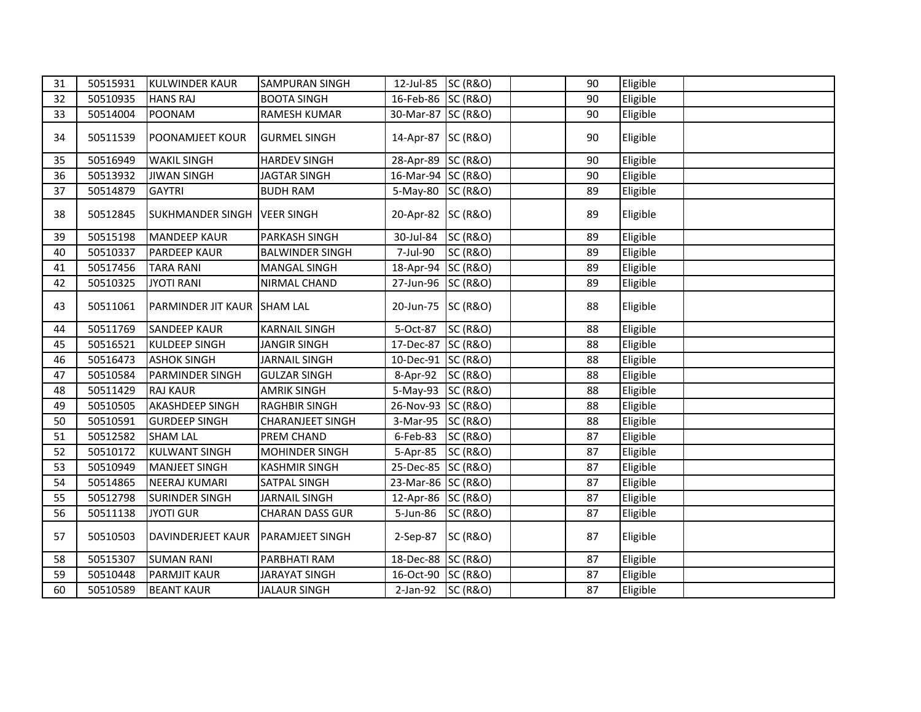| 31 | 50515931 | <b>KULWINDER KAUR</b>         | <b>SAMPURAN SINGH</b>   | 12-Jul-85 SC (R&O) |                     | 90 | Eligible |  |
|----|----------|-------------------------------|-------------------------|--------------------|---------------------|----|----------|--|
| 32 | 50510935 | <b>HANS RAJ</b>               | <b>BOOTA SINGH</b>      | 16-Feb-86 SC (R&O) |                     | 90 | Eligible |  |
| 33 | 50514004 | <b>POONAM</b>                 | <b>RAMESH KUMAR</b>     | 30-Mar-87 SC (R&O) |                     | 90 | Eligible |  |
| 34 | 50511539 | <b>POONAMJEET KOUR</b>        | <b>GURMEL SINGH</b>     | 14-Apr-87 SC (R&O) |                     | 90 | Eligible |  |
| 35 | 50516949 | <b>WAKIL SINGH</b>            | <b>HARDEV SINGH</b>     | 28-Apr-89 SC (R&O) |                     | 90 | Eligible |  |
| 36 | 50513932 | <b>JIWAN SINGH</b>            | <b>JAGTAR SINGH</b>     | 16-Mar-94 SC (R&O) |                     | 90 | Eligible |  |
| 37 | 50514879 | <b>GAYTRI</b>                 | <b>BUDH RAM</b>         | 5-May-80 SC (R&O)  |                     | 89 | Eligible |  |
| 38 | 50512845 | SUKHMANDER SINGH   VEER SINGH |                         | 20-Apr-82 SC (R&O) |                     | 89 | Eligible |  |
| 39 | 50515198 | <b>MANDEEP KAUR</b>           | PARKASH SINGH           | 30-Jul-84 SC (R&O) |                     | 89 | Eligible |  |
| 40 | 50510337 | <b>PARDEEP KAUR</b>           | <b>BALWINDER SINGH</b>  | 7-Jul-90           | <b>SC (R&amp;O)</b> | 89 | Eligible |  |
| 41 | 50517456 | <b>TARA RANI</b>              | <b>MANGAL SINGH</b>     | 18-Apr-94 SC (R&O) |                     | 89 | Eligible |  |
| 42 | 50510325 | <b>JYOTI RANI</b>             | NIRMAL CHAND            | 27-Jun-96 SC (R&O) |                     | 89 | Eligible |  |
| 43 | 50511061 | PARMINDER JIT KAUR SHAM LAL   |                         | 20-Jun-75 SC (R&O) |                     | 88 | Eligible |  |
| 44 | 50511769 | <b>SANDEEP KAUR</b>           | <b>KARNAIL SINGH</b>    | 5-Oct-87           | <b>SC (R&amp;O)</b> | 88 | Eligible |  |
| 45 | 50516521 | <b>KULDEEP SINGH</b>          | <b>JANGIR SINGH</b>     | 17-Dec-87 SC (R&O) |                     | 88 | Eligible |  |
| 46 | 50516473 | <b>ASHOK SINGH</b>            | <b>JARNAIL SINGH</b>    | 10-Dec-91 SC (R&O) |                     | 88 | Eligible |  |
| 47 | 50510584 | <b>PARMINDER SINGH</b>        | <b>GULZAR SINGH</b>     | 8-Apr-92 SC (R&O)  |                     | 88 | Eligible |  |
| 48 | 50511429 | <b>RAJ KAUR</b>               | <b>AMRIK SINGH</b>      | 5-May-93 SC (R&O)  |                     | 88 | Eligible |  |
| 49 | 50510505 | <b>AKASHDEEP SINGH</b>        | <b>RAGHBIR SINGH</b>    | 26-Nov-93 SC (R&O) |                     | 88 | Eligible |  |
| 50 | 50510591 | <b>GURDEEP SINGH</b>          | <b>CHARANJEET SINGH</b> | 3-Mar-95 SC (R&O)  |                     | 88 | Eligible |  |
| 51 | 50512582 | <b>SHAM LAL</b>               | PREM CHAND              | 6-Feb-83 SC (R&O)  |                     | 87 | Eligible |  |
| 52 | 50510172 | <b>KULWANT SINGH</b>          | <b>MOHINDER SINGH</b>   | 5-Apr-85 SC (R&O)  |                     | 87 | Eligible |  |
| 53 | 50510949 | <b>MANJEET SINGH</b>          | <b>KASHMIR SINGH</b>    | 25-Dec-85 SC (R&O) |                     | 87 | Eligible |  |
| 54 | 50514865 | <b>NEERAJ KUMARI</b>          | SATPAL SINGH            | 23-Mar-86 SC (R&O) |                     | 87 | Eligible |  |
| 55 | 50512798 | <b>SURINDER SINGH</b>         | <b>JARNAIL SINGH</b>    | 12-Apr-86 SC (R&O) |                     | 87 | Eligible |  |
| 56 | 50511138 | <b>JYOTI GUR</b>              | <b>CHARAN DASS GUR</b>  | 5-Jun-86 SC (R&O)  |                     | 87 | Eligible |  |
| 57 | 50510503 | DAVINDERJEET KAUR             | <b>PARAMJEET SINGH</b>  | 2-Sep-87 SC (R&O)  |                     | 87 | Eligible |  |
| 58 | 50515307 | <b>SUMAN RANI</b>             | PARBHATI RAM            | 18-Dec-88 SC (R&O) |                     | 87 | Eligible |  |
| 59 | 50510448 | <b>PARMJIT KAUR</b>           | <b>JARAYAT SINGH</b>    | 16-Oct-90 SC (R&O) |                     | 87 | Eligible |  |
| 60 | 50510589 | <b>BEANT KAUR</b>             | <b>JALAUR SINGH</b>     | 2-Jan-92 SC (R&O)  |                     | 87 | Eligible |  |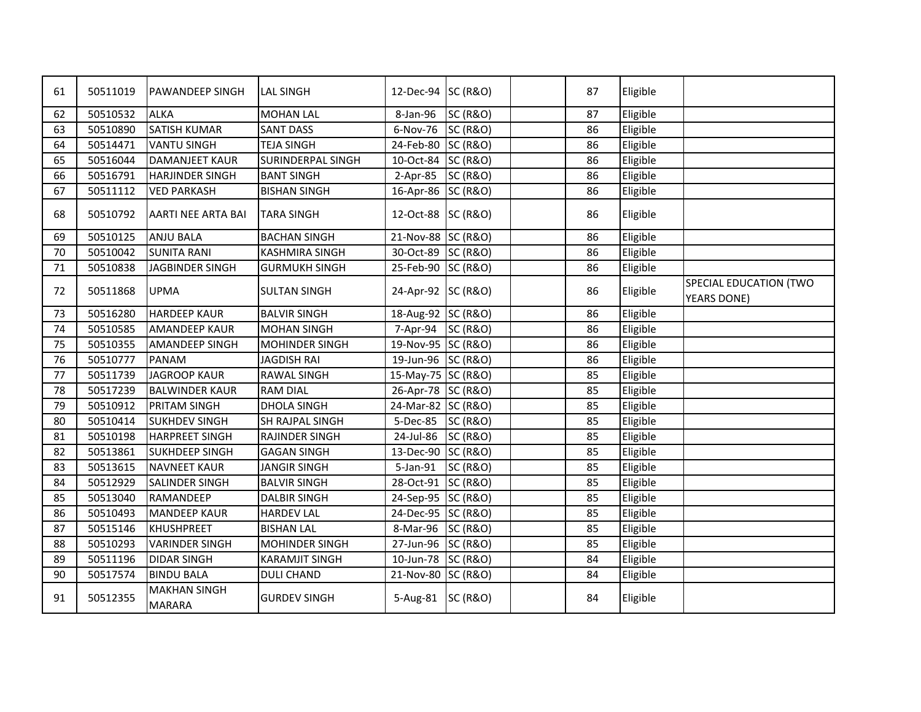| 61 | 50511019 | <b>PAWANDEEP SINGH</b>               | <b>LAL SINGH</b>         | 12-Dec-94 SC (R&O) |                     | 87 | Eligible |                                              |
|----|----------|--------------------------------------|--------------------------|--------------------|---------------------|----|----------|----------------------------------------------|
| 62 | 50510532 | <b>ALKA</b>                          | <b>MOHAN LAL</b>         | 8-Jan-96           | <b>SC (R&amp;O)</b> | 87 | Eligible |                                              |
| 63 | 50510890 | <b>SATISH KUMAR</b>                  | <b>SANT DASS</b>         | 6-Nov-76 SC (R&O)  |                     | 86 | Eligible |                                              |
| 64 | 50514471 | <b>VANTU SINGH</b>                   | <b>TEJA SINGH</b>        | 24-Feb-80 SC (R&O) |                     | 86 | Eligible |                                              |
| 65 | 50516044 | <b>DAMANJEET KAUR</b>                | <b>SURINDERPAL SINGH</b> | 10-Oct-84 SC (R&O) |                     | 86 | Eligible |                                              |
| 66 | 50516791 | <b>HARJINDER SINGH</b>               | <b>BANT SINGH</b>        | 2-Apr-85 SC (R&O)  |                     | 86 | Eligible |                                              |
| 67 | 50511112 | <b>VED PARKASH</b>                   | <b>BISHAN SINGH</b>      | 16-Apr-86 SC (R&O) |                     | 86 | Eligible |                                              |
| 68 | 50510792 | <b>AARTI NEE ARTA BAI</b>            | <b>TARA SINGH</b>        | 12-Oct-88 SC (R&O) |                     | 86 | Eligible |                                              |
| 69 | 50510125 | <b>ANJU BALA</b>                     | <b>BACHAN SINGH</b>      | 21-Nov-88 SC (R&O) |                     | 86 | Eligible |                                              |
| 70 | 50510042 | <b>SUNITA RANI</b>                   | <b>KASHMIRA SINGH</b>    | 30-Oct-89 SC (R&O) |                     | 86 | Eligible |                                              |
| 71 | 50510838 | JAGBINDER SINGH                      | <b>GURMUKH SINGH</b>     | 25-Feb-90 SC (R&O) |                     | 86 | Eligible |                                              |
| 72 | 50511868 | <b>UPMA</b>                          | <b>SULTAN SINGH</b>      | 24-Apr-92 SC (R&O) |                     | 86 | Eligible | SPECIAL EDUCATION (TWO<br><b>YEARS DONE)</b> |
| 73 | 50516280 | <b>HARDEEP KAUR</b>                  | <b>BALVIR SINGH</b>      | 18-Aug-92 SC (R&O) |                     | 86 | Eligible |                                              |
| 74 | 50510585 | <b>AMANDEEP KAUR</b>                 | <b>MOHAN SINGH</b>       | 7-Apr-94 SC (R&O)  |                     | 86 | Eligible |                                              |
| 75 | 50510355 | <b>AMANDEEP SINGH</b>                | <b>MOHINDER SINGH</b>    | 19-Nov-95 SC (R&O) |                     | 86 | Eligible |                                              |
| 76 | 50510777 | <b>PANAM</b>                         | <b>JAGDISH RAI</b>       | 19-Jun-96 SC (R&O) |                     | 86 | Eligible |                                              |
| 77 | 50511739 | JAGROOP KAUR                         | <b>RAWAL SINGH</b>       | 15-May-75 SC (R&O) |                     | 85 | Eligible |                                              |
| 78 | 50517239 | <b>BALWINDER KAUR</b>                | <b>RAM DIAL</b>          | 26-Apr-78 SC (R&O) |                     | 85 | Eligible |                                              |
| 79 | 50510912 | <b>PRITAM SINGH</b>                  | <b>DHOLA SINGH</b>       | 24-Mar-82 SC (R&O) |                     | 85 | Eligible |                                              |
| 80 | 50510414 | <b>SUKHDEV SINGH</b>                 | SH RAJPAL SINGH          | 5-Dec-85 SC (R&O)  |                     | 85 | Eligible |                                              |
| 81 | 50510198 | <b>HARPREET SINGH</b>                | RAJINDER SINGH           | 24-Jul-86          | <b>SC (R&amp;O)</b> | 85 | Eligible |                                              |
| 82 | 50513861 | <b>SUKHDEEP SINGH</b>                | <b>GAGAN SINGH</b>       | 13-Dec-90 SC (R&O) |                     | 85 | Eligible |                                              |
| 83 | 50513615 | <b>NAVNEET KAUR</b>                  | JANGIR SINGH             | 5-Jan-91           | <b>SC (R&amp;O)</b> | 85 | Eligible |                                              |
| 84 | 50512929 | <b>SALINDER SINGH</b>                | <b>BALVIR SINGH</b>      | 28-Oct-91 SC (R&O) |                     | 85 | Eligible |                                              |
| 85 | 50513040 | RAMANDEEP                            | <b>DALBIR SINGH</b>      | 24-Sep-95 SC (R&O) |                     | 85 | Eligible |                                              |
| 86 | 50510493 | <b>MANDEEP KAUR</b>                  | <b>HARDEV LAL</b>        | 24-Dec-95 SC (R&O) |                     | 85 | Eligible |                                              |
| 87 | 50515146 | KHUSHPREET                           | <b>BISHAN LAL</b>        | 8-Mar-96 SC (R&O)  |                     | 85 | Eligible |                                              |
| 88 | 50510293 | <b>VARINDER SINGH</b>                | MOHINDER SINGH           | 27-Jun-96 SC (R&O) |                     | 85 | Eligible |                                              |
| 89 | 50511196 | <b>DIDAR SINGH</b>                   | <b>KARAMJIT SINGH</b>    | 10-Jun-78 SC (R&O) |                     | 84 | Eligible |                                              |
| 90 | 50517574 | <b>BINDU BALA</b>                    | <b>DULI CHAND</b>        | 21-Nov-80 SC (R&O) |                     | 84 | Eligible |                                              |
| 91 | 50512355 | <b>MAKHAN SINGH</b><br><b>MARARA</b> | <b>GURDEV SINGH</b>      | 5-Aug-81 SC (R&O)  |                     | 84 | Eligible |                                              |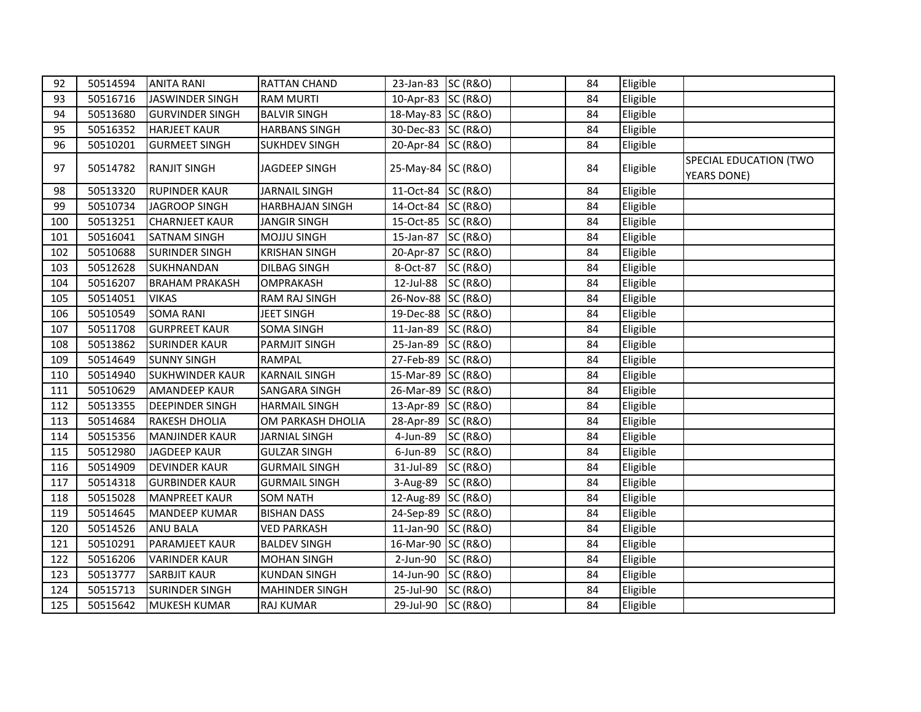| 92  | 50514594 | <b>ANITA RANI</b>      | <b>RATTAN CHAND</b>    | 23-Jan-83 SC (R&O) |                     | 84 | Eligible |                                       |
|-----|----------|------------------------|------------------------|--------------------|---------------------|----|----------|---------------------------------------|
| 93  | 50516716 | JASWINDER SINGH        | <b>RAM MURTI</b>       | 10-Apr-83 SC (R&O) |                     | 84 | Eligible |                                       |
| 94  | 50513680 | <b>GURVINDER SINGH</b> | <b>BALVIR SINGH</b>    | 18-May-83 SC (R&O) |                     | 84 | Eligible |                                       |
| 95  | 50516352 | <b>HARJEET KAUR</b>    | <b>HARBANS SINGH</b>   | 30-Dec-83 SC (R&O) |                     | 84 | Eligible |                                       |
| 96  | 50510201 | <b>GURMEET SINGH</b>   | <b>SUKHDEV SINGH</b>   | 20-Apr-84 SC (R&O) |                     | 84 | Eligible |                                       |
| 97  | 50514782 | <b>RANJIT SINGH</b>    | JAGDEEP SINGH          | 25-May-84 SC (R&O) |                     | 84 | Eligible | SPECIAL EDUCATION (TWO<br>YEARS DONE) |
| 98  | 50513320 | <b>RUPINDER KAUR</b>   | <b>JARNAIL SINGH</b>   | 11-Oct-84 SC (R&O) |                     | 84 | Eligible |                                       |
| 99  | 50510734 | JAGROOP SINGH          | <b>HARBHAJAN SINGH</b> | 14-Oct-84 SC (R&O) |                     | 84 | Eligible |                                       |
| 100 | 50513251 | <b>CHARNJEET KAUR</b>  | <b>JANGIR SINGH</b>    | 15-Oct-85 SC (R&O) |                     | 84 | Eligible |                                       |
| 101 | 50516041 | <b>SATNAM SINGH</b>    | <b>MOJJU SINGH</b>     | 15-Jan-87 SC (R&O) |                     | 84 | Eligible |                                       |
| 102 | 50510688 | <b>SURINDER SINGH</b>  | <b>KRISHAN SINGH</b>   | 20-Apr-87 SC (R&O) |                     | 84 | Eligible |                                       |
| 103 | 50512628 | <b>SUKHNANDAN</b>      | <b>DILBAG SINGH</b>    | 8-Oct-87 SC (R&O)  |                     | 84 | Eligible |                                       |
| 104 | 50516207 | <b>BRAHAM PRAKASH</b>  | OMPRAKASH              | 12-Jul-88 SC (R&O) |                     | 84 | Eligible |                                       |
| 105 | 50514051 | <b>VIKAS</b>           | <b>RAM RAJ SINGH</b>   | 26-Nov-88 SC (R&O) |                     | 84 | Eligible |                                       |
| 106 | 50510549 | <b>SOMA RANI</b>       | <b>JEET SINGH</b>      | 19-Dec-88 SC (R&O) |                     | 84 | Eligible |                                       |
| 107 | 50511708 | <b>GURPREET KAUR</b>   | <b>SOMA SINGH</b>      | 11-Jan-89 SC (R&O) |                     | 84 | Eligible |                                       |
| 108 | 50513862 | <b>SURINDER KAUR</b>   | <b>PARMJIT SINGH</b>   | 25-Jan-89 SC (R&O) |                     | 84 | Eligible |                                       |
| 109 | 50514649 | <b>SUNNY SINGH</b>     | <b>RAMPAL</b>          | 27-Feb-89 SC (R&O) |                     | 84 | Eligible |                                       |
| 110 | 50514940 | <b>SUKHWINDER KAUR</b> | <b>KARNAIL SINGH</b>   | 15-Mar-89 SC (R&O) |                     | 84 | Eligible |                                       |
| 111 | 50510629 | <b>AMANDEEP KAUR</b>   | <b>SANGARA SINGH</b>   | 26-Mar-89 SC (R&O) |                     | 84 | Eligible |                                       |
| 112 | 50513355 | <b>DEEPINDER SINGH</b> | <b>HARMAIL SINGH</b>   | 13-Apr-89 SC (R&O) |                     | 84 | Eligible |                                       |
| 113 | 50514684 | <b>RAKESH DHOLIA</b>   | OM PARKASH DHOLIA      | 28-Apr-89 SC (R&O) |                     | 84 | Eligible |                                       |
| 114 | 50515356 | <b>MANJINDER KAUR</b>  | <b>JARNIAL SINGH</b>   | 4-Jun-89           | <b>SC (R&amp;O)</b> | 84 | Eligible |                                       |
| 115 | 50512980 | <b>JAGDEEP KAUR</b>    | <b>GULZAR SINGH</b>    | 6-Jun-89           | SC (R&O)            | 84 | Eligible |                                       |
| 116 | 50514909 | <b>DEVINDER KAUR</b>   | <b>GURMAIL SINGH</b>   | 31-Jul-89          | <b>SC (R&amp;O)</b> | 84 | Eligible |                                       |
| 117 | 50514318 | <b>GURBINDER KAUR</b>  | <b>GURMAIL SINGH</b>   | 3-Aug-89 SC (R&O)  |                     | 84 | Eligible |                                       |
| 118 | 50515028 | <b>MANPREET KAUR</b>   | <b>SOM NATH</b>        | 12-Aug-89 SC (R&O) |                     | 84 | Eligible |                                       |
| 119 | 50514645 | <b>MANDEEP KUMAR</b>   | <b>BISHAN DASS</b>     | 24-Sep-89 SC (R&O) |                     | 84 | Eligible |                                       |
| 120 | 50514526 | <b>ANU BALA</b>        | <b>VED PARKASH</b>     | 11-Jan-90 SC (R&O) |                     | 84 | Eligible |                                       |
| 121 | 50510291 | <b>PARAMJEET KAUR</b>  | <b>BALDEV SINGH</b>    | 16-Mar-90 SC (R&O) |                     | 84 | Eligible |                                       |
| 122 | 50516206 | <b>VARINDER KAUR</b>   | <b>MOHAN SINGH</b>     | 2-Jun-90           | <b>SC (R&amp;O)</b> | 84 | Eligible |                                       |
| 123 | 50513777 | <b>SARBJIT KAUR</b>    | <b>KUNDAN SINGH</b>    | 14-Jun-90 SC (R&O) |                     | 84 | Eligible |                                       |
| 124 | 50515713 | <b>SURINDER SINGH</b>  | <b>MAHINDER SINGH</b>  | 25-Jul-90          | <b>SC (R&amp;O)</b> | 84 | Eligible |                                       |
| 125 | 50515642 | <b>MUKESH KUMAR</b>    | <b>RAJ KUMAR</b>       | 29-Jul-90 SC (R&O) |                     | 84 | Eligible |                                       |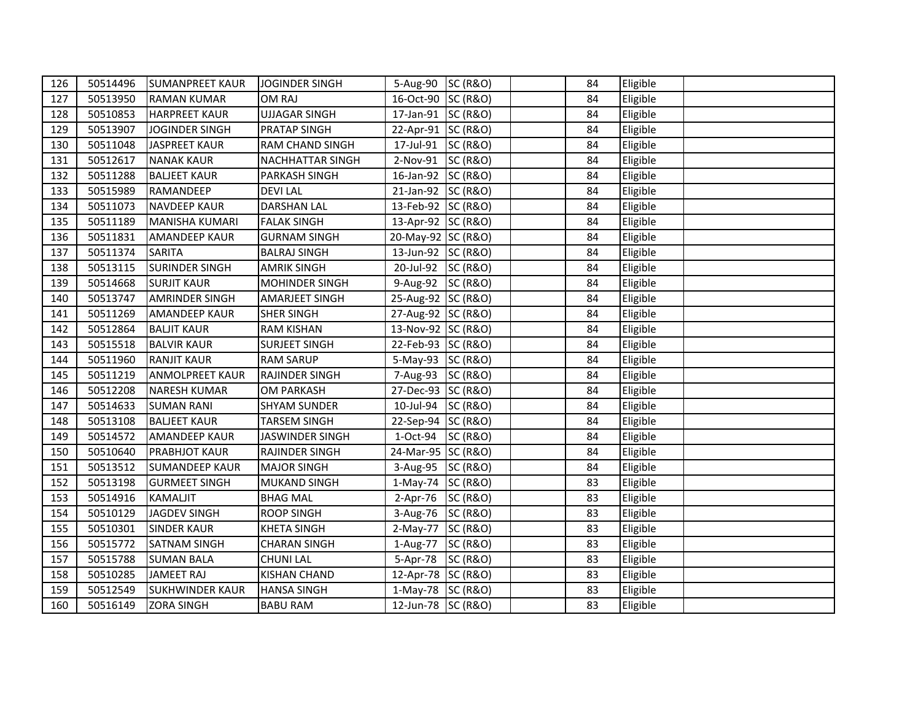| 126 | 50514496 | <b>SUMANPREET KAUR</b> | <b>JOGINDER SINGH</b>   | 5-Aug-90 SC (R&O)  | 84 | Eligible |  |
|-----|----------|------------------------|-------------------------|--------------------|----|----------|--|
| 127 | 50513950 | <b>RAMAN KUMAR</b>     | OM RAJ                  | 16-Oct-90 SC (R&O) | 84 | Eligible |  |
| 128 | 50510853 | <b>HARPREET KAUR</b>   | <b>UJJAGAR SINGH</b>    | 17-Jan-91 SC (R&O) | 84 | Eligible |  |
| 129 | 50513907 | <b>JOGINDER SINGH</b>  | PRATAP SINGH            | 22-Apr-91 SC (R&O) | 84 | Eligible |  |
| 130 | 50511048 | <b>JASPREET KAUR</b>   | RAM CHAND SINGH         | 17-Jul-91 SC (R&O) | 84 | Eligible |  |
| 131 | 50512617 | <b>NANAK KAUR</b>      | <b>NACHHATTAR SINGH</b> | 2-Nov-91 SC (R&O)  | 84 | Eligible |  |
| 132 | 50511288 | <b>BALJEET KAUR</b>    | PARKASH SINGH           | 16-Jan-92 SC (R&O) | 84 | Eligible |  |
| 133 | 50515989 | RAMANDEEP              | <b>DEVILAL</b>          | 21-Jan-92 SC (R&O) | 84 | Eligible |  |
| 134 | 50511073 | <b>NAVDEEP KAUR</b>    | <b>DARSHAN LAL</b>      | 13-Feb-92 SC (R&O) | 84 | Eligible |  |
| 135 | 50511189 | <b>MANISHA KUMARI</b>  | <b>FALAK SINGH</b>      | 13-Apr-92 SC (R&O) | 84 | Eligible |  |
| 136 | 50511831 | <b>AMANDEEP KAUR</b>   | <b>GURNAM SINGH</b>     | 20-May-92 SC (R&O) | 84 | Eligible |  |
| 137 | 50511374 | <b>SARITA</b>          | <b>BALRAJ SINGH</b>     | 13-Jun-92 SC (R&O) | 84 | Eligible |  |
| 138 | 50513115 | <b>SURINDER SINGH</b>  | <b>AMRIK SINGH</b>      | 20-Jul-92 SC (R&O) | 84 | Eligible |  |
| 139 | 50514668 | <b>SURJIT KAUR</b>     | MOHINDER SINGH          | 9-Aug-92 SC (R&O)  | 84 | Eligible |  |
| 140 | 50513747 | <b>AMRINDER SINGH</b>  | AMARJEET SINGH          | 25-Aug-92 SC (R&O) | 84 | Eligible |  |
| 141 | 50511269 | <b>AMANDEEP KAUR</b>   | <b>SHER SINGH</b>       | 27-Aug-92 SC (R&O) | 84 | Eligible |  |
| 142 | 50512864 | <b>BALJIT KAUR</b>     | <b>RAM KISHAN</b>       | 13-Nov-92 SC (R&O) | 84 | Eligible |  |
| 143 | 50515518 | <b>BALVIR KAUR</b>     | <b>SURJEET SINGH</b>    | 22-Feb-93 SC (R&O) | 84 | Eligible |  |
| 144 | 50511960 | <b>RANJIT KAUR</b>     | <b>RAM SARUP</b>        | 5-May-93 SC (R&O)  | 84 | Eligible |  |
| 145 | 50511219 | <b>ANMOLPREET KAUR</b> | <b>RAJINDER SINGH</b>   | 7-Aug-93 SC (R&O)  | 84 | Eligible |  |
| 146 | 50512208 | <b>NARESH KUMAR</b>    | <b>OM PARKASH</b>       | 27-Dec-93 SC (R&O) | 84 | Eligible |  |
| 147 | 50514633 | <b>SUMAN RANI</b>      | <b>SHYAM SUNDER</b>     | 10-Jul-94 SC (R&O) | 84 | Eligible |  |
| 148 | 50513108 | <b>BALJEET KAUR</b>    | <b>TARSEM SINGH</b>     | 22-Sep-94 SC (R&O) | 84 | Eligible |  |
| 149 | 50514572 | <b>AMANDEEP KAUR</b>   | JASWINDER SINGH         | 1-Oct-94 SC (R&O)  | 84 | Eligible |  |
| 150 | 50510640 | <b>PRABHJOT KAUR</b>   | <b>RAJINDER SINGH</b>   | 24-Mar-95 SC (R&O) | 84 | Eligible |  |
| 151 | 50513512 | <b>SUMANDEEP KAUR</b>  | <b>MAJOR SINGH</b>      | 3-Aug-95 SC (R&O)  | 84 | Eligible |  |
| 152 | 50513198 | <b>GURMEET SINGH</b>   | MUKAND SINGH            | 1-May-74 SC (R&O)  | 83 | Eligible |  |
| 153 | 50514916 | <b>KAMALJIT</b>        | <b>BHAG MAL</b>         | 2-Apr-76 SC (R&O)  | 83 | Eligible |  |
| 154 | 50510129 | <b>JAGDEV SINGH</b>    | <b>ROOP SINGH</b>       | 3-Aug-76 SC (R&O)  | 83 | Eligible |  |
| 155 | 50510301 | <b>SINDER KAUR</b>     | <b>KHETA SINGH</b>      | 2-May-77 SC (R&O)  | 83 | Eligible |  |
| 156 | 50515772 | <b>SATNAM SINGH</b>    | <b>CHARAN SINGH</b>     | 1-Aug-77 SC (R&O)  | 83 | Eligible |  |
| 157 | 50515788 | <b>SUMAN BALA</b>      | <b>CHUNI LAL</b>        | 5-Apr-78 SC (R&O)  | 83 | Eligible |  |
| 158 | 50510285 | <b>JAMEET RAJ</b>      | <b>KISHAN CHAND</b>     | 12-Apr-78 SC (R&O) | 83 | Eligible |  |
| 159 | 50512549 | <b>SUKHWINDER KAUR</b> | <b>HANSA SINGH</b>      | 1-May-78 SC (R&O)  | 83 | Eligible |  |
| 160 | 50516149 | <b>ZORA SINGH</b>      | <b>BABU RAM</b>         | 12-Jun-78 SC (R&O) | 83 | Eligible |  |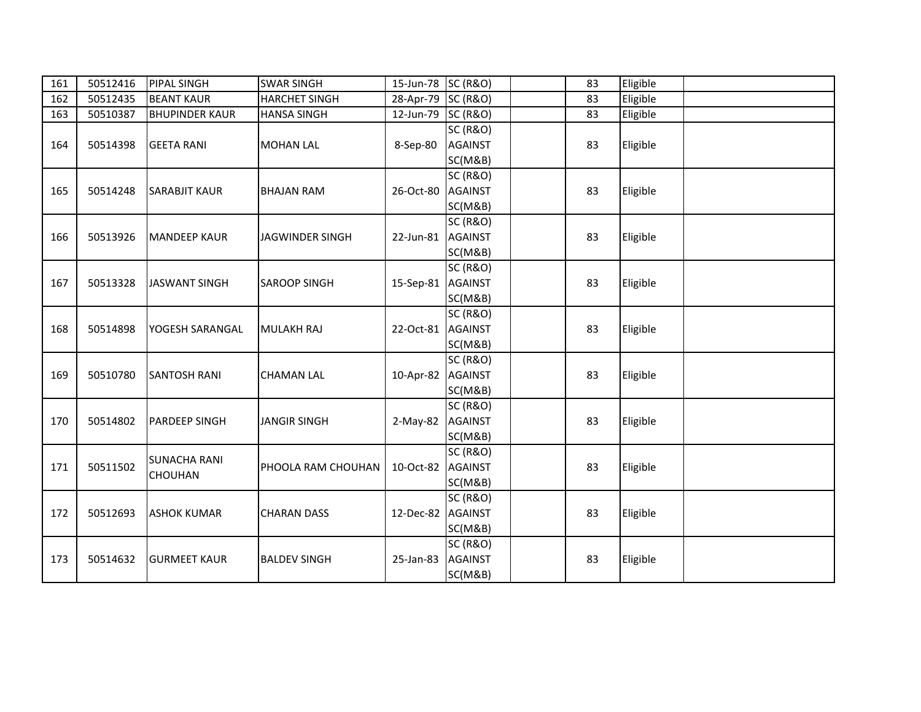| 161 | 50512416 | PIPAL SINGH           | <b>SWAR SINGH</b>      | 15-Jun-78 SC (R&O) |                     | 83 | Eligible |  |
|-----|----------|-----------------------|------------------------|--------------------|---------------------|----|----------|--|
| 162 | 50512435 | <b>BEANT KAUR</b>     | <b>HARCHET SINGH</b>   | 28-Apr-79 SC (R&O) |                     | 83 | Eligible |  |
| 163 | 50510387 | <b>BHUPINDER KAUR</b> | <b>HANSA SINGH</b>     | 12-Jun-79          | <b>SC (R&amp;O)</b> | 83 | Eligible |  |
|     |          |                       |                        |                    | <b>SC (R&amp;O)</b> |    |          |  |
| 164 | 50514398 | <b>GEETA RANI</b>     | <b>MOHAN LAL</b>       | 8-Sep-80           | <b>AGAINST</b>      | 83 | Eligible |  |
|     |          |                       |                        |                    | SC(M&B)             |    |          |  |
|     |          |                       |                        |                    | <b>SC (R&amp;O)</b> |    |          |  |
| 165 | 50514248 | <b>SARABJIT KAUR</b>  | <b>BHAJAN RAM</b>      | 26-Oct-80          | <b>AGAINST</b>      | 83 | Eligible |  |
|     |          |                       |                        |                    | SC(M&B)             |    |          |  |
|     |          |                       |                        |                    | <b>SC (R&amp;O)</b> |    |          |  |
| 166 | 50513926 | <b>MANDEEP KAUR</b>   | <b>JAGWINDER SINGH</b> | 22-Jun-81          | <b>AGAINST</b>      | 83 | Eligible |  |
|     |          |                       |                        |                    | SC(M&B)             |    |          |  |
|     |          |                       |                        |                    | <b>SC (R&amp;O)</b> |    |          |  |
| 167 | 50513328 | <b>JASWANT SINGH</b>  | <b>SAROOP SINGH</b>    | 15-Sep-81 AGAINST  |                     | 83 | Eligible |  |
|     |          |                       |                        |                    | SC(M&B)             |    |          |  |
|     |          |                       |                        |                    | <b>SC (R&amp;O)</b> |    |          |  |
| 168 | 50514898 | YOGESH SARANGAL       | <b>MULAKH RAJ</b>      | 22-Oct-81          | <b>AGAINST</b>      | 83 | Eligible |  |
|     |          |                       |                        |                    | SC(M&B)             |    |          |  |
|     |          |                       |                        |                    | <b>SC (R&amp;O)</b> |    |          |  |
| 169 | 50510780 | <b>SANTOSH RANI</b>   | <b>CHAMAN LAL</b>      | 10-Apr-82          | <b>AGAINST</b>      | 83 | Eligible |  |
|     |          |                       |                        |                    | SC(M&B)             |    |          |  |
|     |          |                       |                        |                    | <b>SC (R&amp;O)</b> |    |          |  |
| 170 | 50514802 | <b>PARDEEP SINGH</b>  | <b>JANGIR SINGH</b>    | $2-May-82$         | <b>AGAINST</b>      | 83 | Eligible |  |
|     |          |                       |                        |                    | SC(M&B)             |    |          |  |
|     |          | <b>SUNACHA RANI</b>   |                        |                    | <b>SC (R&amp;O)</b> |    |          |  |
| 171 | 50511502 | <b>CHOUHAN</b>        | PHOOLA RAM CHOUHAN     | 10-Oct-82          | <b>AGAINST</b>      | 83 | Eligible |  |
|     |          |                       |                        |                    | SC(M&B)             |    |          |  |
|     |          |                       |                        |                    | <b>SC (R&amp;O)</b> |    |          |  |
| 172 | 50512693 | <b>ASHOK KUMAR</b>    | <b>CHARAN DASS</b>     | 12-Dec-82          | <b>AGAINST</b>      | 83 | Eligible |  |
|     |          |                       |                        |                    | SC(M&B)             |    |          |  |
|     |          |                       |                        |                    | <b>SC (R&amp;O)</b> |    |          |  |
| 173 | 50514632 | <b>GURMEET KAUR</b>   | <b>BALDEV SINGH</b>    | 25-Jan-83          | <b>AGAINST</b>      | 83 | Eligible |  |
|     |          |                       |                        |                    | SC(M&B)             |    |          |  |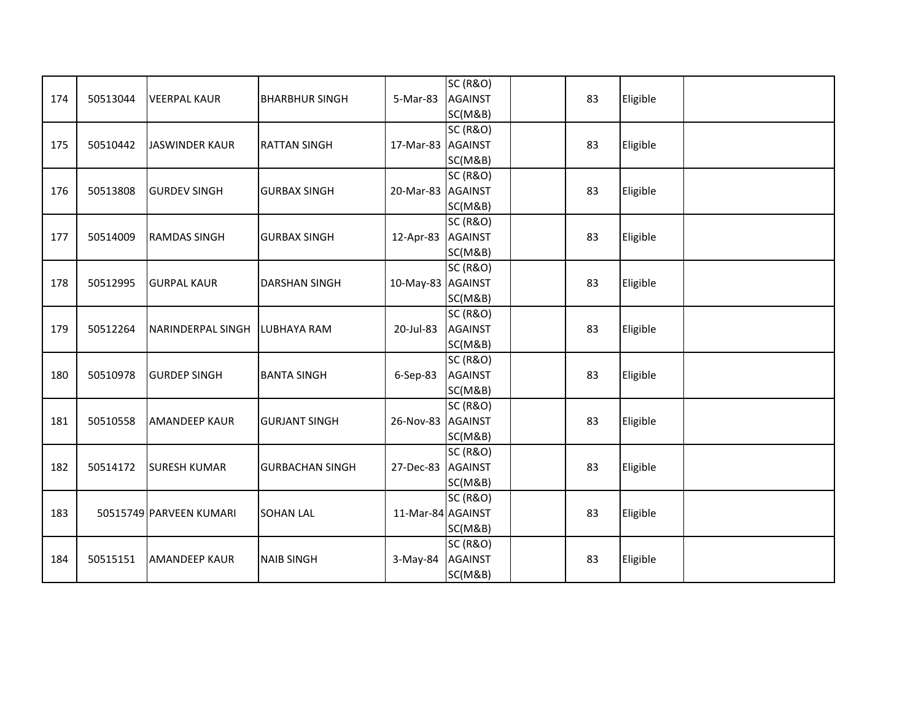|     |          |                         |                        |                   | <b>SC (R&amp;O)</b> |    |          |  |
|-----|----------|-------------------------|------------------------|-------------------|---------------------|----|----------|--|
| 174 | 50513044 | <b>VEERPAL KAUR</b>     | <b>BHARBHUR SINGH</b>  | 5-Mar-83          | <b>AGAINST</b>      | 83 | Eligible |  |
|     |          |                         |                        |                   | SC(M&B)             |    |          |  |
|     |          |                         |                        |                   | <b>SC (R&amp;O)</b> |    |          |  |
| 175 | 50510442 | <b>JASWINDER KAUR</b>   | <b>RATTAN SINGH</b>    | 17-Mar-83 AGAINST |                     | 83 | Eligible |  |
|     |          |                         |                        |                   | SC(M&B)             |    |          |  |
|     |          |                         |                        |                   | <b>SC (R&amp;O)</b> |    |          |  |
| 176 | 50513808 | <b>GURDEV SINGH</b>     | <b>GURBAX SINGH</b>    | 20-Mar-83 AGAINST |                     | 83 | Eligible |  |
|     |          |                         |                        |                   | SC(M&B)             |    |          |  |
|     |          |                         |                        |                   | <b>SC (R&amp;O)</b> |    |          |  |
| 177 | 50514009 | <b>RAMDAS SINGH</b>     | <b>GURBAX SINGH</b>    | 12-Apr-83 AGAINST |                     | 83 | Eligible |  |
|     |          |                         |                        |                   | SC(M&B)             |    |          |  |
|     |          |                         |                        |                   | <b>SC (R&amp;O)</b> |    |          |  |
| 178 | 50512995 | <b>GURPAL KAUR</b>      | <b>DARSHAN SINGH</b>   | 10-May-83 AGAINST |                     | 83 | Eligible |  |
|     |          |                         |                        |                   | SC(M&B)             |    |          |  |
|     |          |                         |                        |                   | <b>SC (R&amp;O)</b> |    |          |  |
| 179 | 50512264 | NARINDERPAL SINGH       | <b>LUBHAYA RAM</b>     | 20-Jul-83         | <b>AGAINST</b>      | 83 | Eligible |  |
|     |          |                         |                        |                   | SC(M&B)             |    |          |  |
|     |          |                         |                        |                   | <b>SC (R&amp;O)</b> |    |          |  |
| 180 | 50510978 | <b>GURDEP SINGH</b>     | <b>BANTA SINGH</b>     | 6-Sep-83          | <b>AGAINST</b>      | 83 | Eligible |  |
|     |          |                         |                        |                   | SC(M&B)             |    |          |  |
|     |          |                         |                        |                   | <b>SC (R&amp;O)</b> |    |          |  |
| 181 | 50510558 | <b>AMANDEEP KAUR</b>    | <b>GURJANT SINGH</b>   | 26-Nov-83 AGAINST |                     | 83 | Eligible |  |
|     |          |                         |                        |                   | SC(M&B)             |    |          |  |
|     |          |                         |                        |                   | <b>SC (R&amp;O)</b> |    |          |  |
| 182 | 50514172 | <b>SURESH KUMAR</b>     | <b>GURBACHAN SINGH</b> | 27-Dec-83 AGAINST |                     | 83 | Eligible |  |
|     |          |                         |                        |                   | SC(M&B)             |    |          |  |
|     |          |                         |                        |                   | <b>SC (R&amp;O)</b> |    |          |  |
| 183 |          | 50515749 PARVEEN KUMARI | <b>SOHAN LAL</b>       | 11-Mar-84 AGAINST |                     | 83 | Eligible |  |
|     |          |                         |                        |                   | SC(M&B)             |    |          |  |
|     |          |                         |                        |                   | <b>SC (R&amp;O)</b> |    |          |  |
| 184 | 50515151 | <b>AMANDEEP KAUR</b>    | <b>NAIB SINGH</b>      | $3-May-84$        | <b>AGAINST</b>      | 83 | Eligible |  |
|     |          |                         |                        |                   | SC(M&B)             |    |          |  |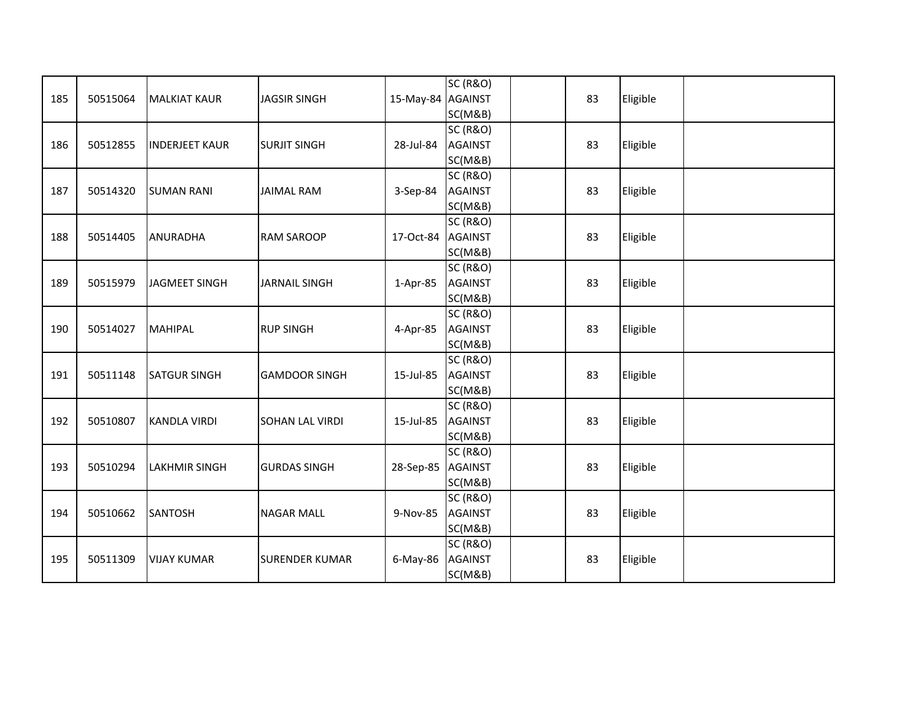|     |          |                       |                        |                   | <b>SC (R&amp;O)</b> |    |          |  |
|-----|----------|-----------------------|------------------------|-------------------|---------------------|----|----------|--|
| 185 | 50515064 | <b>MALKIAT KAUR</b>   | <b>JAGSIR SINGH</b>    | 15-May-84 AGAINST |                     | 83 | Eligible |  |
|     |          |                       |                        |                   | SC(M&B)             |    |          |  |
|     |          |                       |                        |                   | <b>SC (R&amp;O)</b> |    |          |  |
| 186 | 50512855 | <b>INDERJEET KAUR</b> | <b>SURJIT SINGH</b>    | 28-Jul-84         | <b>AGAINST</b>      | 83 | Eligible |  |
|     |          |                       |                        |                   | SC(M&B)             |    |          |  |
|     |          |                       |                        |                   | <b>SC (R&amp;O)</b> |    |          |  |
| 187 | 50514320 | <b>SUMAN RANI</b>     | <b>JAIMAL RAM</b>      | 3-Sep-84          | <b>AGAINST</b>      | 83 | Eligible |  |
|     |          |                       |                        |                   | SC(M&B)             |    |          |  |
|     |          |                       |                        |                   | <b>SC (R&amp;O)</b> |    |          |  |
| 188 | 50514405 | ANURADHA              | <b>RAM SAROOP</b>      | 17-Oct-84         | <b>AGAINST</b>      | 83 | Eligible |  |
|     |          |                       |                        |                   | SC(M&B)             |    |          |  |
|     |          |                       |                        |                   | <b>SC (R&amp;O)</b> |    |          |  |
| 189 | 50515979 | JAGMEET SINGH         | <b>JARNAIL SINGH</b>   | $1-Apr-85$        | <b>AGAINST</b>      | 83 | Eligible |  |
|     |          |                       |                        |                   | SC(M&B)             |    |          |  |
|     |          |                       |                        |                   | <b>SC (R&amp;O)</b> |    |          |  |
| 190 | 50514027 | <b>MAHIPAL</b>        | <b>RUP SINGH</b>       | 4-Apr-85          | <b>AGAINST</b>      | 83 | Eligible |  |
|     |          |                       |                        |                   | SC(M&B)             |    |          |  |
|     |          |                       |                        |                   | <b>SC (R&amp;O)</b> |    |          |  |
| 191 | 50511148 | <b>SATGUR SINGH</b>   | <b>GAMDOOR SINGH</b>   | 15-Jul-85         | <b>AGAINST</b>      | 83 | Eligible |  |
|     |          |                       |                        |                   | SC(M&B)             |    |          |  |
|     |          |                       |                        |                   | <b>SC (R&amp;O)</b> |    |          |  |
| 192 | 50510807 | <b>KANDLA VIRDI</b>   | <b>SOHAN LAL VIRDI</b> | 15-Jul-85         | <b>AGAINST</b>      | 83 | Eligible |  |
|     |          |                       |                        |                   | SC(M&B)             |    |          |  |
|     |          |                       |                        |                   | <b>SC (R&amp;O)</b> |    |          |  |
| 193 | 50510294 | <b>LAKHMIR SINGH</b>  | <b>GURDAS SINGH</b>    | 28-Sep-85 AGAINST |                     | 83 | Eligible |  |
|     |          |                       |                        |                   | SC(M&B)             |    |          |  |
|     |          |                       |                        |                   | <b>SC (R&amp;O)</b> |    |          |  |
| 194 | 50510662 | <b>SANTOSH</b>        | <b>NAGAR MALL</b>      | 9-Nov-85          | <b>AGAINST</b>      | 83 | Eligible |  |
|     |          |                       |                        |                   | SC(M&B)             |    |          |  |
|     |          |                       |                        |                   | <b>SC (R&amp;O)</b> |    |          |  |
| 195 | 50511309 | <b>VIJAY KUMAR</b>    | <b>SURENDER KUMAR</b>  | $6$ -May-86       | <b>AGAINST</b>      | 83 | Eligible |  |
|     |          |                       |                        |                   | SC(M&B)             |    |          |  |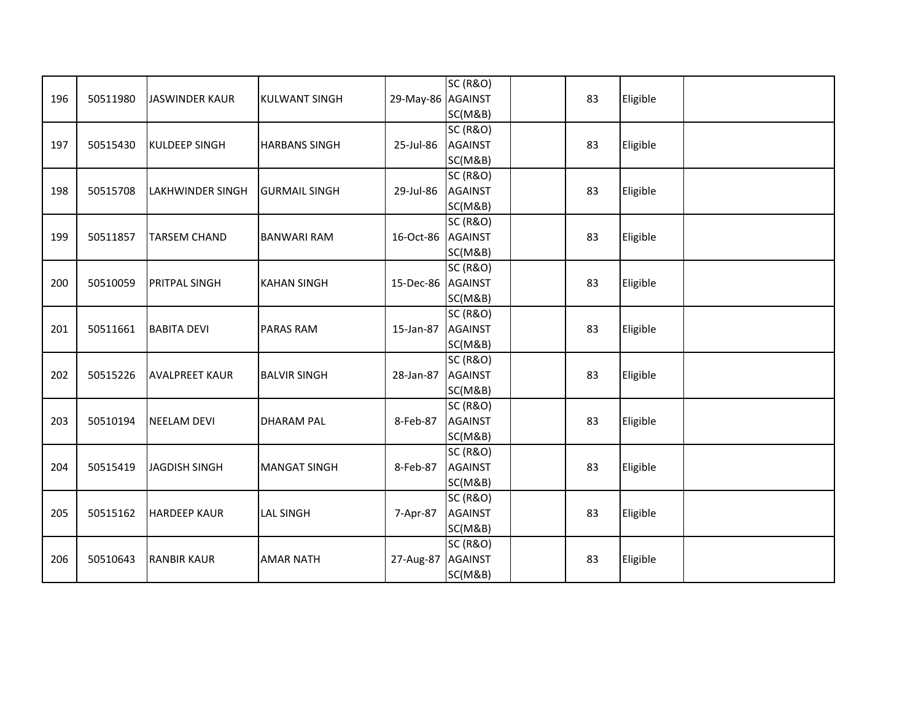| 196 | 50511980 | <b>JASWINDER KAUR</b>   | <b>KULWANT SINGH</b> | 29-May-86 AGAINST | <b>SC (R&amp;O)</b><br>SC(M&B)                   | 83 | Eligible |  |
|-----|----------|-------------------------|----------------------|-------------------|--------------------------------------------------|----|----------|--|
| 197 | 50515430 | <b>KULDEEP SINGH</b>    | <b>HARBANS SINGH</b> | 25-Jul-86         | <b>SC (R&amp;O)</b><br><b>AGAINST</b><br>SC(M&B) | 83 | Eligible |  |
| 198 | 50515708 | <b>LAKHWINDER SINGH</b> | <b>GURMAIL SINGH</b> | 29-Jul-86         | <b>SC (R&amp;O)</b><br><b>AGAINST</b><br>SC(M&B) | 83 | Eligible |  |
| 199 | 50511857 | <b>TARSEM CHAND</b>     | <b>BANWARI RAM</b>   | 16-Oct-86         | <b>SC (R&amp;O)</b><br><b>AGAINST</b><br>SC(M&B) | 83 | Eligible |  |
| 200 | 50510059 | <b>PRITPAL SINGH</b>    | <b>KAHAN SINGH</b>   | 15-Dec-86 AGAINST | <b>SC (R&amp;O)</b><br>SC(M&B)                   | 83 | Eligible |  |
| 201 | 50511661 | <b>BABITA DEVI</b>      | <b>PARAS RAM</b>     | 15-Jan-87         | <b>SC (R&amp;O)</b><br><b>AGAINST</b><br>SC(M&B) | 83 | Eligible |  |
| 202 | 50515226 | <b>AVALPREET KAUR</b>   | <b>BALVIR SINGH</b>  | 28-Jan-87         | <b>SC (R&amp;O)</b><br><b>AGAINST</b><br>SC(M&B) | 83 | Eligible |  |
| 203 | 50510194 | <b>NEELAM DEVI</b>      | <b>DHARAM PAL</b>    | 8-Feb-87          | <b>SC (R&amp;O)</b><br><b>AGAINST</b><br>SC(M&B) | 83 | Eligible |  |
| 204 | 50515419 | <b>JAGDISH SINGH</b>    | <b>MANGAT SINGH</b>  | 8-Feb-87          | <b>SC (R&amp;O)</b><br><b>AGAINST</b><br>SC(M&B) | 83 | Eligible |  |
| 205 | 50515162 | <b>HARDEEP KAUR</b>     | <b>LAL SINGH</b>     | 7-Apr-87          | <b>SC (R&amp;O)</b><br><b>AGAINST</b><br>SC(M&B) | 83 | Eligible |  |
| 206 | 50510643 | <b>RANBIR KAUR</b>      | <b>AMAR NATH</b>     | 27-Aug-87         | <b>SC (R&amp;O)</b><br><b>AGAINST</b><br>SC(M&B) | 83 | Eligible |  |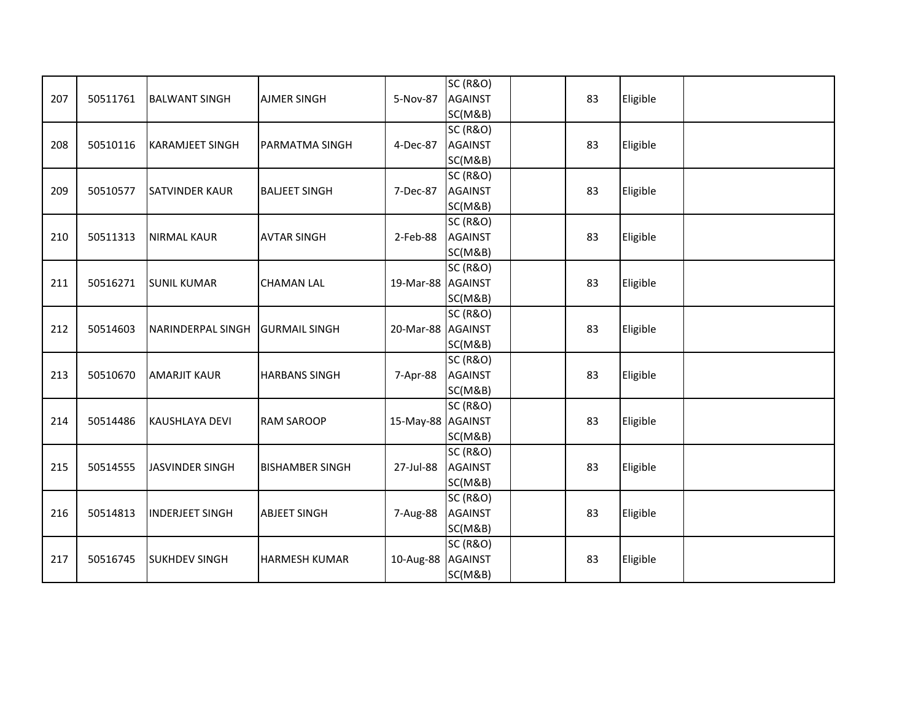| 207 | 50511761 | <b>BALWANT SINGH</b>   | <b>AJMER SINGH</b>     | 5-Nov-87          | <b>SC (R&amp;O)</b><br><b>AGAINST</b> | 83 | Eligible |  |
|-----|----------|------------------------|------------------------|-------------------|---------------------------------------|----|----------|--|
|     |          |                        |                        |                   | SC(M&B)                               |    |          |  |
|     |          |                        |                        |                   | <b>SC (R&amp;O)</b>                   |    |          |  |
| 208 | 50510116 | <b>KARAMJEET SINGH</b> | PARMATMA SINGH         | 4-Dec-87          | <b>AGAINST</b>                        | 83 | Eligible |  |
|     |          |                        |                        |                   | SC(M&B)                               |    |          |  |
|     |          |                        |                        |                   | <b>SC (R&amp;O)</b>                   |    |          |  |
| 209 | 50510577 | <b>SATVINDER KAUR</b>  | <b>BALJEET SINGH</b>   | 7-Dec-87          | <b>AGAINST</b>                        | 83 | Eligible |  |
|     |          |                        |                        |                   | SC(M&B)                               |    |          |  |
|     |          |                        |                        |                   | <b>SC (R&amp;O)</b>                   |    |          |  |
| 210 | 50511313 | <b>NIRMAL KAUR</b>     | <b>AVTAR SINGH</b>     | 2-Feb-88          | <b>AGAINST</b>                        | 83 | Eligible |  |
|     |          |                        |                        |                   | SC(M&B)                               |    |          |  |
|     |          |                        |                        |                   | <b>SC (R&amp;O)</b>                   |    |          |  |
| 211 | 50516271 | <b>SUNIL KUMAR</b>     | <b>CHAMAN LAL</b>      | 19-Mar-88 AGAINST |                                       | 83 | Eligible |  |
|     |          |                        |                        |                   | SC(M&B)                               |    |          |  |
|     |          |                        |                        |                   | <b>SC (R&amp;O)</b>                   |    |          |  |
| 212 | 50514603 | NARINDERPAL SINGH      | <b>GURMAIL SINGH</b>   | 20-Mar-88 AGAINST |                                       | 83 | Eligible |  |
|     |          |                        |                        |                   | SC(M&B)                               |    |          |  |
|     |          |                        |                        |                   | <b>SC (R&amp;O)</b>                   |    |          |  |
| 213 | 50510670 | <b>AMARJIT KAUR</b>    | <b>HARBANS SINGH</b>   | 7-Apr-88          | <b>AGAINST</b>                        | 83 | Eligible |  |
|     |          |                        |                        |                   | SC(M&B)                               |    |          |  |
|     |          |                        |                        |                   | <b>SC (R&amp;O)</b>                   |    |          |  |
| 214 | 50514486 | <b>KAUSHLAYA DEVI</b>  | <b>RAM SAROOP</b>      | 15-May-88 AGAINST |                                       | 83 | Eligible |  |
|     |          |                        |                        |                   | SC(M&B)                               |    |          |  |
|     |          |                        |                        |                   | <b>SC (R&amp;O)</b>                   |    |          |  |
| 215 | 50514555 | <b>JASVINDER SINGH</b> | <b>BISHAMBER SINGH</b> | 27-Jul-88         | <b>AGAINST</b>                        | 83 | Eligible |  |
|     |          |                        |                        |                   | SC(M&B)                               |    |          |  |
|     |          |                        |                        |                   | <b>SC (R&amp;O)</b>                   |    |          |  |
| 216 | 50514813 | <b>INDERJEET SINGH</b> | <b>ABJEET SINGH</b>    | 7-Aug-88          | <b>AGAINST</b>                        | 83 | Eligible |  |
|     |          |                        |                        |                   | SC(M&B)                               |    |          |  |
|     |          |                        |                        |                   | <b>SC (R&amp;O)</b>                   |    |          |  |
| 217 | 50516745 | <b>SUKHDEV SINGH</b>   | <b>HARMESH KUMAR</b>   | 10-Aug-88         | <b>AGAINST</b>                        | 83 | Eligible |  |
|     |          |                        |                        |                   | SC(M&B)                               |    |          |  |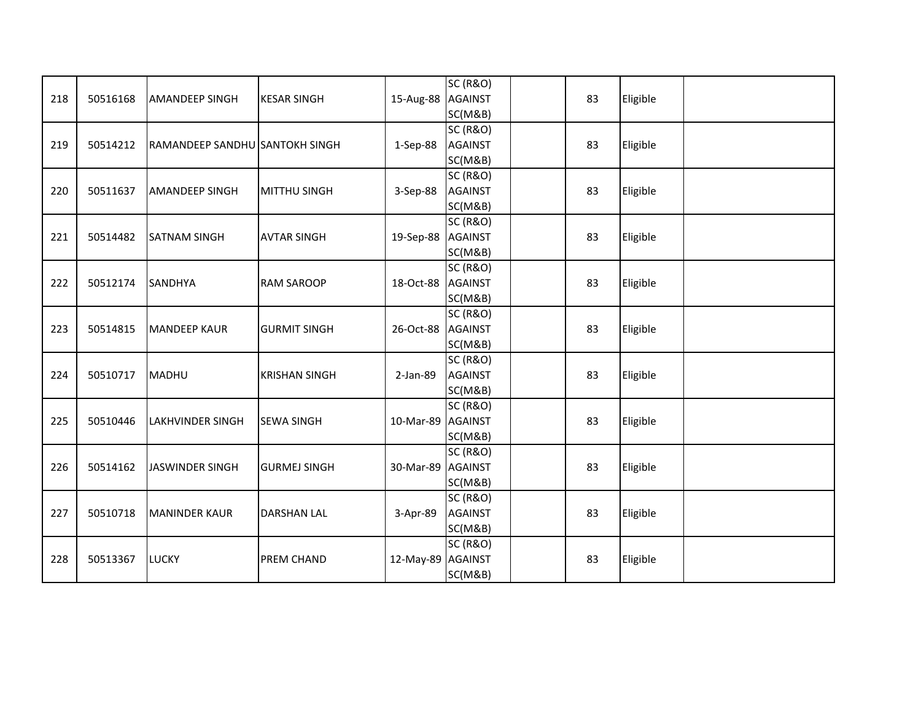|     |          |                                |                      |                   | <b>SC (R&amp;O)</b> |    |          |  |
|-----|----------|--------------------------------|----------------------|-------------------|---------------------|----|----------|--|
| 218 | 50516168 | <b>AMANDEEP SINGH</b>          | <b>KESAR SINGH</b>   | 15-Aug-88 AGAINST |                     | 83 | Eligible |  |
|     |          |                                |                      |                   | SC(M&B)             |    |          |  |
|     |          |                                |                      |                   | <b>SC (R&amp;O)</b> |    |          |  |
| 219 | 50514212 | RAMANDEEP SANDHU SANTOKH SINGH |                      | 1-Sep-88          | <b>AGAINST</b>      | 83 | Eligible |  |
|     |          |                                |                      |                   | SC(M&B)             |    |          |  |
|     |          |                                |                      |                   | <b>SC (R&amp;O)</b> |    |          |  |
| 220 | 50511637 | <b>AMANDEEP SINGH</b>          | <b>MITTHU SINGH</b>  | 3-Sep-88          | <b>AGAINST</b>      | 83 | Eligible |  |
|     |          |                                |                      |                   | SC(M&B)             |    |          |  |
|     |          |                                |                      |                   | <b>SC (R&amp;O)</b> |    |          |  |
| 221 | 50514482 | <b>SATNAM SINGH</b>            | <b>AVTAR SINGH</b>   | 19-Sep-88 AGAINST |                     | 83 | Eligible |  |
|     |          |                                |                      |                   | SC(M&B)             |    |          |  |
|     |          |                                |                      |                   | <b>SC (R&amp;O)</b> |    |          |  |
| 222 | 50512174 | <b>SANDHYA</b>                 | <b>RAM SAROOP</b>    | 18-Oct-88 AGAINST |                     | 83 | Eligible |  |
|     |          |                                |                      |                   | SC(M&B)             |    |          |  |
|     |          |                                |                      |                   | <b>SC (R&amp;O)</b> |    |          |  |
| 223 | 50514815 | <b>MANDEEP KAUR</b>            | <b>GURMIT SINGH</b>  | 26-Oct-88         | <b>AGAINST</b>      | 83 | Eligible |  |
|     |          |                                |                      |                   | SC(M&B)             |    |          |  |
|     |          |                                |                      |                   | <b>SC (R&amp;O)</b> |    |          |  |
| 224 | 50510717 | <b>MADHU</b>                   | <b>KRISHAN SINGH</b> | 2-Jan-89          | <b>AGAINST</b>      | 83 | Eligible |  |
|     |          |                                |                      |                   | SC(M&B)             |    |          |  |
|     |          |                                |                      |                   | <b>SC (R&amp;O)</b> |    |          |  |
| 225 | 50510446 | <b>LAKHVINDER SINGH</b>        | <b>SEWA SINGH</b>    | 10-Mar-89 AGAINST |                     | 83 | Eligible |  |
|     |          |                                |                      |                   | SC(M&B)             |    |          |  |
|     |          |                                |                      |                   | <b>SC (R&amp;O)</b> |    |          |  |
| 226 | 50514162 | JASWINDER SINGH                | <b>GURMEJ SINGH</b>  | 30-Mar-89 AGAINST |                     | 83 | Eligible |  |
|     |          |                                |                      |                   | SC(M&B)             |    |          |  |
|     |          |                                |                      |                   | <b>SC (R&amp;O)</b> |    |          |  |
| 227 | 50510718 | <b>MANINDER KAUR</b>           | <b>DARSHAN LAL</b>   | 3-Apr-89          | <b>AGAINST</b>      | 83 | Eligible |  |
|     |          |                                |                      |                   | SC(M&B)             |    |          |  |
|     |          |                                |                      |                   | <b>SC (R&amp;O)</b> |    |          |  |
| 228 | 50513367 | <b>LUCKY</b>                   | <b>PREM CHAND</b>    | 12-May-89 AGAINST |                     | 83 | Eligible |  |
|     |          |                                |                      |                   | SC(M&B)             |    |          |  |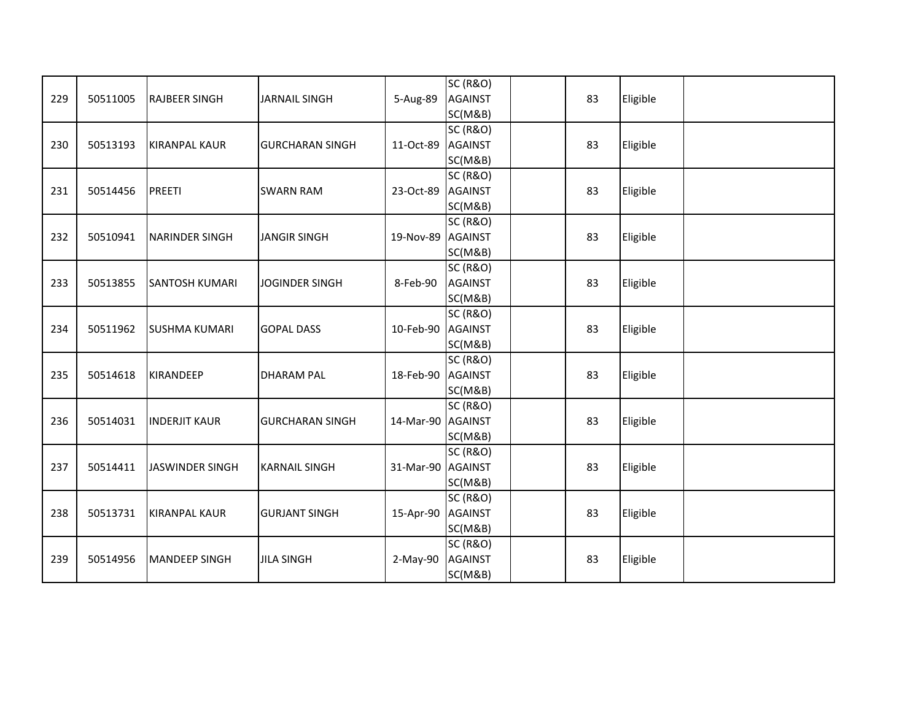| 229 | 50511005 | <b>RAJBEER SINGH</b>   | <b>JARNAIL SINGH</b>   | 5-Aug-89   | <b>SC (R&amp;O)</b><br><b>AGAINST</b><br>SC(M&B) | 83 | Eligible |  |
|-----|----------|------------------------|------------------------|------------|--------------------------------------------------|----|----------|--|
| 230 | 50513193 | <b>KIRANPAL KAUR</b>   | <b>GURCHARAN SINGH</b> | 11-Oct-89  | <b>SC (R&amp;O)</b><br><b>AGAINST</b><br>SC(M&B) | 83 | Eligible |  |
| 231 | 50514456 | <b>PREETI</b>          | <b>SWARN RAM</b>       | 23-Oct-89  | <b>SC (R&amp;O)</b><br><b>AGAINST</b><br>SC(M&B) | 83 | Eligible |  |
| 232 | 50510941 | <b>NARINDER SINGH</b>  | <b>JANGIR SINGH</b>    | 19-Nov-89  | <b>SC (R&amp;O)</b><br><b>AGAINST</b><br>SC(M&B) | 83 | Eligible |  |
| 233 | 50513855 | <b>SANTOSH KUMARI</b>  | <b>JOGINDER SINGH</b>  | 8-Feb-90   | <b>SC (R&amp;O)</b><br><b>AGAINST</b><br>SC(M&B) | 83 | Eligible |  |
| 234 | 50511962 | <b>SUSHMA KUMARI</b>   | <b>GOPAL DASS</b>      | 10-Feb-90  | <b>SC (R&amp;O)</b><br><b>AGAINST</b><br>SC(M&B) | 83 | Eligible |  |
| 235 | 50514618 | <b>KIRANDEEP</b>       | <b>DHARAM PAL</b>      | 18-Feb-90  | <b>SC (R&amp;O)</b><br><b>AGAINST</b><br>SC(M&B) | 83 | Eligible |  |
| 236 | 50514031 | <b>INDERJIT KAUR</b>   | <b>GURCHARAN SINGH</b> | 14-Mar-90  | <b>SC (R&amp;O)</b><br><b>AGAINST</b><br>SC(M&B) | 83 | Eligible |  |
| 237 | 50514411 | <b>JASWINDER SINGH</b> | <b>KARNAIL SINGH</b>   | 31-Mar-90  | <b>SC (R&amp;O)</b><br><b>AGAINST</b><br>SC(M&B) | 83 | Eligible |  |
| 238 | 50513731 | <b>KIRANPAL KAUR</b>   | <b>GURJANT SINGH</b>   | 15-Apr-90  | <b>SC (R&amp;O)</b><br><b>AGAINST</b><br>SC(M&B) | 83 | Eligible |  |
| 239 | 50514956 | <b>MANDEEP SINGH</b>   | <b>JILA SINGH</b>      | $2-May-90$ | <b>SC (R&amp;O)</b><br><b>AGAINST</b><br>SC(M&B) | 83 | Eligible |  |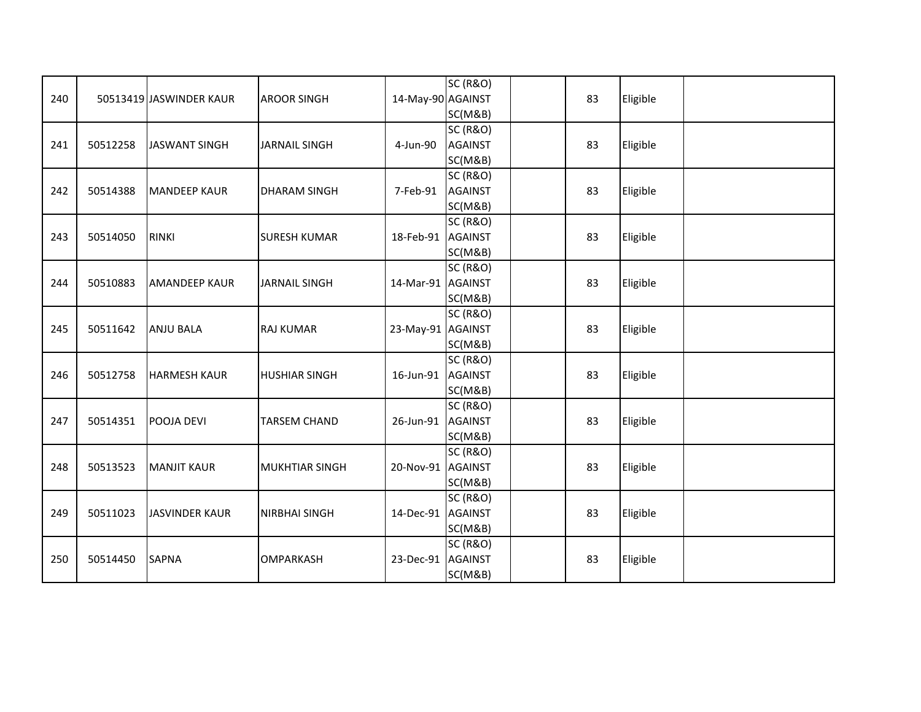| 240 |          | 50513419 JASWINDER KAUR | <b>AROOR SINGH</b>    | 14-May-90 AGAINST | <b>SC (R&amp;O)</b><br>SC(M&B)                   | 83 | Eligible |  |
|-----|----------|-------------------------|-----------------------|-------------------|--------------------------------------------------|----|----------|--|
| 241 | 50512258 | <b>JASWANT SINGH</b>    | <b>JARNAIL SINGH</b>  | 4-Jun-90          | <b>SC (R&amp;O)</b><br><b>AGAINST</b><br>SC(M&B) | 83 | Eligible |  |
| 242 | 50514388 | <b>MANDEEP KAUR</b>     | <b>DHARAM SINGH</b>   | 7-Feb-91          | <b>SC (R&amp;O)</b><br><b>AGAINST</b><br>SC(M&B) | 83 | Eligible |  |
| 243 | 50514050 | <b>RINKI</b>            | <b>SURESH KUMAR</b>   | 18-Feb-91         | <b>SC (R&amp;O)</b><br><b>AGAINST</b><br>SC(M&B) | 83 | Eligible |  |
| 244 | 50510883 | <b>AMANDEEP KAUR</b>    | <b>JARNAIL SINGH</b>  | 14-Mar-91 AGAINST | <b>SC (R&amp;O)</b><br>SC(M&B)                   | 83 | Eligible |  |
| 245 | 50511642 | <b>ANJU BALA</b>        | <b>RAJ KUMAR</b>      | 23-May-91 AGAINST | <b>SC (R&amp;O)</b><br>SC(M&B)                   | 83 | Eligible |  |
| 246 | 50512758 | <b>HARMESH KAUR</b>     | <b>HUSHIAR SINGH</b>  | 16-Jun-91         | <b>SC (R&amp;O)</b><br><b>AGAINST</b><br>SC(M&B) | 83 | Eligible |  |
| 247 | 50514351 | POOJA DEVI              | <b>TARSEM CHAND</b>   | 26-Jun-91         | <b>SC (R&amp;O)</b><br><b>AGAINST</b><br>SC(M&B) | 83 | Eligible |  |
| 248 | 50513523 | <b>MANJIT KAUR</b>      | <b>MUKHTIAR SINGH</b> | 20-Nov-91         | <b>SC (R&amp;O)</b><br><b>AGAINST</b><br>SC(M&B) | 83 | Eligible |  |
| 249 | 50511023 | <b>JASVINDER KAUR</b>   | <b>NIRBHAI SINGH</b>  | 14-Dec-91         | <b>SC (R&amp;O)</b><br><b>AGAINST</b><br>SC(M&B) | 83 | Eligible |  |
| 250 | 50514450 | <b>SAPNA</b>            | <b>OMPARKASH</b>      | 23-Dec-91         | <b>SC (R&amp;O)</b><br><b>AGAINST</b><br>SC(M&B) | 83 | Eligible |  |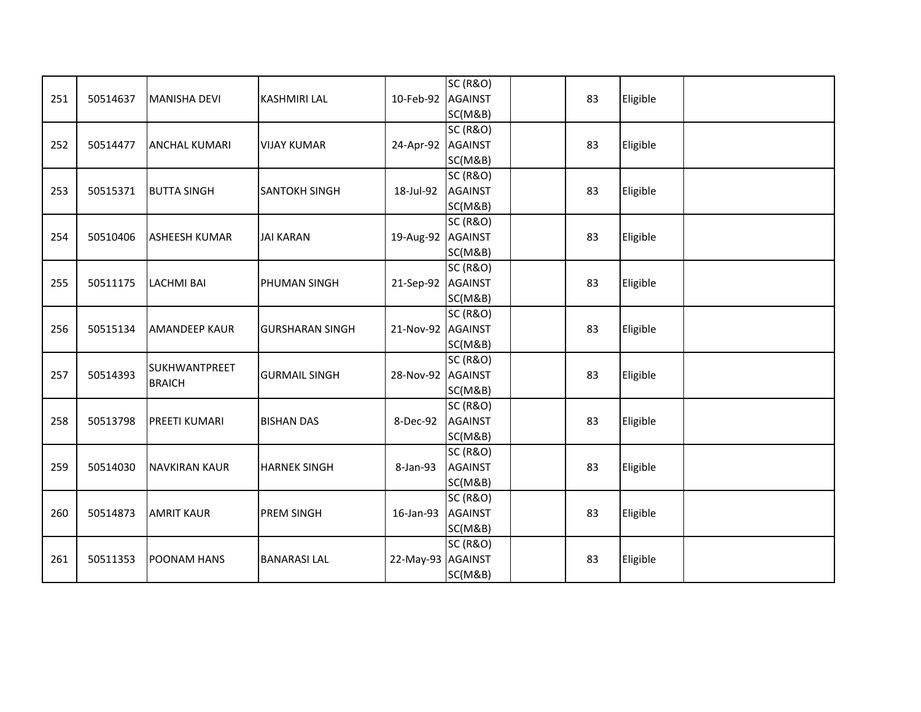| 251 | 50514637 | <b>MANISHA DEVI</b>            | <b>KASHMIRI LAL</b>    | 10-Feb-92 AGAINST | <b>SC (R&amp;O)</b><br>SC(M&B)                   | 83 | Eligible |  |
|-----|----------|--------------------------------|------------------------|-------------------|--------------------------------------------------|----|----------|--|
| 252 | 50514477 | <b>ANCHAL KUMARI</b>           | <b>VIJAY KUMAR</b>     | 24-Apr-92 AGAINST | <b>SC (R&amp;O)</b><br>SC(M&B)                   | 83 | Eligible |  |
| 253 | 50515371 | <b>BUTTA SINGH</b>             | <b>SANTOKH SINGH</b>   | 18-Jul-92         | <b>SC (R&amp;O)</b><br><b>AGAINST</b><br>SC(M&B) | 83 | Eligible |  |
| 254 | 50510406 | <b>ASHEESH KUMAR</b>           | <b>JAI KARAN</b>       | 19-Aug-92 AGAINST | <b>SC (R&amp;O)</b><br>SC(M&B)                   | 83 | Eligible |  |
| 255 | 50511175 | <b>LACHMI BAI</b>              | PHUMAN SINGH           | 21-Sep-92 AGAINST | <b>SC (R&amp;O)</b><br>SC(M&B)                   | 83 | Eligible |  |
| 256 | 50515134 | <b>AMANDEEP KAUR</b>           | <b>GURSHARAN SINGH</b> | 21-Nov-92 AGAINST | <b>SC (R&amp;O)</b><br>SC(M&B)                   | 83 | Eligible |  |
| 257 | 50514393 | SUKHWANTPREET<br><b>BRAICH</b> | <b>GURMAIL SINGH</b>   | 28-Nov-92 AGAINST | <b>SC (R&amp;O)</b><br>SC(M&B)                   | 83 | Eligible |  |
| 258 | 50513798 | <b>PREETI KUMARI</b>           | <b>BISHAN DAS</b>      | 8-Dec-92          | <b>SC (R&amp;O)</b><br><b>AGAINST</b><br>SC(M&B) | 83 | Eligible |  |
| 259 | 50514030 | <b>INAVKIRAN KAUR</b>          | <b>HARNEK SINGH</b>    | 8-Jan-93          | <b>SC (R&amp;O)</b><br><b>AGAINST</b><br>SC(M&B) | 83 | Eligible |  |
| 260 | 50514873 | <b>AMRIT KAUR</b>              | <b>PREM SINGH</b>      | 16-Jan-93         | <b>SC (R&amp;O)</b><br><b>AGAINST</b><br>SC(M&B) | 83 | Eligible |  |
| 261 | 50511353 | POONAM HANS                    | <b>BANARASI LAL</b>    | 22-May-93 AGAINST | <b>SC (R&amp;O)</b><br>SC(M&B)                   | 83 | Eligible |  |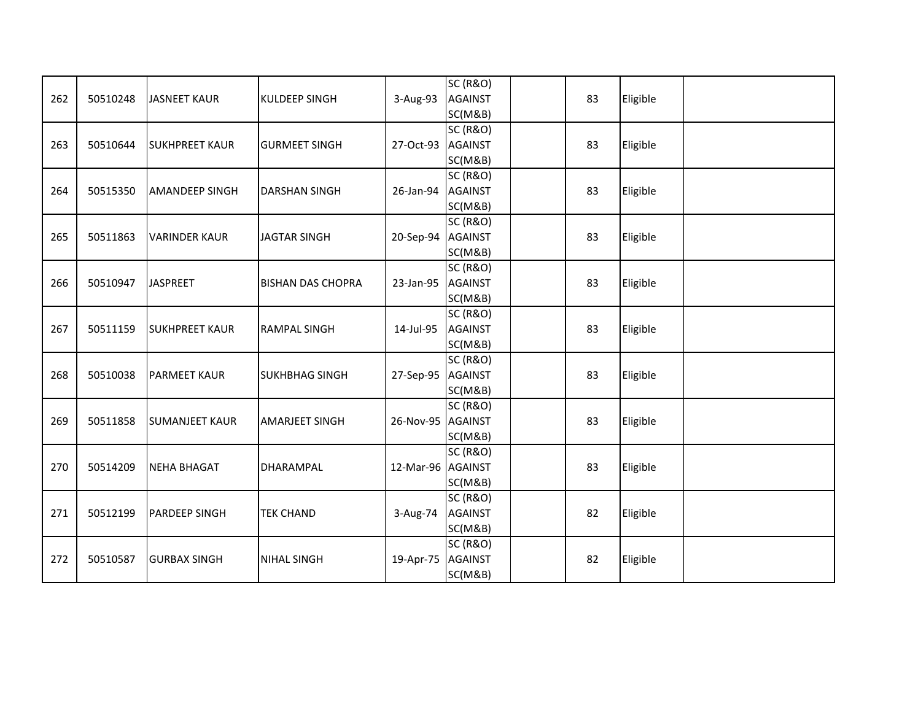| 262 | 50510248 | <b>JASNEET KAUR</b>   | <b>KULDEEP SINGH</b>     | 3-Aug-93          | <b>SC (R&amp;O)</b><br><b>AGAINST</b><br>SC(M&B) | 83 | Eligible |  |
|-----|----------|-----------------------|--------------------------|-------------------|--------------------------------------------------|----|----------|--|
| 263 | 50510644 | <b>SUKHPREET KAUR</b> | <b>GURMEET SINGH</b>     | 27-Oct-93         | <b>SC (R&amp;O)</b><br><b>AGAINST</b><br>SC(M&B) | 83 | Eligible |  |
| 264 | 50515350 | <b>AMANDEEP SINGH</b> | <b>DARSHAN SINGH</b>     | 26-Jan-94         | <b>SC (R&amp;O)</b><br><b>AGAINST</b><br>SC(M&B) | 83 | Eligible |  |
| 265 | 50511863 | <b>VARINDER KAUR</b>  | <b>JAGTAR SINGH</b>      | 20-Sep-94 AGAINST | <b>SC (R&amp;O)</b><br>SC(M&B)                   | 83 | Eligible |  |
| 266 | 50510947 | <b>JASPREET</b>       | <b>BISHAN DAS CHOPRA</b> | 23-Jan-95         | <b>SC (R&amp;O)</b><br><b>AGAINST</b><br>SC(M&B) | 83 | Eligible |  |
| 267 | 50511159 | <b>SUKHPREET KAUR</b> | <b>RAMPAL SINGH</b>      | 14-Jul-95         | <b>SC (R&amp;O)</b><br><b>AGAINST</b><br>SC(M&B) | 83 | Eligible |  |
| 268 | 50510038 | <b>PARMEET KAUR</b>   | <b>SUKHBHAG SINGH</b>    | 27-Sep-95         | <b>SC (R&amp;O)</b><br><b>AGAINST</b><br>SC(M&B) | 83 | Eligible |  |
| 269 | 50511858 | <b>SUMANJEET KAUR</b> | <b>AMARJEET SINGH</b>    | 26-Nov-95 AGAINST | <b>SC (R&amp;O)</b><br>SC(M&B)                   | 83 | Eligible |  |
| 270 | 50514209 | <b>NEHA BHAGAT</b>    | <b>DHARAMPAL</b>         | 12-Mar-96 AGAINST | <b>SC (R&amp;O)</b><br>SC(M&B)                   | 83 | Eligible |  |
| 271 | 50512199 | <b>PARDEEP SINGH</b>  | <b>TEK CHAND</b>         | 3-Aug-74          | <b>SC (R&amp;O)</b><br><b>AGAINST</b><br>SC(M&B) | 82 | Eligible |  |
| 272 | 50510587 | <b>GURBAX SINGH</b>   | <b>NIHAL SINGH</b>       | 19-Apr-75         | <b>SC (R&amp;O)</b><br><b>AGAINST</b><br>SC(M&B) | 82 | Eligible |  |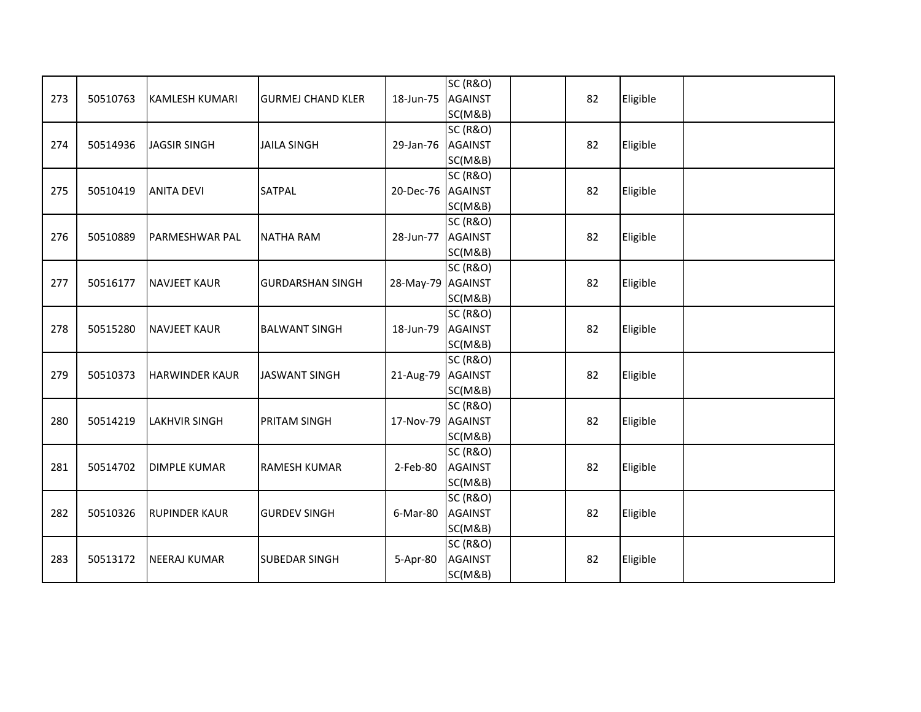| 273 | 50510763 | <b>KAMLESH KUMARI</b> | <b>GURMEJ CHAND KLER</b> | 18-Jun-75         | <b>SC (R&amp;O)</b><br><b>AGAINST</b><br>SC(M&B) | 82 | Eligible |  |
|-----|----------|-----------------------|--------------------------|-------------------|--------------------------------------------------|----|----------|--|
| 274 | 50514936 | <b>JAGSIR SINGH</b>   | <b>JAILA SINGH</b>       | 29-Jan-76         | <b>SC (R&amp;O)</b><br><b>AGAINST</b><br>SC(M&B) | 82 | Eligible |  |
| 275 | 50510419 | <b>ANITA DEVI</b>     | <b>SATPAL</b>            | 20-Dec-76 AGAINST | <b>SC (R&amp;O)</b><br>SC(M&B)                   | 82 | Eligible |  |
| 276 | 50510889 | <b>PARMESHWAR PAL</b> | <b>NATHA RAM</b>         | 28-Jun-77         | <b>SC (R&amp;O)</b><br><b>AGAINST</b><br>SC(M&B) | 82 | Eligible |  |
| 277 | 50516177 | <b>NAVJEET KAUR</b>   | <b>GURDARSHAN SINGH</b>  | 28-May-79 AGAINST | <b>SC (R&amp;O)</b><br>SC(M&B)                   | 82 | Eligible |  |
| 278 | 50515280 | <b>NAVJEET KAUR</b>   | <b>BALWANT SINGH</b>     | 18-Jun-79         | <b>SC (R&amp;O)</b><br><b>AGAINST</b><br>SC(M&B) | 82 | Eligible |  |
| 279 | 50510373 | <b>HARWINDER KAUR</b> | <b>JASWANT SINGH</b>     | 21-Aug-79         | <b>SC (R&amp;O)</b><br><b>AGAINST</b><br>SC(M&B) | 82 | Eligible |  |
| 280 | 50514219 | <b>LAKHVIR SINGH</b>  | <b>PRITAM SINGH</b>      | 17-Nov-79 AGAINST | <b>SC (R&amp;O)</b><br>SC(M&B)                   | 82 | Eligible |  |
| 281 | 50514702 | <b>DIMPLE KUMAR</b>   | <b>RAMESH KUMAR</b>      | 2-Feb-80          | <b>SC (R&amp;O)</b><br><b>AGAINST</b><br>SC(M&B) | 82 | Eligible |  |
| 282 | 50510326 | <b>RUPINDER KAUR</b>  | <b>GURDEV SINGH</b>      | 6-Mar-80          | <b>SC (R&amp;O)</b><br><b>AGAINST</b><br>SC(M&B) | 82 | Eligible |  |
| 283 | 50513172 | <b>NEERAJ KUMAR</b>   | <b>SUBEDAR SINGH</b>     | 5-Apr-80          | <b>SC (R&amp;O)</b><br><b>AGAINST</b><br>SC(M&B) | 82 | Eligible |  |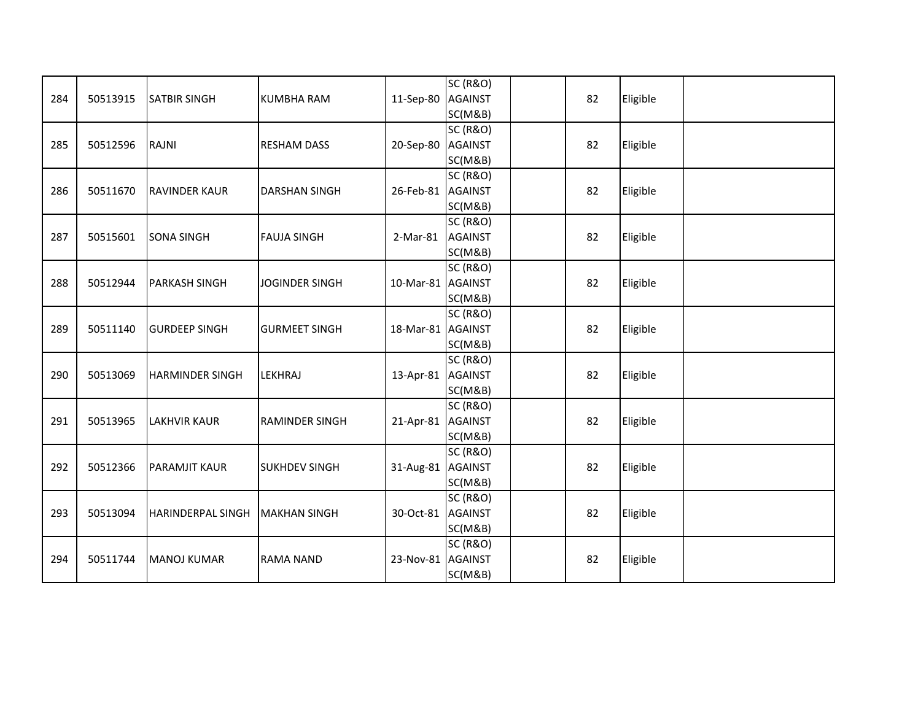| 284 | 50513915 | <b>SATBIR SINGH</b>      | <b>KUMBHA RAM</b>     | 11-Sep-80         | <b>SC (R&amp;O)</b><br><b>AGAINST</b><br>SC(M&B) | 82 | Eligible |  |
|-----|----------|--------------------------|-----------------------|-------------------|--------------------------------------------------|----|----------|--|
| 285 | 50512596 | <b>RAJNI</b>             | <b>RESHAM DASS</b>    | 20-Sep-80         | <b>SC (R&amp;O)</b><br><b>AGAINST</b><br>SC(M&B) | 82 | Eligible |  |
| 286 | 50511670 | <b>RAVINDER KAUR</b>     | <b>DARSHAN SINGH</b>  | 26-Feb-81 AGAINST | <b>SC (R&amp;O)</b><br>SC(M&B)                   | 82 | Eligible |  |
| 287 | 50515601 | <b>SONA SINGH</b>        | <b>FAUJA SINGH</b>    | 2-Mar-81          | <b>SC (R&amp;O)</b><br><b>AGAINST</b><br>SC(M&B) | 82 | Eligible |  |
| 288 | 50512944 | <b>PARKASH SINGH</b>     | <b>JOGINDER SINGH</b> | 10-Mar-81 AGAINST | <b>SC (R&amp;O)</b><br>SC(M&B)                   | 82 | Eligible |  |
| 289 | 50511140 | <b>GURDEEP SINGH</b>     | <b>GURMEET SINGH</b>  | 18-Mar-81 AGAINST | <b>SC (R&amp;O)</b><br>SC(M&B)                   | 82 | Eligible |  |
| 290 | 50513069 | <b>HARMINDER SINGH</b>   | LEKHRAJ               | 13-Apr-81 AGAINST | <b>SC (R&amp;O)</b><br>SC(M&B)                   | 82 | Eligible |  |
| 291 | 50513965 | <b>LAKHVIR KAUR</b>      | <b>RAMINDER SINGH</b> | 21-Apr-81 AGAINST | <b>SC (R&amp;O)</b><br>SC(M&B)                   | 82 | Eligible |  |
| 292 | 50512366 | <b>PARAMJIT KAUR</b>     | <b>SUKHDEV SINGH</b>  | 31-Aug-81 AGAINST | <b>SC (R&amp;O)</b><br>SC(M&B)                   | 82 | Eligible |  |
| 293 | 50513094 | <b>HARINDERPAL SINGH</b> | <b>MAKHAN SINGH</b>   | 30-Oct-81         | <b>SC (R&amp;O)</b><br><b>AGAINST</b><br>SC(M&B) | 82 | Eligible |  |
| 294 | 50511744 | <b>MANOJ KUMAR</b>       | <b>RAMA NAND</b>      | 23-Nov-81 AGAINST | <b>SC (R&amp;O)</b><br>SC(M&B)                   | 82 | Eligible |  |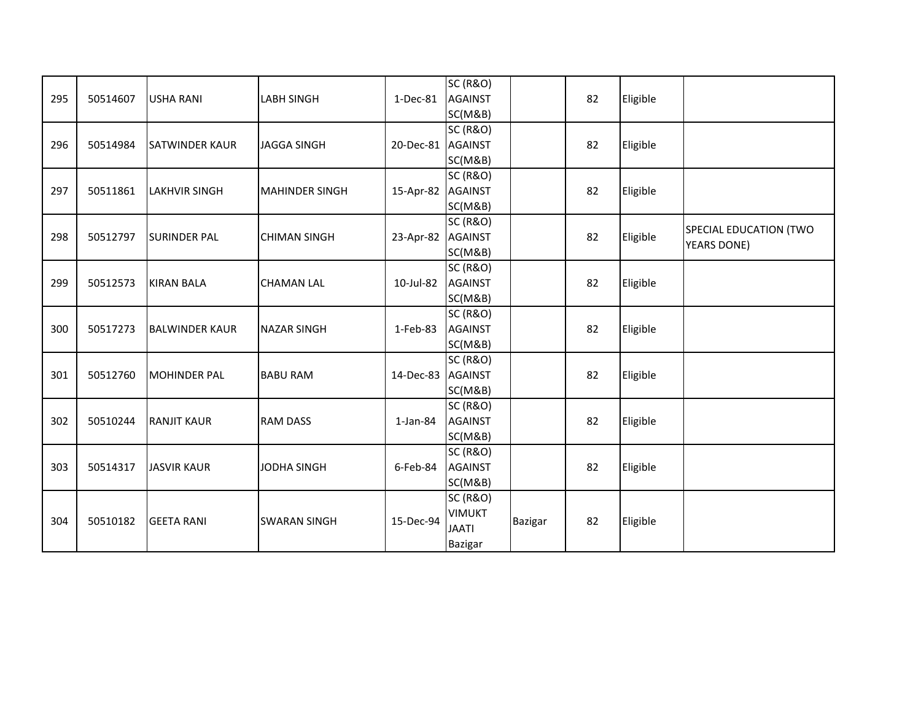|     |          |                       |                       |                   | <b>SC (R&amp;O)</b> |         |    |          |                        |
|-----|----------|-----------------------|-----------------------|-------------------|---------------------|---------|----|----------|------------------------|
| 295 | 50514607 | <b>USHA RANI</b>      | <b>LABH SINGH</b>     | $1-Dec-81$        | <b>AGAINST</b>      |         | 82 | Eligible |                        |
|     |          |                       |                       |                   | SC(M&B)             |         |    |          |                        |
|     |          |                       |                       |                   | <b>SC (R&amp;O)</b> |         |    |          |                        |
| 296 | 50514984 | <b>SATWINDER KAUR</b> | <b>JAGGA SINGH</b>    | 20-Dec-81 AGAINST |                     |         | 82 | Eligible |                        |
|     |          |                       |                       |                   | SC(M&B)             |         |    |          |                        |
|     |          |                       |                       |                   | <b>SC (R&amp;O)</b> |         |    |          |                        |
| 297 | 50511861 | <b>LAKHVIR SINGH</b>  | <b>MAHINDER SINGH</b> | 15-Apr-82 AGAINST |                     |         | 82 | Eligible |                        |
|     |          |                       |                       |                   | SC(M&B)             |         |    |          |                        |
|     |          |                       |                       |                   | <b>SC (R&amp;O)</b> |         |    |          |                        |
| 298 | 50512797 | <b>SURINDER PAL</b>   | <b>CHIMAN SINGH</b>   | 23-Apr-82 AGAINST |                     |         | 82 | Eligible | SPECIAL EDUCATION (TWO |
|     |          |                       |                       |                   | SC(M&B)             |         |    |          | <b>YEARS DONE)</b>     |
|     |          |                       |                       |                   | <b>SC (R&amp;O)</b> |         |    |          |                        |
| 299 | 50512573 | <b>KIRAN BALA</b>     | <b>CHAMAN LAL</b>     | 10-Jul-82         | <b>AGAINST</b>      |         | 82 | Eligible |                        |
|     |          |                       |                       |                   | SC(M&B)             |         |    |          |                        |
|     |          |                       |                       |                   | <b>SC (R&amp;O)</b> |         |    |          |                        |
| 300 | 50517273 | <b>BALWINDER KAUR</b> | <b>NAZAR SINGH</b>    | 1-Feb-83          | <b>AGAINST</b>      |         | 82 | Eligible |                        |
|     |          |                       |                       |                   | SC(M&B)             |         |    |          |                        |
|     |          |                       |                       |                   | <b>SC (R&amp;O)</b> |         |    |          |                        |
| 301 | 50512760 | <b>MOHINDER PAL</b>   | <b>BABU RAM</b>       | 14-Dec-83 AGAINST |                     |         | 82 | Eligible |                        |
|     |          |                       |                       |                   | SC(M&B)             |         |    |          |                        |
|     |          |                       |                       |                   | <b>SC (R&amp;O)</b> |         |    |          |                        |
| 302 | 50510244 | <b>RANJIT KAUR</b>    | <b>RAM DASS</b>       | $1$ -Jan-84       | <b>AGAINST</b>      |         | 82 | Eligible |                        |
|     |          |                       |                       |                   | SC(M&B)             |         |    |          |                        |
|     |          |                       |                       |                   | <b>SC (R&amp;O)</b> |         |    |          |                        |
| 303 | 50514317 | <b>JASVIR KAUR</b>    | JODHA SINGH           | 6-Feb-84          | <b>AGAINST</b>      |         | 82 | Eligible |                        |
|     |          |                       |                       |                   | SC(M&B)             |         |    |          |                        |
|     |          |                       |                       |                   | <b>SC (R&amp;O)</b> |         |    |          |                        |
|     | 50510182 |                       |                       | 15-Dec-94         | <b>VIMUKT</b>       |         | 82 |          |                        |
| 304 |          | <b>GEETA RANI</b>     | <b>SWARAN SINGH</b>   |                   | <b>JAATI</b>        | Bazigar |    | Eligible |                        |
|     |          |                       |                       |                   | Bazigar             |         |    |          |                        |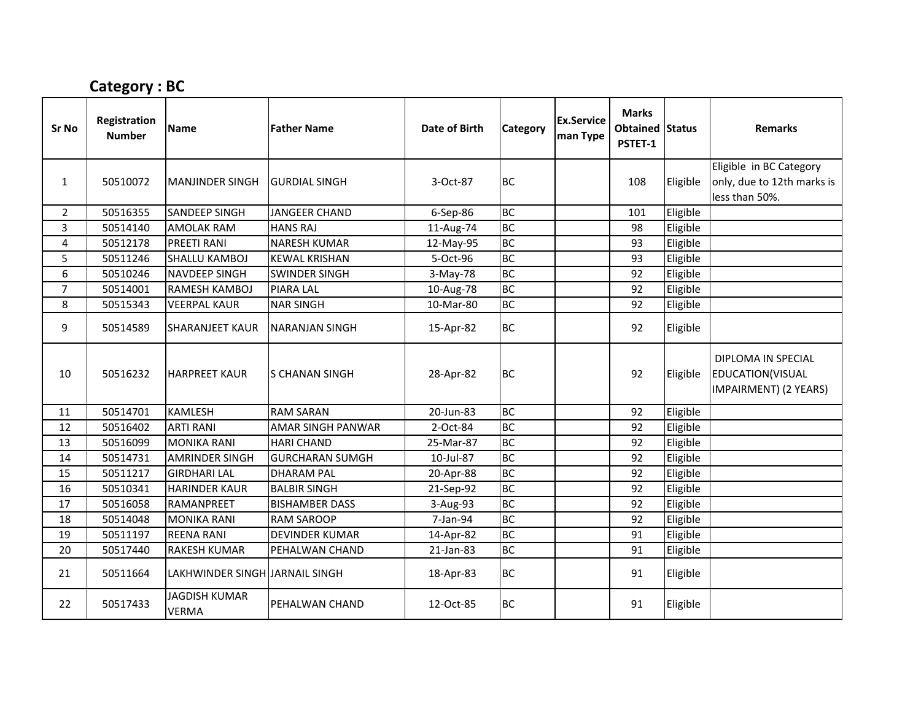## Category : BC

| Sr No          | Registration<br><b>Number</b> | <b>Name</b>                          | <b>Father Name</b>     | Date of Birth | Category  | <b>Ex.Service</b><br>man Type | <b>Marks</b><br>Obtained Status<br>PSTET-1 |          | <b>Remarks</b>                                                  |
|----------------|-------------------------------|--------------------------------------|------------------------|---------------|-----------|-------------------------------|--------------------------------------------|----------|-----------------------------------------------------------------|
|                |                               |                                      |                        |               |           |                               |                                            |          | Eligible in BC Category                                         |
| 1              | 50510072                      | <b>MANJINDER SINGH</b>               | <b>GURDIAL SINGH</b>   | 3-Oct-87      | <b>BC</b> |                               | 108                                        | Eligible | only, due to 12th marks is                                      |
|                |                               |                                      |                        |               |           |                               |                                            |          | less than 50%.                                                  |
| $\overline{2}$ | 50516355                      | <b>SANDEEP SINGH</b>                 | <b>JANGEER CHAND</b>   | 6-Sep-86      | <b>BC</b> |                               | 101                                        | Eligible |                                                                 |
| 3              | 50514140                      | <b>AMOLAK RAM</b>                    | <b>HANS RAJ</b>        | 11-Aug-74     | <b>BC</b> |                               | 98                                         | Eligible |                                                                 |
| 4              | 50512178                      | <b>PREETI RANI</b>                   | <b>NARESH KUMAR</b>    | 12-May-95     | <b>BC</b> |                               | 93                                         | Eligible |                                                                 |
| 5              | 50511246                      | SHALLU KAMBOJ                        | <b>KEWAL KRISHAN</b>   | 5-Oct-96      | <b>BC</b> |                               | 93                                         | Eligible |                                                                 |
| 6              | 50510246                      | NAVDEEP SINGH                        | <b>SWINDER SINGH</b>   | 3-May-78      | <b>BC</b> |                               | 92                                         | Eligible |                                                                 |
| $\overline{7}$ | 50514001                      | RAMESH KAMBOJ                        | <b>PIARA LAL</b>       | 10-Aug-78     | <b>BC</b> |                               | 92                                         | Eligible |                                                                 |
| 8              | 50515343                      | <b>VEERPAL KAUR</b>                  | <b>NAR SINGH</b>       | 10-Mar-80     | <b>BC</b> |                               | 92                                         | Eligible |                                                                 |
| 9              | 50514589                      | <b>SHARANJEET KAUR</b>               | <b>NARANJAN SINGH</b>  | 15-Apr-82     | <b>BC</b> |                               | 92                                         | Eligible |                                                                 |
| 10             | 50516232                      | <b>HARPREET KAUR</b>                 | <b>S CHANAN SINGH</b>  | 28-Apr-82     | <b>BC</b> |                               | 92                                         | Eligible | DIPLOMA IN SPECIAL<br>EDUCATION(VISUAL<br>IMPAIRMENT) (2 YEARS) |
| 11             | 50514701                      | <b>KAMLESH</b>                       | <b>RAM SARAN</b>       | 20-Jun-83     | <b>BC</b> |                               | 92                                         | Eligible |                                                                 |
| 12             | 50516402                      | <b>ARTI RANI</b>                     | AMAR SINGH PANWAR      | 2-Oct-84      | <b>BC</b> |                               | 92                                         | Eligible |                                                                 |
| 13             | 50516099                      | <b>MONIKA RANI</b>                   | <b>HARI CHAND</b>      | 25-Mar-87     | <b>BC</b> |                               | 92                                         | Eligible |                                                                 |
| 14             | 50514731                      | <b>AMRINDER SINGH</b>                | <b>GURCHARAN SUMGH</b> | 10-Jul-87     | <b>BC</b> |                               | 92                                         | Eligible |                                                                 |
| 15             | 50511217                      | <b>GIRDHARI LAL</b>                  | <b>DHARAM PAL</b>      | 20-Apr-88     | <b>BC</b> |                               | 92                                         | Eligible |                                                                 |
| 16             | 50510341                      | <b>HARINDER KAUR</b>                 | <b>BALBIR SINGH</b>    | 21-Sep-92     | <b>BC</b> |                               | 92                                         | Eligible |                                                                 |
| 17             | 50516058                      | RAMANPREET                           | <b>BISHAMBER DASS</b>  | 3-Aug-93      | <b>BC</b> |                               | 92                                         | Eligible |                                                                 |
| 18             | 50514048                      | <b>MONIKA RANI</b>                   | <b>RAM SAROOP</b>      | 7-Jan-94      | <b>BC</b> |                               | 92                                         | Eligible |                                                                 |
| 19             | 50511197                      | <b>REENA RANI</b>                    | <b>DEVINDER KUMAR</b>  | 14-Apr-82     | <b>BC</b> |                               | 91                                         | Eligible |                                                                 |
| 20             | 50517440                      | <b>RAKESH KUMAR</b>                  | PEHALWAN CHAND         | 21-Jan-83     | <b>BC</b> |                               | 91                                         | Eligible |                                                                 |
| 21             | 50511664                      | LAKHWINDER SINGH JARNAIL SINGH       |                        | 18-Apr-83     | <b>BC</b> |                               | 91                                         | Eligible |                                                                 |
| 22             | 50517433                      | <b>JAGDISH KUMAR</b><br><b>VERMA</b> | <b>PEHALWAN CHAND</b>  | 12-Oct-85     | <b>BC</b> |                               | 91                                         | Eligible |                                                                 |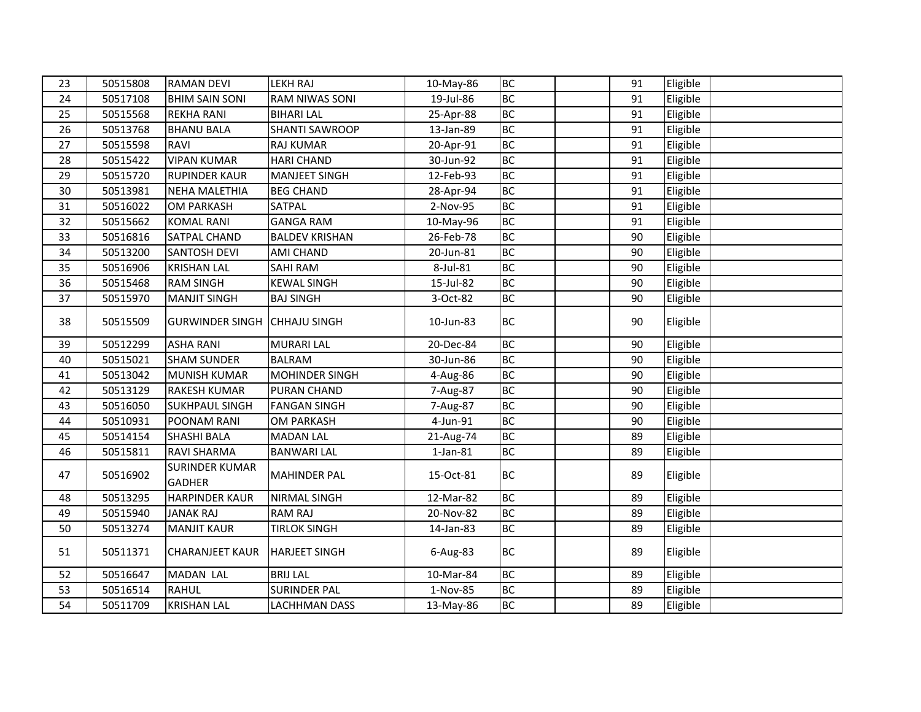| 23 | 50515808 | <b>RAMAN DEVI</b>                      | <b>LEKH RAJ</b>       | 10-May-86      | <b>BC</b> | 91 | Eligible |  |
|----|----------|----------------------------------------|-----------------------|----------------|-----------|----|----------|--|
| 24 | 50517108 | <b>BHIM SAIN SONI</b>                  | <b>RAM NIWAS SONI</b> | 19-Jul-86      | <b>BC</b> | 91 | Eligible |  |
| 25 | 50515568 | <b>REKHA RANI</b>                      | <b>BIHARI LAL</b>     | 25-Apr-88      | <b>BC</b> | 91 | Eligible |  |
| 26 | 50513768 | <b>BHANU BALA</b>                      | <b>SHANTI SAWROOP</b> | 13-Jan-89      | <b>BC</b> | 91 | Eligible |  |
| 27 | 50515598 | RAVI                                   | <b>RAJ KUMAR</b>      | 20-Apr-91      | BC        | 91 | Eligible |  |
| 28 | 50515422 | <b>VIPAN KUMAR</b>                     | <b>HARI CHAND</b>     | 30-Jun-92      | <b>BC</b> | 91 | Eligible |  |
| 29 | 50515720 | <b>RUPINDER KAUR</b>                   | MANJEET SINGH         | 12-Feb-93      | <b>BC</b> | 91 | Eligible |  |
| 30 | 50513981 | <b>NEHA MALETHIA</b>                   | <b>BEG CHAND</b>      | 28-Apr-94      | BC        | 91 | Eligible |  |
| 31 | 50516022 | <b>OM PARKASH</b>                      | SATPAL                | 2-Nov-95       | BC        | 91 | Eligible |  |
| 32 | 50515662 | <b>KOMAL RANI</b>                      | <b>GANGA RAM</b>      | 10-May-96      | <b>BC</b> | 91 | Eligible |  |
| 33 | 50516816 | SATPAL CHAND                           | <b>BALDEV KRISHAN</b> | 26-Feb-78      | BC        | 90 | Eligible |  |
| 34 | 50513200 | <b>SANTOSH DEVI</b>                    | AMI CHAND             | 20-Jun-81      | <b>BC</b> | 90 | Eligible |  |
| 35 | 50516906 | <b>KRISHAN LAL</b>                     | SAHI RAM              | 8-Jul-81       | <b>BC</b> | 90 | Eligible |  |
| 36 | 50515468 | <b>RAM SINGH</b>                       | <b>KEWAL SINGH</b>    | 15-Jul-82      | BC        | 90 | Eligible |  |
| 37 | 50515970 | <b>MANJIT SINGH</b>                    | <b>BAJ SINGH</b>      | 3-Oct-82       | BC        | 90 | Eligible |  |
| 38 | 50515509 | <b>GURWINDER SINGH CHHAJU SINGH</b>    |                       | 10-Jun-83      | <b>BC</b> | 90 | Eligible |  |
| 39 | 50512299 | <b>ASHA RANI</b>                       | <b>MURARI LAL</b>     | 20-Dec-84      | <b>BC</b> | 90 | Eligible |  |
| 40 | 50515021 | <b>SHAM SUNDER</b>                     | <b>BALRAM</b>         | 30-Jun-86      | <b>BC</b> | 90 | Eligible |  |
| 41 | 50513042 | <b>MUNISH KUMAR</b>                    | MOHINDER SINGH        | 4-Aug-86       | <b>BC</b> | 90 | Eligible |  |
| 42 | 50513129 | <b>RAKESH KUMAR</b>                    | PURAN CHAND           | 7-Aug-87       | <b>BC</b> | 90 | Eligible |  |
| 43 | 50516050 | <b>SUKHPAUL SINGH</b>                  | <b>FANGAN SINGH</b>   | 7-Aug-87       | <b>BC</b> | 90 | Eligible |  |
| 44 | 50510931 | POONAM RANI                            | OM PARKASH            | 4-Jun-91       | BC        | 90 | Eligible |  |
| 45 | 50514154 | <b>SHASHI BALA</b>                     | <b>MADAN LAL</b>      | 21-Aug-74      | <b>BC</b> | 89 | Eligible |  |
| 46 | 50515811 | <b>RAVI SHARMA</b>                     | <b>BANWARI LAL</b>    | $1$ -Jan- $81$ | <b>BC</b> | 89 | Eligible |  |
| 47 | 50516902 | <b>SURINDER KUMAR</b><br><b>GADHER</b> | <b>MAHINDER PAL</b>   | 15-Oct-81      | <b>BC</b> | 89 | Eligible |  |
| 48 | 50513295 | <b>HARPINDER KAUR</b>                  | <b>NIRMAL SINGH</b>   | 12-Mar-82      | <b>BC</b> | 89 | Eligible |  |
| 49 | 50515940 | <b>JANAK RAJ</b>                       | <b>RAM RAJ</b>        | 20-Nov-82      | BC        | 89 | Eligible |  |
| 50 | 50513274 | <b>MANJIT KAUR</b>                     | <b>TIRLOK SINGH</b>   | 14-Jan-83      | <b>BC</b> | 89 | Eligible |  |
| 51 | 50511371 | <b>CHARANJEET KAUR</b>                 | <b>HARJEET SINGH</b>  | $6$ -Aug-83    | <b>BC</b> | 89 | Eligible |  |
| 52 | 50516647 | MADAN LAL                              | <b>BRIJ LAL</b>       | 10-Mar-84      | <b>BC</b> | 89 | Eligible |  |
| 53 | 50516514 | <b>RAHUL</b>                           | <b>SURINDER PAL</b>   | 1-Nov-85       | <b>BC</b> | 89 | Eligible |  |
| 54 | 50511709 | <b>KRISHAN LAL</b>                     | <b>LACHHMAN DASS</b>  | 13-May-86      | <b>BC</b> | 89 | Eligible |  |
|    |          |                                        |                       |                |           |    |          |  |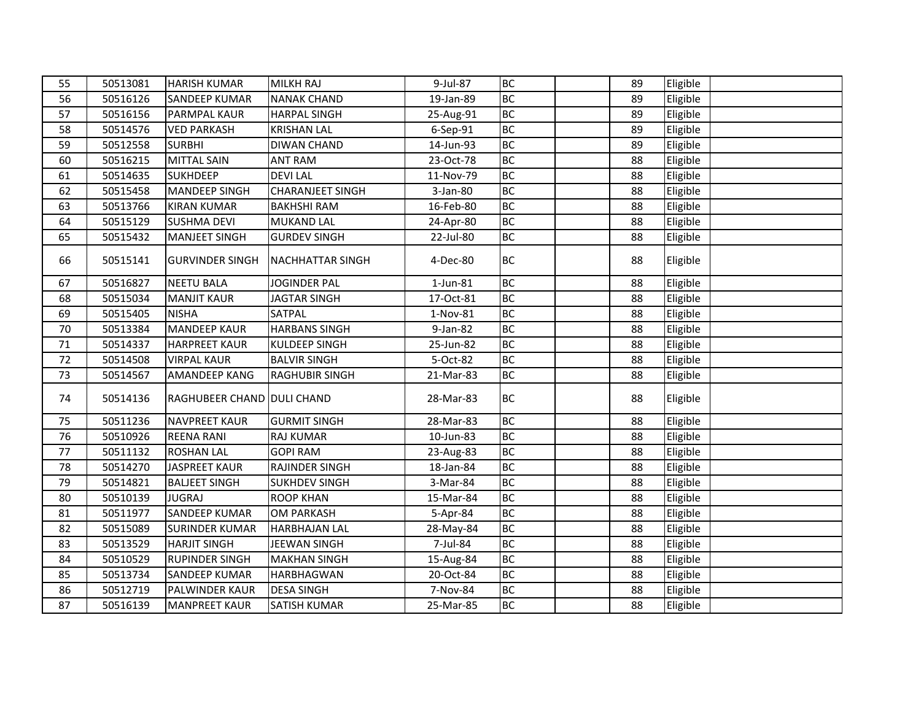| 55 | 50513081 | <b>HARISH KUMAR</b>        | <b>MILKH RAJ</b>        | 9-Jul-87  | <b>BC</b> | 89 | Eligible |  |
|----|----------|----------------------------|-------------------------|-----------|-----------|----|----------|--|
| 56 | 50516126 | <b>SANDEEP KUMAR</b>       | <b>NANAK CHAND</b>      | 19-Jan-89 | <b>BC</b> | 89 | Eligible |  |
| 57 | 50516156 | PARMPAL KAUR               | <b>HARPAL SINGH</b>     | 25-Aug-91 | <b>BC</b> | 89 | Eligible |  |
| 58 | 50514576 | <b>VED PARKASH</b>         | <b>KRISHAN LAL</b>      | 6-Sep-91  | <b>BC</b> | 89 | Eligible |  |
| 59 | 50512558 | <b>SURBHI</b>              | <b>DIWAN CHAND</b>      | 14-Jun-93 | <b>BC</b> | 89 | Eligible |  |
| 60 | 50516215 | <b>MITTAL SAIN</b>         | <b>ANT RAM</b>          | 23-Oct-78 | <b>BC</b> | 88 | Eligible |  |
| 61 | 50514635 | <b>SUKHDEEP</b>            | <b>DEVILAL</b>          | 11-Nov-79 | <b>BC</b> | 88 | Eligible |  |
| 62 | 50515458 | MANDEEP SINGH              | <b>CHARANJEET SINGH</b> | 3-Jan-80  | BC        | 88 | Eligible |  |
| 63 | 50513766 | <b>KIRAN KUMAR</b>         | <b>BAKHSHI RAM</b>      | 16-Feb-80 | <b>BC</b> | 88 | Eligible |  |
| 64 | 50515129 | <b>SUSHMA DEVI</b>         | MUKAND LAL              | 24-Apr-80 | <b>BC</b> | 88 | Eligible |  |
| 65 | 50515432 | <b>MANJEET SINGH</b>       | <b>GURDEV SINGH</b>     | 22-Jul-80 | <b>BC</b> | 88 | Eligible |  |
| 66 | 50515141 | <b>GURVINDER SINGH</b>     | <b>NACHHATTAR SINGH</b> | 4-Dec-80  | <b>BC</b> | 88 | Eligible |  |
| 67 | 50516827 | <b>NEETU BALA</b>          | <b>JOGINDER PAL</b>     | 1-Jun-81  | <b>BC</b> | 88 | Eligible |  |
| 68 | 50515034 | <b>MANJIT KAUR</b>         | <b>JAGTAR SINGH</b>     | 17-Oct-81 | <b>BC</b> | 88 | Eligible |  |
| 69 | 50515405 | <b>NISHA</b>               | SATPAL                  | 1-Nov-81  | BC        | 88 | Eligible |  |
| 70 | 50513384 | <b>MANDEEP KAUR</b>        | <b>HARBANS SINGH</b>    | 9-Jan-82  | <b>BC</b> | 88 | Eligible |  |
| 71 | 50514337 | <b>HARPREET KAUR</b>       | KULDEEP SINGH           | 25-Jun-82 | <b>BC</b> | 88 | Eligible |  |
| 72 | 50514508 | <b>VIRPAL KAUR</b>         | <b>BALVIR SINGH</b>     | 5-Oct-82  | <b>BC</b> | 88 | Eligible |  |
| 73 | 50514567 | AMANDEEP KANG              | <b>RAGHUBIR SINGH</b>   | 21-Mar-83 | BC        | 88 | Eligible |  |
| 74 | 50514136 | RAGHUBEER CHAND DULI CHAND |                         | 28-Mar-83 | <b>BC</b> | 88 | Eligible |  |
| 75 | 50511236 | <b>NAVPREET KAUR</b>       | <b>GURMIT SINGH</b>     | 28-Mar-83 | <b>BC</b> | 88 | Eligible |  |
| 76 | 50510926 | <b>REENA RANI</b>          | <b>RAJ KUMAR</b>        | 10-Jun-83 | <b>BC</b> | 88 | Eligible |  |
| 77 | 50511132 | <b>ROSHAN LAL</b>          | <b>GOPI RAM</b>         | 23-Aug-83 | <b>BC</b> | 88 | Eligible |  |
| 78 | 50514270 | <b>JASPREET KAUR</b>       | RAJINDER SINGH          | 18-Jan-84 | <b>BC</b> | 88 | Eligible |  |
| 79 | 50514821 | <b>BALJEET SINGH</b>       | <b>SUKHDEV SINGH</b>    | 3-Mar-84  | BC        | 88 | Eligible |  |
| 80 | 50510139 | <b>JUGRAJ</b>              | <b>ROOP KHAN</b>        | 15-Mar-84 | BC        | 88 | Eligible |  |
| 81 | 50511977 | <b>SANDEEP KUMAR</b>       | <b>OM PARKASH</b>       | 5-Apr-84  | <b>BC</b> | 88 | Eligible |  |
| 82 | 50515089 | <b>SURINDER KUMAR</b>      | <b>HARBHAJAN LAL</b>    | 28-May-84 | BC        | 88 | Eligible |  |
| 83 | 50513529 | <b>HARJIT SINGH</b>        | JEEWAN SINGH            | 7-Jul-84  | <b>BC</b> | 88 | Eligible |  |
| 84 | 50510529 | <b>RUPINDER SINGH</b>      | <b>MAKHAN SINGH</b>     | 15-Aug-84 | <b>BC</b> | 88 | Eligible |  |
| 85 | 50513734 | <b>SANDEEP KUMAR</b>       | HARBHAGWAN              | 20-Oct-84 | <b>BC</b> | 88 | Eligible |  |
| 86 | 50512719 | PALWINDER KAUR             | <b>DESA SINGH</b>       | 7-Nov-84  | <b>BC</b> | 88 | Eligible |  |
| 87 | 50516139 | <b>MANPREET KAUR</b>       | <b>SATISH KUMAR</b>     | 25-Mar-85 | <b>BC</b> | 88 | Eligible |  |
|    |          |                            |                         |           |           |    |          |  |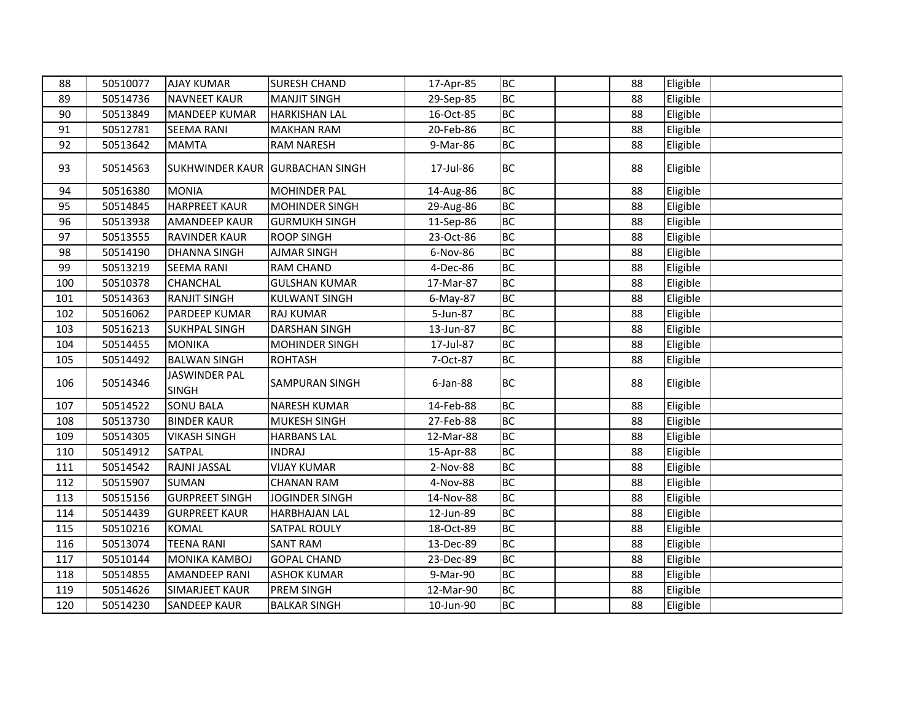| 88  | 50510077 | <b>AJAY KUMAR</b>                    | <b>SURESH CHAND</b>   | 17-Apr-85   | <b>BC</b> | 88 | Eligible |  |
|-----|----------|--------------------------------------|-----------------------|-------------|-----------|----|----------|--|
| 89  | 50514736 | <b>NAVNEET KAUR</b>                  | <b>MANJIT SINGH</b>   | 29-Sep-85   | <b>BC</b> | 88 | Eligible |  |
| 90  | 50513849 | <b>MANDEEP KUMAR</b>                 | <b>HARKISHAN LAL</b>  | 16-Oct-85   | <b>BC</b> | 88 | Eligible |  |
| 91  | 50512781 | <b>SEEMA RANI</b>                    | <b>MAKHAN RAM</b>     | 20-Feb-86   | <b>BC</b> | 88 | Eligible |  |
| 92  | 50513642 | <b>MAMTA</b>                         | <b>RAM NARESH</b>     | 9-Mar-86    | <b>BC</b> | 88 | Eligible |  |
| 93  | 50514563 | SUKHWINDER KAUR GURBACHAN SINGH      |                       | 17-Jul-86   | <b>BC</b> | 88 | Eligible |  |
| 94  | 50516380 | <b>MONIA</b>                         | <b>MOHINDER PAL</b>   | 14-Aug-86   | <b>BC</b> | 88 | Eligible |  |
| 95  | 50514845 | <b>HARPREET KAUR</b>                 | MOHINDER SINGH        | 29-Aug-86   | <b>BC</b> | 88 | Eligible |  |
| 96  | 50513938 | <b>AMANDEEP KAUR</b>                 | <b>GURMUKH SINGH</b>  | 11-Sep-86   | <b>BC</b> | 88 | Eligible |  |
| 97  | 50513555 | <b>RAVINDER KAUR</b>                 | <b>ROOP SINGH</b>     | 23-Oct-86   | <b>BC</b> | 88 | Eligible |  |
| 98  | 50514190 | <b>DHANNA SINGH</b>                  | <b>AJMAR SINGH</b>    | 6-Nov-86    | <b>BC</b> | 88 | Eligible |  |
| 99  | 50513219 | <b>SEEMA RANI</b>                    | <b>RAM CHAND</b>      | 4-Dec-86    | <b>BC</b> | 88 | Eligible |  |
| 100 | 50510378 | <b>CHANCHAL</b>                      | <b>GULSHAN KUMAR</b>  | 17-Mar-87   | <b>BC</b> | 88 | Eligible |  |
| 101 | 50514363 | <b>RANJIT SINGH</b>                  | <b>KULWANT SINGH</b>  | $6$ -May-87 | <b>BC</b> | 88 | Eligible |  |
| 102 | 50516062 | PARDEEP KUMAR                        | <b>RAJ KUMAR</b>      | 5-Jun-87    | <b>BC</b> | 88 | Eligible |  |
| 103 | 50516213 | <b>SUKHPAL SINGH</b>                 | <b>DARSHAN SINGH</b>  | 13-Jun-87   | <b>BC</b> | 88 | Eligible |  |
| 104 | 50514455 | <b>MONIKA</b>                        | <b>MOHINDER SINGH</b> | 17-Jul-87   | <b>BC</b> | 88 | Eligible |  |
| 105 | 50514492 | <b>BALWAN SINGH</b>                  | <b>ROHTASH</b>        | 7-Oct-87    | <b>BC</b> | 88 | Eligible |  |
| 106 | 50514346 | <b>JASWINDER PAL</b><br><b>SINGH</b> | <b>SAMPURAN SINGH</b> | $6$ -Jan-88 | <b>BC</b> | 88 | Eligible |  |
| 107 | 50514522 | <b>SONU BALA</b>                     | <b>NARESH KUMAR</b>   | 14-Feb-88   | <b>BC</b> | 88 | Eligible |  |
| 108 | 50513730 | <b>BINDER KAUR</b>                   | MUKESH SINGH          | 27-Feb-88   | <b>BC</b> | 88 | Eligible |  |
| 109 | 50514305 | <b>VIKASH SINGH</b>                  | <b>HARBANS LAL</b>    | 12-Mar-88   | <b>BC</b> | 88 | Eligible |  |
| 110 | 50514912 | <b>SATPAL</b>                        | <b>INDRAJ</b>         | 15-Apr-88   | <b>BC</b> | 88 | Eligible |  |
| 111 | 50514542 | RAJNI JASSAL                         | <b>VIJAY KUMAR</b>    | 2-Nov-88    | <b>BC</b> | 88 | Eligible |  |
| 112 | 50515907 | <b>SUMAN</b>                         | <b>CHANAN RAM</b>     | 4-Nov-88    | <b>BC</b> | 88 | Eligible |  |
| 113 | 50515156 | <b>GURPREET SINGH</b>                | <b>JOGINDER SINGH</b> | 14-Nov-88   | <b>BC</b> | 88 | Eligible |  |
| 114 | 50514439 | <b>GURPREET KAUR</b>                 | HARBHAJAN LAL         | 12-Jun-89   | <b>BC</b> | 88 | Eligible |  |
| 115 | 50510216 | <b>KOMAL</b>                         | <b>SATPAL ROULY</b>   | 18-Oct-89   | <b>BC</b> | 88 | Eligible |  |
| 116 | 50513074 | <b>TEENA RANI</b>                    | <b>SANT RAM</b>       | 13-Dec-89   | <b>BC</b> | 88 | Eligible |  |
| 117 | 50510144 | <b>MONIKA KAMBOJ</b>                 | <b>GOPAL CHAND</b>    | 23-Dec-89   | <b>BC</b> | 88 | Eligible |  |
| 118 | 50514855 | <b>AMANDEEP RANI</b>                 | <b>ASHOK KUMAR</b>    | 9-Mar-90    | <b>BC</b> | 88 | Eligible |  |
| 119 | 50514626 | SIMARJEET KAUR                       | <b>PREM SINGH</b>     | 12-Mar-90   | <b>BC</b> | 88 | Eligible |  |
| 120 | 50514230 | <b>SANDEEP KAUR</b>                  | <b>BALKAR SINGH</b>   | 10-Jun-90   | <b>BC</b> | 88 | Eligible |  |
|     |          |                                      |                       |             |           |    |          |  |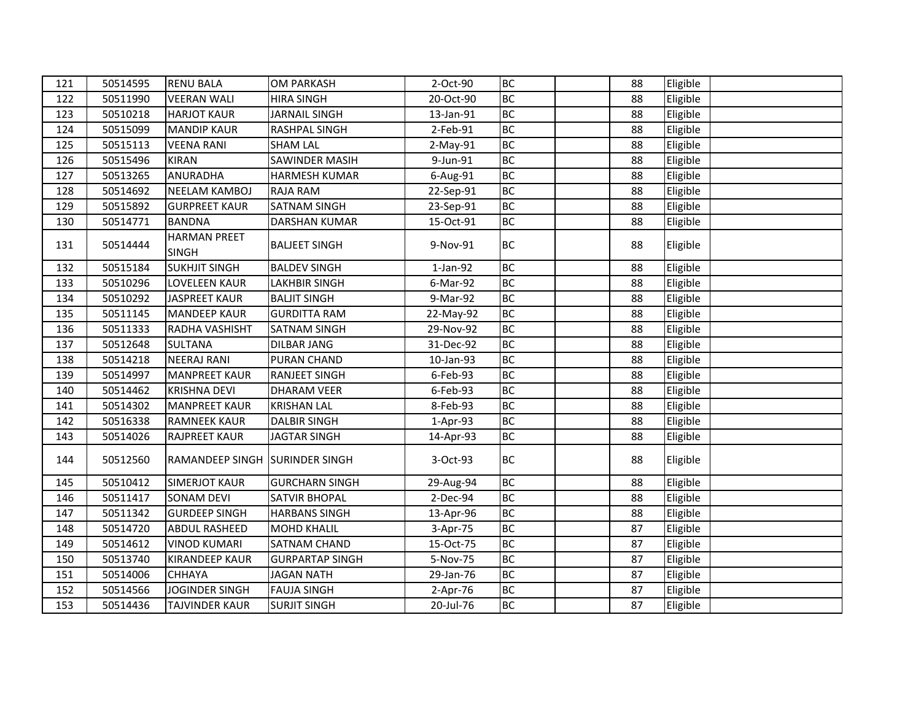| 121 | 50514595 | <b>RENU BALA</b>                    | <b>OM PARKASH</b>      | 2-Oct-90   | <b>BC</b> | 88 | Eligible |  |
|-----|----------|-------------------------------------|------------------------|------------|-----------|----|----------|--|
| 122 | 50511990 | <b>VEERAN WALI</b>                  | <b>HIRA SINGH</b>      | 20-Oct-90  | <b>BC</b> | 88 | Eligible |  |
| 123 | 50510218 | <b>HARJOT KAUR</b>                  | <b>JARNAIL SINGH</b>   | 13-Jan-91  | <b>BC</b> | 88 | Eligible |  |
| 124 | 50515099 | <b>MANDIP KAUR</b>                  | RASHPAL SINGH          | 2-Feb-91   | <b>BC</b> | 88 | Eligible |  |
| 125 | 50515113 | <b>VEENA RANI</b>                   | <b>SHAM LAL</b>        | $2-May-91$ | <b>BC</b> | 88 | Eligible |  |
| 126 | 50515496 | <b>KIRAN</b>                        | SAWINDER MASIH         | 9-Jun-91   | <b>BC</b> | 88 | Eligible |  |
| 127 | 50513265 | <b>ANURADHA</b>                     | <b>HARMESH KUMAR</b>   | 6-Aug-91   | <b>BC</b> | 88 | Eligible |  |
| 128 | 50514692 | <b>NEELAM KAMBOJ</b>                | RAJA RAM               | 22-Sep-91  | <b>BC</b> | 88 | Eligible |  |
| 129 | 50515892 | <b>GURPREET KAUR</b>                | SATNAM SINGH           | 23-Sep-91  | <b>BC</b> | 88 | Eligible |  |
| 130 | 50514771 | <b>BANDNA</b>                       | DARSHAN KUMAR          | 15-Oct-91  | <b>BC</b> | 88 | Eligible |  |
| 131 | 50514444 | <b>HARMAN PREET</b><br><b>SINGH</b> | <b>BALJEET SINGH</b>   | 9-Nov-91   | <b>BC</b> | 88 | Eligible |  |
| 132 | 50515184 | <b>SUKHJIT SINGH</b>                | <b>BALDEV SINGH</b>    | $1-Jan-92$ | <b>BC</b> | 88 | Eligible |  |
| 133 | 50510296 | <b>LOVELEEN KAUR</b>                | <b>LAKHBIR SINGH</b>   | 6-Mar-92   | <b>BC</b> | 88 | Eligible |  |
| 134 | 50510292 | <b>JASPREET KAUR</b>                | <b>BALJIT SINGH</b>    | 9-Mar-92   | BC        | 88 | Eligible |  |
| 135 | 50511145 | <b>MANDEEP KAUR</b>                 | <b>GURDITTA RAM</b>    | 22-May-92  | <b>BC</b> | 88 | Eligible |  |
| 136 | 50511333 | RADHA VASHISHT                      | SATNAM SINGH           | 29-Nov-92  | <b>BC</b> | 88 | Eligible |  |
| 137 | 50512648 | <b>SULTANA</b>                      | <b>DILBAR JANG</b>     | 31-Dec-92  | <b>BC</b> | 88 | Eligible |  |
| 138 | 50514218 | <b>NEERAJ RANI</b>                  | <b>PURAN CHAND</b>     | 10-Jan-93  | <b>BC</b> | 88 | Eligible |  |
| 139 | 50514997 | <b>MANPREET KAUR</b>                | <b>RANJEET SINGH</b>   | 6-Feb-93   | <b>BC</b> | 88 | Eligible |  |
| 140 | 50514462 | <b>KRISHNA DEVI</b>                 | <b>DHARAM VEER</b>     | 6-Feb-93   | <b>BC</b> | 88 | Eligible |  |
| 141 | 50514302 | <b>MANPREET KAUR</b>                | <b>KRISHAN LAL</b>     | 8-Feb-93   | <b>BC</b> | 88 | Eligible |  |
| 142 | 50516338 | <b>RAMNEEK KAUR</b>                 | <b>DALBIR SINGH</b>    | $1-Apr-93$ | <b>BC</b> | 88 | Eligible |  |
| 143 | 50514026 | <b>RAJPREET KAUR</b>                | <b>JAGTAR SINGH</b>    | 14-Apr-93  | <b>BC</b> | 88 | Eligible |  |
| 144 | 50512560 | RAMANDEEP SINGH SURINDER SINGH      |                        | 3-Oct-93   | <b>BC</b> | 88 | Eligible |  |
| 145 | 50510412 | <b>SIMERJOT KAUR</b>                | <b>GURCHARN SINGH</b>  | 29-Aug-94  | <b>BC</b> | 88 | Eligible |  |
| 146 | 50511417 | <b>SONAM DEVI</b>                   | <b>SATVIR BHOPAL</b>   | 2-Dec-94   | <b>BC</b> | 88 | Eligible |  |
| 147 | 50511342 | <b>GURDEEP SINGH</b>                | <b>HARBANS SINGH</b>   | 13-Apr-96  | <b>BC</b> | 88 | Eligible |  |
| 148 | 50514720 | <b>ABDUL RASHEED</b>                | <b>MOHD KHALIL</b>     | 3-Apr-75   | <b>BC</b> | 87 | Eligible |  |
| 149 | 50514612 | <b>VINOD KUMARI</b>                 | SATNAM CHAND           | 15-Oct-75  | <b>BC</b> | 87 | Eligible |  |
| 150 | 50513740 | <b>KIRANDEEP KAUR</b>               | <b>GURPARTAP SINGH</b> | 5-Nov-75   | <b>BC</b> | 87 | Eligible |  |
| 151 | 50514006 | <b>CHHAYA</b>                       | <b>JAGAN NATH</b>      | 29-Jan-76  | <b>BC</b> | 87 | Eligible |  |
| 152 | 50514566 | <b>JOGINDER SINGH</b>               | <b>FAUJA SINGH</b>     | 2-Apr-76   | <b>BC</b> | 87 | Eligible |  |
| 153 | 50514436 | <b>TAJVINDER KAUR</b>               | <b>SURJIT SINGH</b>    | 20-Jul-76  | <b>BC</b> | 87 | Eligible |  |
|     |          |                                     |                        |            |           |    |          |  |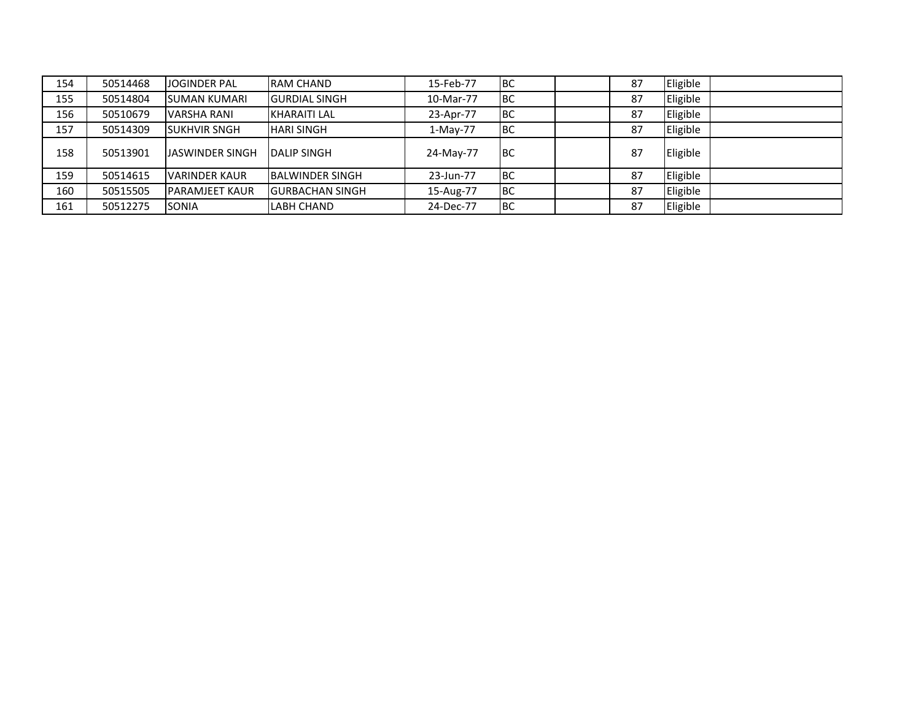| 154 | 50514468 | <b>JOGINDER PAL</b>   | <b>RAM CHAND</b>        | 15-Feb-77 | IBC        | 87 | Eligible |  |
|-----|----------|-----------------------|-------------------------|-----------|------------|----|----------|--|
| 155 | 50514804 | <b>ISUMAN KUMARI</b>  | <b>GURDIAL SINGH</b>    | 10-Mar-77 | Івс        | 87 | Eligible |  |
| 156 | 50510679 | <b>VARSHA RANI</b>    | <b>KHARAITI LAL</b>     | 23-Apr-77 | <b>IBC</b> | 87 | Eligible |  |
| 157 | 50514309 | <b>SUKHVIR SNGH</b>   | <b>HARI SINGH</b>       | 1-May-77  | <b>BC</b>  | 87 | Eligible |  |
| 158 | 50513901 | LJASWINDER SINGH      | <b>IDALIP SINGH</b>     | 24-May-77 | Івс        | 87 | Eligible |  |
| 159 | 50514615 | <b>VARINDER KAUR</b>  | <b>IBALWINDER SINGH</b> | 23-Jun-77 | IBC        | 87 | Eligible |  |
| 160 | 50515505 | <b>PARAMJEET KAUR</b> | <b>IGURBACHAN SINGH</b> | 15-Aug-77 | IBC        | 87 | Eligible |  |
| 161 | 50512275 | <b>SONIA</b>          | <b>LABH CHAND</b>       | 24-Dec-77 | IBC        | 87 | Eligible |  |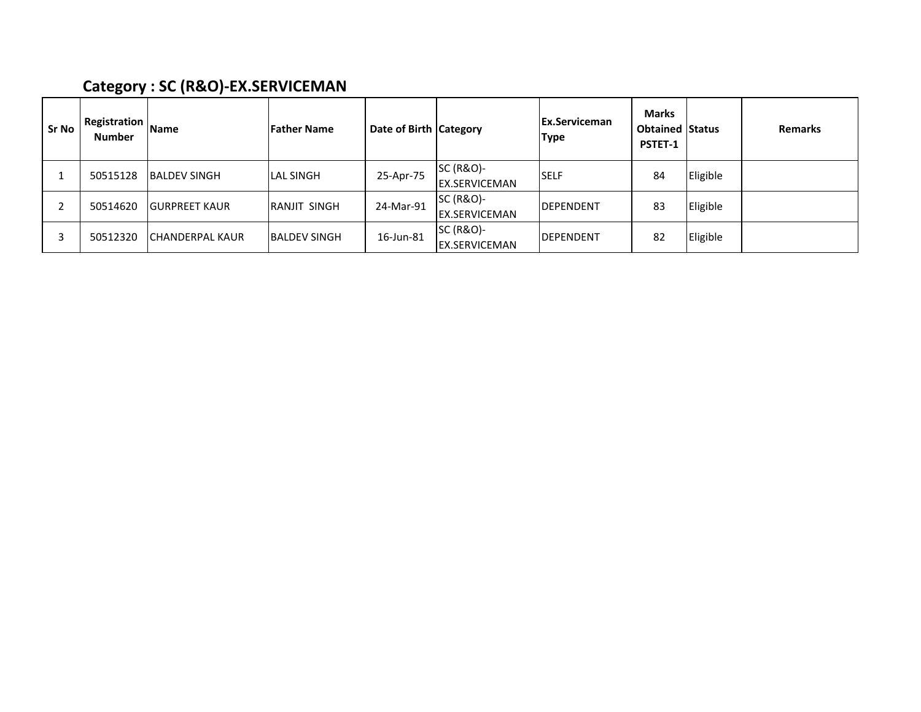# Category : SC (R&O)-EX.SERVICEMAN

| <b>Sr No</b> | <b>Registration</b><br>Number | <b>Name</b>             | <b>Father Name</b>   | Date of Birth Category |                                              | <b>Ex.Serviceman</b><br><b>Type</b> | Marks<br><b>Obtained Status</b><br><b>PSTET-1</b> |          | <b>Remarks</b> |
|--------------|-------------------------------|-------------------------|----------------------|------------------------|----------------------------------------------|-------------------------------------|---------------------------------------------------|----------|----------------|
|              | 50515128                      | <b>IBALDEV SINGH</b>    | <b>LAL SINGH</b>     | 25-Apr-75              | <b>SC (R&amp;O)-</b><br><b>EX.SERVICEMAN</b> | <b>SELF</b>                         | 84                                                | Eligible |                |
|              | 50514620                      | <b>IGURPREET KAUR</b>   | <b>IRANJIT SINGH</b> | 24-Mar-91              | SC (R&O)-<br><b>EX.SERVICEMAN</b>            | <b>DEPENDENT</b>                    | 83                                                | Eligible |                |
|              | 50512320                      | <b>ICHANDERPAL KAUR</b> | <b>BALDEV SINGH</b>  | 16-Jun-81              | SC (R&O)-<br><b>EX.SERVICEMAN</b>            | <b>DEPENDENT</b>                    | 82                                                | Eligible |                |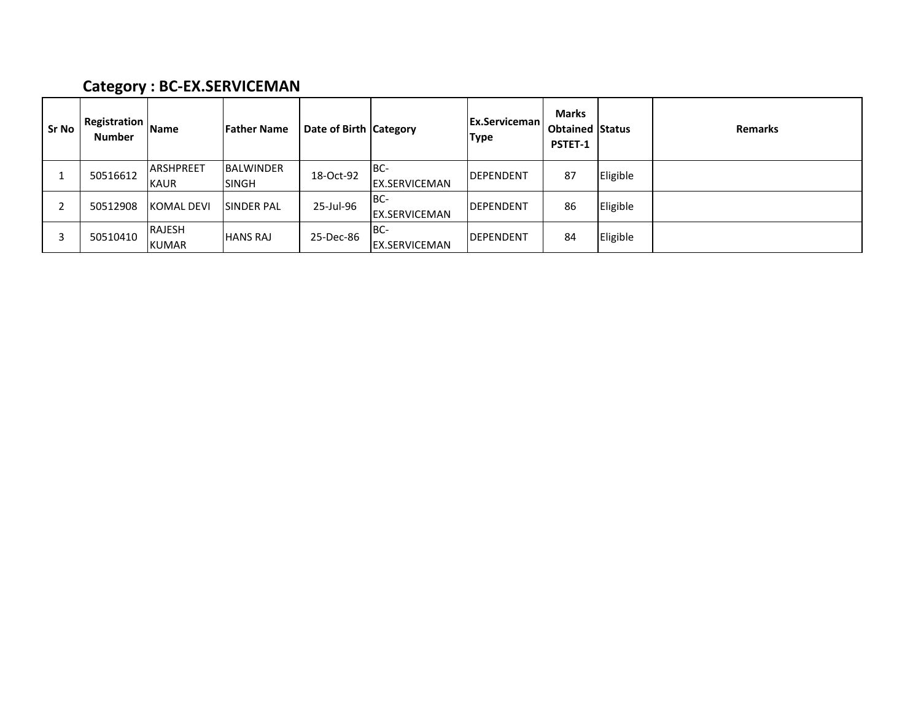#### Category : BC-EX.SERVICEMAN

| <b>Sr No</b> | <b>Registration</b><br>Number | <b>Name</b>                     | <b>IFather Name</b>              | Date of Birth Category |                              | <b>Ex.Serviceman</b><br><b>Type</b> | <b>Marks</b><br><b>Obtained Status</b><br>PSTET-1 |          | Remarks |
|--------------|-------------------------------|---------------------------------|----------------------------------|------------------------|------------------------------|-------------------------------------|---------------------------------------------------|----------|---------|
|              | 50516612                      | <b>ARSHPREET</b><br><b>KAUR</b> | <b>BALWINDER</b><br><b>SINGH</b> | 18-Oct-92              | IBC-<br><b>EX.SERVICEMAN</b> | <b>IDEPENDENT</b>                   | 87                                                | Eligible |         |
|              | 50512908                      | <b>KOMAL DEVI</b>               | <b>SINDER PAL</b>                | 25-Jul-96              | IBC-<br><b>EX.SERVICEMAN</b> | <b>IDEPENDENT</b>                   | 86                                                | Eligible |         |
| 3            | 50510410                      | RAJESH<br><b>KUMAR</b>          | <b>HANS RAJ</b>                  | 25-Dec-86              | IBC-<br><b>EX.SERVICEMAN</b> | <b>IDEPENDENT</b>                   | 84                                                | Eligible |         |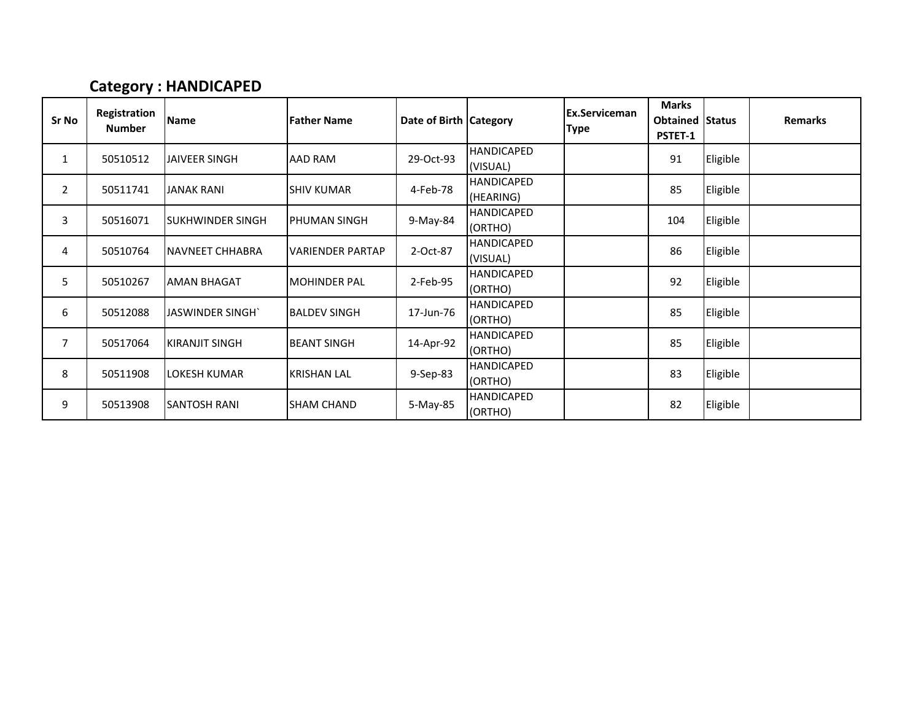#### Category : HANDICAPED

| Sr No          | Registration<br><b>Number</b> | <b>Name</b>              | <b>Father Name</b>      | Date of Birth Category |                                | Ex.Serviceman<br><b>Type</b> | <b>Marks</b><br><b>Obtained Status</b><br><b>PSTET-1</b> |          | <b>Remarks</b> |
|----------------|-------------------------------|--------------------------|-------------------------|------------------------|--------------------------------|------------------------------|----------------------------------------------------------|----------|----------------|
| 1              | 50510512                      | <b>JAIVEER SINGH</b>     | <b>AAD RAM</b>          | 29-Oct-93              | <b>HANDICAPED</b><br>(VISUAL)  |                              | 91                                                       | Eligible |                |
| $\overline{2}$ | 50511741                      | <b>JANAK RANI</b>        | <b>SHIV KUMAR</b>       | 4-Feb-78               | <b>HANDICAPED</b><br>(HEARING) |                              | 85                                                       | Eligible |                |
| 3              | 50516071                      | <b>ISUKHWINDER SINGH</b> | IPHUMAN SINGH           | 9-May-84               | <b>HANDICAPED</b><br>(ORTHO)   |                              | 104                                                      | Eligible |                |
| 4              | 50510764                      | INAVNEET CHHABRA         | <b>VARIENDER PARTAP</b> | 2-Oct-87               | <b>HANDICAPED</b><br>(VISUAL)  |                              | 86                                                       | Eligible |                |
| 5              | 50510267                      | <b>AMAN BHAGAT</b>       | <b>MOHINDER PAL</b>     | 2-Feb-95               | <b>HANDICAPED</b><br>(ORTHO)   |                              | 92                                                       | Eligible |                |
| 6              | 50512088                      | JASWINDER SINGH`         | <b>BALDEV SINGH</b>     | 17-Jun-76              | <b>HANDICAPED</b><br>(ORTHO)   |                              | 85                                                       | Eligible |                |
| $\overline{7}$ | 50517064                      | IKIRANJIT SINGH          | <b>BEANT SINGH</b>      | 14-Apr-92              | <b>HANDICAPED</b><br>(ORTHO)   |                              | 85                                                       | Eligible |                |
| 8              | 50511908                      | LOKESH KUMAR             | <b>KRISHAN LAL</b>      | 9-Sep-83               | <b>HANDICAPED</b><br>(ORTHO)   |                              | 83                                                       | Eligible |                |
| 9              | 50513908                      | ISANTOSH RANI            | <b>SHAM CHAND</b>       | 5-May-85               | <b>HANDICAPED</b><br>(ORTHO)   |                              | 82                                                       | Eligible |                |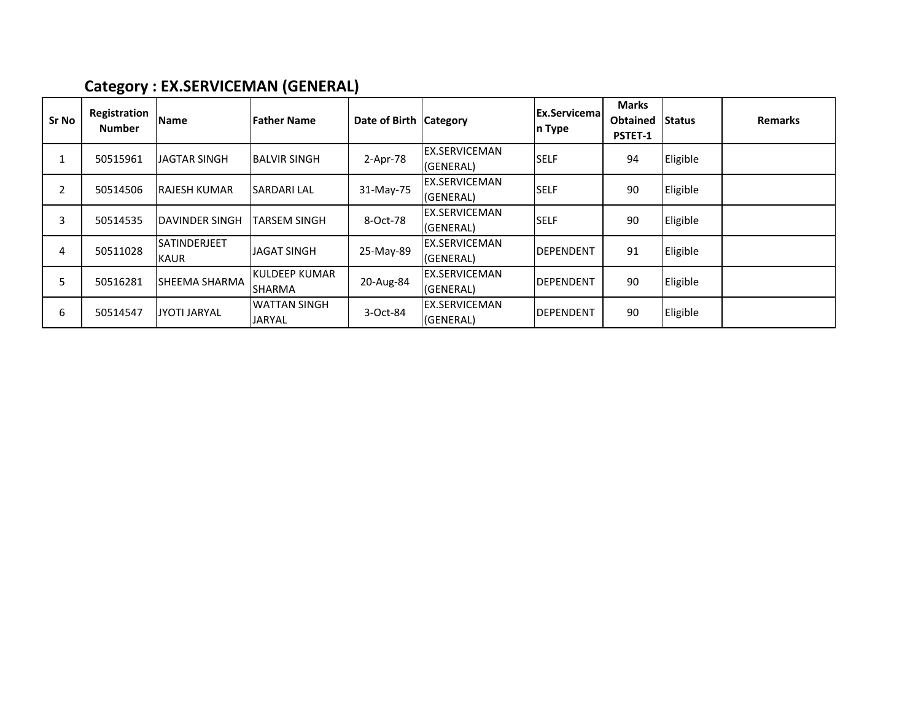## Category : EX.SERVICEMAN (GENERAL)

| Sr No | Registration<br><b>Number</b> | Name                               | l Father Name                           | Date of Birth Category | <b>Ex.Servicemal</b><br>n Type    |                   | <b>Marks</b><br>Obtained<br>PSTET-1 | <b>Status</b> | <b>Remarks</b> |
|-------|-------------------------------|------------------------------------|-----------------------------------------|------------------------|-----------------------------------|-------------------|-------------------------------------|---------------|----------------|
|       | 50515961                      | <b>JAGTAR SINGH</b>                | <b>BALVIR SINGH</b>                     | 2-Apr-78               | <b>EX.SERVICEMAN</b><br>(GENERAL) | <b>SELF</b>       | 94                                  | Eligible      |                |
|       | 50514506                      | IRAJESH KUMAR                      | <b>SARDARI LAL</b>                      | 31-May-75              | <b>EX.SERVICEMAN</b><br>(GENERAL) | <b>SELF</b>       | 90                                  | Eligible      |                |
| 3     | 50514535                      | DAVINDER SINGH                     | <b>TARSEM SINGH</b>                     | 8-Oct-78               | <b>EX.SERVICEMAN</b><br>(GENERAL) | <b>SELF</b>       | 90                                  | Eligible      |                |
| 4     | 50511028                      | <b>SATINDERJEET</b><br><b>KAUR</b> | <b>JAGAT SINGH</b>                      | 25-May-89              | <b>EX.SERVICEMAN</b><br>(GENERAL) | <b>DEPENDENT</b>  | 91                                  | Eligible      |                |
| 5     | 50516281                      | ISHEEMA SHARMA                     | <b>I</b> KULDEEP KUMAR<br><b>SHARMA</b> | 20-Aug-84              | EX.SERVICEMAN<br>(GENERAL)        | <b>DEPENDENT</b>  | 90                                  | Eligible      |                |
| 6     | 50514547                      | <b>JYOTI JARYAL</b>                | <b>WATTAN SINGH</b><br><b>JARYAL</b>    | 3-Oct-84               | EX.SERVICEMAN<br>(GENERAL)        | <b>IDEPENDENT</b> | 90                                  | Eligible      |                |